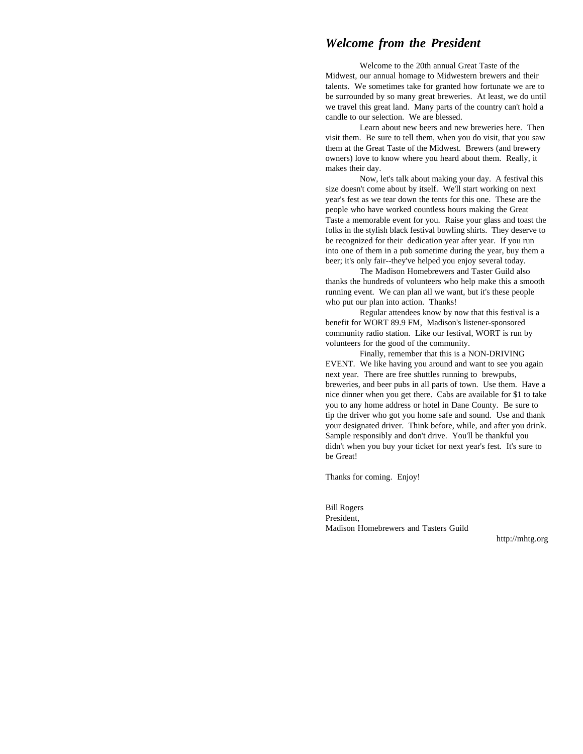## *Welcome from the President*

Welcome to the 20th annual Great Taste of the Midwest, our annual homage to Midwestern brewers and their talents. We sometimes take for granted how fortunate we are to be surrounded by so many great breweries. At least, we do until we travel this great land. Many parts of the country can't hold a candle to our selection. We are blessed.

Learn about new beers and new breweries here. Then visit them. Be sure to tell them, when you do visit, that you saw them at the Great Taste of the Midwest. Brewers (and brewery owners) love to know where you heard about them. Really, it makes their day.

Now, let's talk about making your day. A festival this size doesn't come about by itself. We'll start working on next year's fest as we tear down the tents for this one. These are the people who have worked countless hours making the Great Taste a memorable event for you. Raise your glass and toast the folks in the stylish black festival bowling shirts. They deserve to be recognized for their dedication year after year. If you run into one of them in a pub sometime during the year, buy them a beer; it's only fair--they've helped you enjoy several today.

The Madison Homebrewers and Taster Guild also thanks the hundreds of volunteers who help make this a smooth running event. We can plan all we want, but it's these people who put our plan into action. Thanks!

Regular attendees know by now that this festival is a benefit for WORT 89.9 FM, Madison's listener-sponsored community radio station. Like our festival, WORT is run by volunteers for the good of the community.

Finally, remember that this is a NON-DRIVING EVENT. We like having you around and want to see you again next year. There are free shuttles running to brewpubs, breweries, and beer pubs in all parts of town. Use them. Have a nice dinner when you get there. Cabs are available for \$1 to take you to any home address or hotel in Dane County. Be sure to tip the driver who got you home safe and sound. Use and thank your designated driver. Think before, while, and after you drink. Sample responsibly and don't drive. You'll be thankful you didn't when you buy your ticket for next year's fest. It's sure to be Great!

Thanks for coming. Enjoy!

Bill Rogers President, Madison Homebrewers and Tasters Guild

http://mhtg.org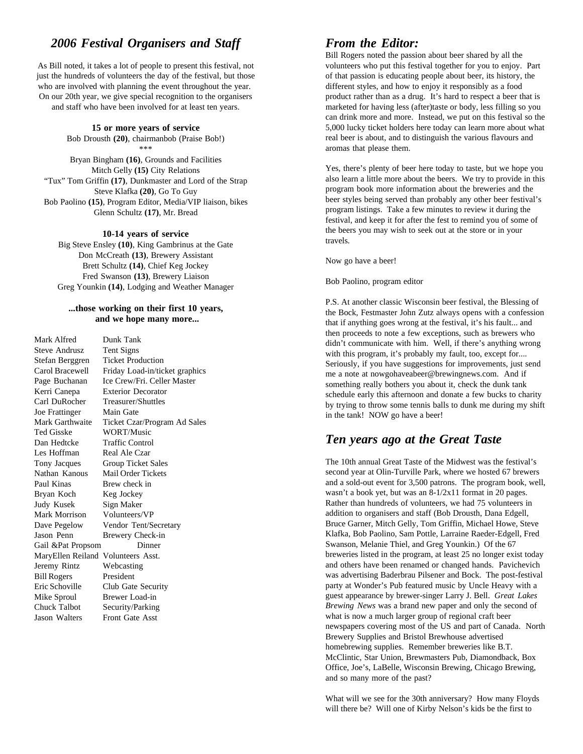# 2006 Festival Organisers and Staff From the Editor:

just the hundreds of volunteers the day of the festival, but those of that passion is educating people about beer, its history, the who are involved with planning the event throughout the year. different styles, and how to enjoy it responsibly as a food On our 20th year, we give special recognition to the organisers product rather than as a drug. It's hard to respect a beer that is

**15 or more years of service**

Bob Drousth **(20)**, chairmanbob (Praise Bob!) \*\*\*

Bryan Bingham **(16)**, Grounds and Facilities Mitch Gelly **(15)** City Relations "Tux" Tom Griffin **(17)**, Dunkmaster and Lord of the Strap Steve Klafka **(20)**, Go To Guy Bob Paolino **(15)**, Program Editor, Media/VIP liaison, bikes Glenn Schultz **(17)**, Mr. Bread

**10-14 years of service**

Big Steve Ensley **(10)**, King Gambrinus at the Gate Don McCreath **(13)**, Brewery Assistant Brett Schultz **(14)**, Chief Keg Jockey Fred Swanson **(13)**, Brewery Liaison Greg Younkin **(14)**, Lodging and Weather Manager

#### **...those working on their first 10 years, and we hope many more...**

| Mark Alfred                        | Dunk Tank                      |
|------------------------------------|--------------------------------|
| Steve Andrusz                      | Tent Signs                     |
| Stefan Berggren                    | <b>Ticket Production</b>       |
| Carol Bracewell                    | Friday Load-in/ticket graphics |
| Page Buchanan                      | Ice Crew/Fri. Celler Master    |
| Kerri Canepa                       | <b>Exterior Decorator</b>      |
| Carl DuRocher                      | Treasurer/Shuttles             |
| Joe Frattinger                     | Main Gate                      |
| Mark Garthwaite                    | Ticket Czar/Program Ad Sales   |
| Ted Gisske                         | WORT/Music                     |
| Dan Hedtcke                        | <b>Traffic Control</b>         |
| Les Hoffman                        | Real Ale Czar                  |
| Tony Jacques                       | Group Ticket Sales             |
| Nathan Kanous                      | Mail Order Tickets             |
| Paul Kinas                         | Brew check in                  |
| Bryan Koch                         | Keg Jockey                     |
| Judy Kusek                         | Sign Maker                     |
| Mark Morrison                      | Volunteers/VP                  |
| Dave Pegelow                       | Vendor Tent/Secretary          |
| Jason Penn                         | Brewery Check-in               |
| Gail &Pat Propsom                  | Dinner                         |
| MaryEllen Reiland Volunteers Asst. |                                |
| Jeremy Rintz                       | Webcasting                     |
| <b>Bill Rogers</b>                 | President                      |
| Eric Schoville                     | Club Gate Security             |
| Mike Sproul                        | Brewer Load-in                 |
| <b>Chuck Talbot</b>                | Security/Parking               |
| Jason Walters                      | <b>Front Gate Asst</b>         |

As Bill noted, it takes a lot of people to present this festival, not volunteers who put this festival together for you to enjoy. Part and staff who have been involved for at least ten years. marketed for having less (after)taste or body, less filling so you Bill Rogers noted the passion about beer shared by all the can drink more and more. Instead, we put on this festival so the 5,000 lucky ticket holders here today can learn more about what real beer is about, and to distinguish the various flavours and aromas that please them.

> Yes, there's plenty of beer here today to taste, but we hope you also learn a little more about the beers. We try to provide in this program book more information about the breweries and the beer styles being served than probably any other beer festival's program listings. Take a few minutes to review it during the festival, and keep it for after the fest to remind you of some of the beers you may wish to seek out at the store or in your travels.

Now go have a beer!

Bob Paolino, program editor

P.S. At another classic Wisconsin beer festival, the Blessing of the Bock, Festmaster John Zutz always opens with a confession that if anything goes wrong at the festival, it's his fault... and then proceeds to note a few exceptions, such as brewers who didn't communicate with him. Well, if there's anything wrong with this program, it's probably my fault, too, except for.... Seriously, if you have suggestions for improvements, just send me a note at nowgohaveabeer@brewingnews.com. And if something really bothers you about it, check the dunk tank schedule early this afternoon and donate a few bucks to charity by trying to throw some tennis balls to dunk me during my shift in the tank! NOW go have a beer!

# *Ten years ago at the Great Taste*

The 10th annual Great Taste of the Midwest was the festival's second year at Olin-Turville Park, where we hosted 67 brewers and a sold-out event for 3,500 patrons. The program book, well, wasn't a book yet, but was an 8-1/2x11 format in 20 pages. Rather than hundreds of volunteers, we had 75 volunteers in addition to organisers and staff (Bob Drousth, Dana Edgell, Bruce Garner, Mitch Gelly, Tom Griffin, Michael Howe, Steve Klafka, Bob Paolino, Sam Pottle, Larraine Raeder-Edgell, Fred Swanson, Melanie Thiel, and Greg Younkin.) Of the 67 breweries listed in the program, at least 25 no longer exist today and others have been renamed or changed hands. Pavichevich was advertising Baderbrau Pilsener and Bock. The post-festival party at Wonder's Pub featured music by Uncle Heavy with a guest appearance by brewer-singer Larry J. Bell. *Great Lakes Brewing News* was a brand new paper and only the second of what is now a much larger group of regional craft beer newspapers covering most of the US and part of Canada. North Brewery Supplies and Bristol Brewhouse advertised homebrewing supplies. Remember breweries like B.T. McClintic, Star Union, Brewmasters Pub, Diamondback, Box Office, Joe's, LaBelle, Wisconsin Brewing, Chicago Brewing, and so many more of the past?

What will we see for the 30th anniversary? How many Floyds will there be? Will one of Kirby Nelson's kids be the first to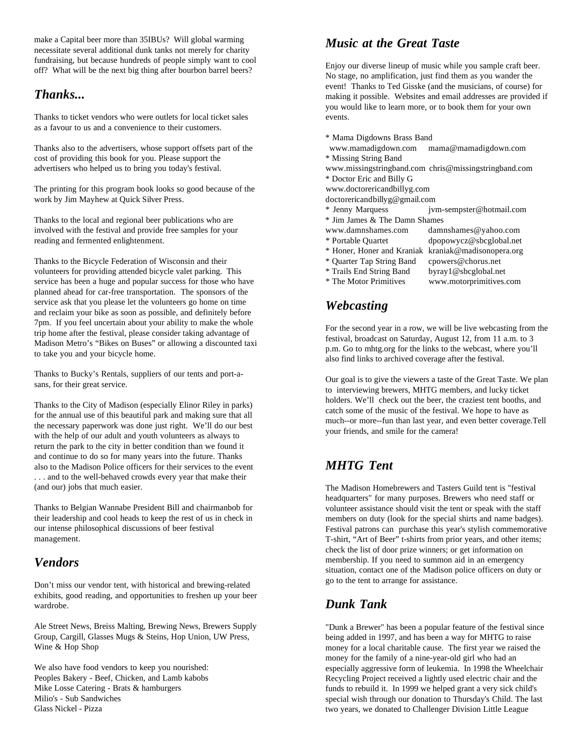make a Capital beer more than 35IBUs? Will global warming necessitate several additional dunk tanks not merely for charity fundraising, but because hundreds of people simply want to cool off? What will be the next big thing after bourbon barrel beers?

# *Thanks...*

Thanks to ticket vendors who were outlets for local ticket sales events. as a favour to us and a convenience to their customers.

Thanks also to the advertisers, whose support offsets part of the www.mamadigdown.com mama@mamadigdown.com cost of providing this book for you. Please support the \* Missing String Band advertisers who helped us to bring you today's festival. www.missingstringband.com chris@missingstringband.com

The printing for this program book looks so good because of the www.doctorericandbillyg.com work by Jim Mayhew at Quick Silver Press. doctorericandbillyg@gmail.com

Thanks to the local and regional beer publications who are \* Jim James & The Damn Shames involved with the festival and provide free samples for your www.damnshames.com damnshames@yahoo.com reading and fermented enlightenment. \* Portable Quartet dpopowycz@sbcglobal.net

Thanks to the Bicycle Federation of Wisconsin and their \* Quarter Tap String Band cpowers@chorus.net volunteers for providing attended bicycle valet parking. This \* Trails End String Band byray1@sbcglobal.net service has been a huge and popular success for those who have \* The Motor Primitives www.motorprimitives.com planned ahead for car-free transportation. The sponsors of the service ask that you please let the volunteers go home on time and reclaim your bike as soon as possible, and definitely before 7pm. If you feel uncertain about your ability to make the whole trip home after the festival, please consider taking advantage of Madison Metro's "Bikes on Buses" or allowing a discounted taxi to take you and your bicycle home.

Thanks to Bucky's Rentals, suppliers of our tents and port-asans, for their great service.

Thanks to the City of Madison (especially Elinor Riley in parks) for the annual use of this beautiful park and making sure that all the necessary paperwork was done just right. We'll do our best with the help of our adult and youth volunteers as always to return the park to the city in better condition than we found it and continue to do so for many years into the future. Thanks also to the Madison Police officers for their services to the event *MHTG Tent* . . . and to the well-behaved crowds every year that make their (and our) jobs that much easier.

Thanks to Belgian Wannabe President Bill and chairmanbob for their leadership and cool heads to keep the rest of us in check in our intense philosophical discussions of beer festival management.

# *Vendors*

Don't miss our vendor tent, with historical and brewing-related exhibits, good reading, and opportunities to freshen up your beer wardrobe. *Dunk Tank*

Ale Street News, Breiss Malting, Brewing News, Brewers Supply Group, Cargill, Glasses Mugs & Steins, Hop Union, UW Press, Wine & Hop Shop

We also have food vendors to keep you nourished: Peoples Bakery - Beef, Chicken, and Lamb kabobs Mike Losse Catering - Brats & hamburgers Milio's - Sub Sandwiches Glass Nickel - Pizza

# *Music at the Great Taste*

Enjoy our diverse lineup of music while you sample craft beer. No stage, no amplification, just find them as you wander the event! Thanks to Ted Gisske (and the musicians, of course) for making it possible. Websites and email addresses are provided if you would like to learn more, or to book them for your own

\* Mama Digdowns Brass Band

\* Doctor Eric and Billy G

- 
- \* Jenny Marquess jvm-sempster@hotmail.com
- 
- 

- 
- \* Honer, Honer and Kraniak kraniak@madisonopera.org
	- -
- 
- 

# *Webcasting*

For the second year in a row, we will be live webcasting from the festival, broadcast on Saturday, August 12, from 11 a.m. to 3 p.m. Go to mhtg.org for the links to the webcast, where you'll also find links to archived coverage after the festival.

Our goal is to give the viewers a taste of the Great Taste. We plan to interviewing brewers, MHTG members, and lucky ticket holders. We'll check out the beer, the craziest tent booths, and catch some of the music of the festival. We hope to have as much--or more--fun than last year, and even better coverage.Tell your friends, and smile for the camera!

The Madison Homebrewers and Tasters Guild tent is "festival headquarters" for many purposes. Brewers who need staff or volunteer assistance should visit the tent or speak with the staff members on duty (look for the special shirts and name badges). Festival patrons can purchase this year's stylish commemorative T-shirt, "Art of Beer" t-shirts from prior years, and other items; check the list of door prize winners; or get information on membership. If you need to summon aid in an emergency situation, contact one of the Madison police officers on duty or go to the tent to arrange for assistance.

"Dunk a Brewer" has been a popular feature of the festival since being added in 1997, and has been a way for MHTG to raise money for a local charitable cause. The first year we raised the money for the family of a nine-year-old girl who had an especially aggressive form of leukemia. In 1998 the Wheelchair Recycling Project received a lightly used electric chair and the funds to rebuild it. In 1999 we helped grant a very sick child's special wish through our donation to Thursday's Child. The last two years, we donated to Challenger Division Little League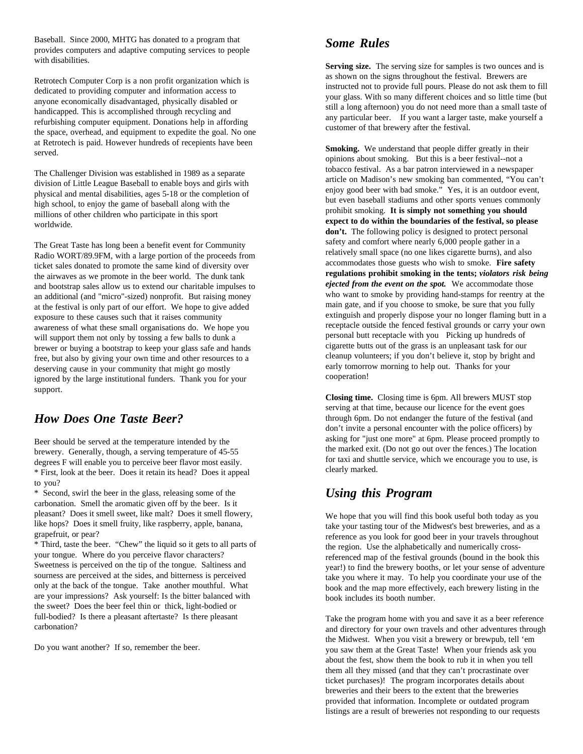Baseball. Since 2000, MHTG has donated to a program that provides computers and adaptive computing services to people with disabilities.

Retrotech Computer Corp is a non profit organization which is dedicated to providing computer and information access to anyone economically disadvantaged, physically disabled or handicapped. This is accomplished through recycling and refurbishing computer equipment. Donations help in affording the space, overhead, and equipment to expedite the goal. No one at Retrotech is paid. However hundreds of recepients have been served.

The Challenger Division was established in 1989 as a separate division of Little League Baseball to enable boys and girls with physical and mental disabilities, ages 5-18 or the completion of high school, to enjoy the game of baseball along with the millions of other children who participate in this sport worldwide.

The Great Taste has long been a benefit event for Community Radio WORT/89.9FM, with a large portion of the proceeds from ticket sales donated to promote the same kind of diversity over the airwaves as we promote in the beer world. The dunk tank and bootstrap sales allow us to extend our charitable impulses to an additional (and "micro"-sized) nonprofit. But raising money at the festival is only part of our effort. We hope to give added exposure to these causes such that it raises community awareness of what these small organisations do. We hope you will support them not only by tossing a few balls to dunk a brewer or buying a bootstrap to keep your glass safe and hands free, but also by giving your own time and other resources to a deserving cause in your community that might go mostly ignored by the large institutional funders. Thank you for your support.

# *How Does One Taste Beer?*

Beer should be served at the temperature intended by the brewery. Generally, though, a serving temperature of 45-55 degrees F will enable you to perceive beer flavor most easily. \* First, look at the beer. Does it retain its head? Does it appeal to you?

\* Second, swirl the beer in the glass, releasing some of the carbonation. Smell the aromatic given off by the beer. Is it pleasant? Does it smell sweet, like malt? Does it smell flowery, like hops? Does it smell fruity, like raspberry, apple, banana, grapefruit, or pear?

\* Third, taste the beer. "Chew" the liquid so it gets to all parts of your tongue. Where do you perceive flavor characters? Sweetness is perceived on the tip of the tongue. Saltiness and sourness are perceived at the sides, and bitterness is perceived only at the back of the tongue. Take another mouthful. What are your impressions? Ask yourself: Is the bitter balanced with the sweet? Does the beer feel thin or thick, light-bodied or full-bodied? Is there a pleasant aftertaste? Is there pleasant carbonation?

Do you want another? If so, remember the beer.

# *Some Rules*

**Serving size.** The serving size for samples is two ounces and is as shown on the signs throughout the festival. Brewers are instructed not to provide full pours. Please do not ask them to fill your glass. With so many different choices and so little time (but still a long afternoon) you do not need more than a small taste of any particular beer. If you want a larger taste, make yourself a customer of that brewery after the festival.

**Smoking.** We understand that people differ greatly in their opinions about smoking. But this is a beer festival--not a tobacco festival. As a bar patron interviewed in a newspaper article on Madison's new smoking ban commented, "You can't enjoy good beer with bad smoke." Yes, it is an outdoor event, but even baseball stadiums and other sports venues commonly prohibit smoking. **It is simply not something you should expect to do within the boundaries of the festival, so please don't.** The following policy is designed to protect personal safety and comfort where nearly 6,000 people gather in a relatively small space (no one likes cigarette burns), and also accommodates those guests who wish to smoke. **Fire safety regulations prohibit smoking in the tents;** *violators risk being ejected from the event on the spot.* We accommodate those who want to smoke by providing hand-stamps for reentry at the main gate, and if you choose to smoke, be sure that you fully extinguish and properly dispose your no longer flaming butt in a receptacle outside the fenced festival grounds or carry your own personal butt receptacle with you Picking up hundreds of cigarette butts out of the grass is an unpleasant task for our cleanup volunteers; if you don't believe it, stop by bright and early tomorrow morning to help out. Thanks for your cooperation!

**Closing time.** Closing time is 6pm. All brewers MUST stop serving at that time, because our licence for the event goes through 6pm. Do not endanger the future of the festival (and don't invite a personal encounter with the police officers) by asking for "just one more" at 6pm. Please proceed promptly to the marked exit. (Do not go out over the fences.) The location for taxi and shuttle service, which we encourage you to use, is clearly marked.

# *Using this Program*

We hope that you will find this book useful both today as you take your tasting tour of the Midwest's best breweries, and as a reference as you look for good beer in your travels throughout the region. Use the alphabetically and numerically crossreferenced map of the festival grounds (bound in the book this year!) to find the brewery booths, or let your sense of adventure take you where it may. To help you coordinate your use of the book and the map more effectively, each brewery listing in the book includes its booth number.

Take the program home with you and save it as a beer reference and directory for your own travels and other adventures through the Midwest. When you visit a brewery or brewpub, tell 'em you saw them at the Great Taste! When your friends ask you about the fest, show them the book to rub it in when you tell them all they missed (and that they can't procrastinate over ticket purchases)! The program incorporates details about breweries and their beers to the extent that the breweries provided that information. Incomplete or outdated program listings are a result of breweries not responding to our requests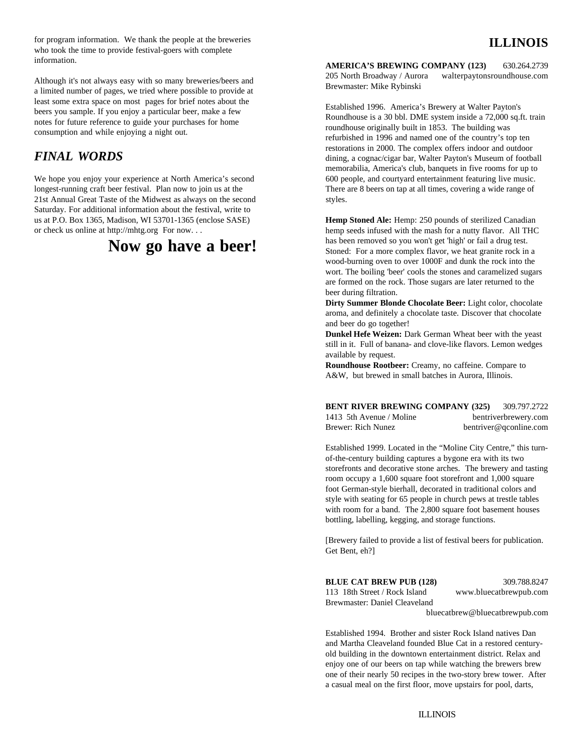for program information. We thank the people at the breweries who took the time to provide festival-goers with complete information.

Although it's not always easy with so many breweries/beers and a limited number of pages, we tried where possible to provide at least some extra space on most pages for brief notes about the beers you sample. If you enjoy a particular beer, make a few notes for future reference to guide your purchases for home consumption and while enjoying a night out.

# *FINAL WORDS*

longest-running craft beer festival. Plan now to join us at the There are 8 beers on tap at all times, covering a wide range of 21st Annual Great Taste of the Midwest as always on the second styles. Saturday. For additional information about the festival, write to us at P.O. Box 1365, Madison, WI 53701-1365 (enclose SASE) or check us online at http://mhtg.org For now. . .

# **Now go have a beer!**

**AMERICA'S BREWING COMPANY (123)** 630.264.2739 205 North Broadway / Aurora walterpaytonsroundhouse.com Brewmaster: Mike Rybinski

We hope you enjoy your experience at North America's second 600 people, and courtyard entertainment featuring live music. Established 1996. America's Brewery at Walter Payton's Roundhouse is a 30 bbl. DME system inside a 72,000 sq.ft. train roundhouse originally built in 1853. The building was refurbished in 1996 and named one of the country's top ten restorations in 2000. The complex offers indoor and outdoor dining, a cognac/cigar bar, Walter Payton's Museum of football memorabilia, America's club, banquets in five rooms for up to

> **Hemp Stoned Ale:** Hemp: 250 pounds of sterilized Canadian hemp seeds infused with the mash for a nutty flavor. All THC has been removed so you won't get 'high' or fail a drug test. Stoned: For a more complex flavor, we heat granite rock in a wood-burning oven to over 1000F and dunk the rock into the wort. The boiling 'beer' cools the stones and caramelized sugars are formed on the rock. Those sugars are later returned to the beer during filtration.

> **Dirty Summer Blonde Chocolate Beer:** Light color, chocolate aroma, and definitely a chocolate taste. Discover that chocolate and beer do go together!

> **Dunkel Hefe Weizen:** Dark German Wheat beer with the yeast still in it. Full of banana- and clove-like flavors. Lemon wedges available by request.

**Roundhouse Rootbeer:** Creamy, no caffeine. Compare to A&W, but brewed in small batches in Aurora, Illinois.

**BENT RIVER BREWING COMPANY (325)** 309.797.2722 1413 5th Avenue / Moline bentriverbrewery.com Brewer: Rich Nunez bentriver@qconline.com

Established 1999. Located in the "Moline City Centre," this turnof-the-century building captures a bygone era with its two storefronts and decorative stone arches. The brewery and tasting room occupy a 1,600 square foot storefront and 1,000 square foot German-style bierhall, decorated in traditional colors and style with seating for 65 people in church pews at trestle tables with room for a band. The 2,800 square foot basement houses bottling, labelling, kegging, and storage functions.

[Brewery failed to provide a list of festival beers for publication. Get Bent, eh?]

| <b>BLUE CAT BREW PUB (128)</b> | 309.788.8247           |
|--------------------------------|------------------------|
| 113 18th Street / Rock Island  | www.bluecatbrewpub.com |

Brewmaster: Daniel Cleaveland

bluecatbrew@bluecatbrewpub.com

Established 1994. Brother and sister Rock Island natives Dan and Martha Cleaveland founded Blue Cat in a restored centuryold building in the downtown entertainment district. Relax and enjoy one of our beers on tap while watching the brewers brew one of their nearly 50 recipes in the two-story brew tower. After a casual meal on the first floor, move upstairs for pool, darts,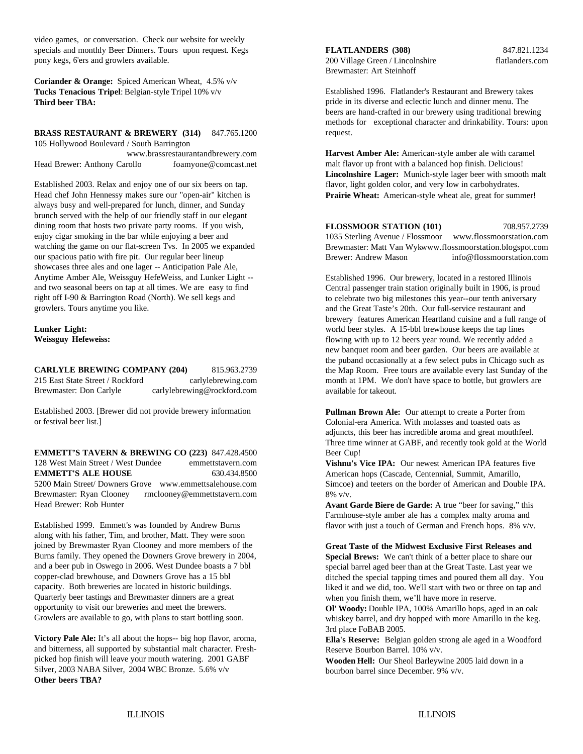video games, or conversation. Check our website for weekly specials and monthly Beer Dinners. Tours upon request. Kegs pony kegs, 6'ers and growlers available.

**Coriander & Orange:** Spiced American Wheat, 4.5% v/v **Tucks Tenacious Tripel**: Belgian-style Tripel 10% v/v **Third beer TBA:** 

## **BRASS RESTAURANT & BREWERY (314)** 847.765.1200

105 Hollywood Boulevard / South Barrington www.brassrestaurantandbrewery.com Head Brewer: Anthony Carollo foamyone@comcast.net

Established 2003. Relax and enjoy one of our six beers on tap. flavor, light golden color, and very low in carbohydrates. Head chef John Hennessy makes sure our "open-air" kitchen is always busy and well-prepared for lunch, dinner, and Sunday brunch served with the help of our friendly staff in our elegant dining room that hosts two private party rooms. If you wish, enjoy cigar smoking in the bar while enjoying a beer and watching the game on our flat-screen Tvs. In 2005 we expanded our spacious patio with fire pit. Our regular beer lineup showcases three ales and one lager -- Anticipation Pale Ale, Anytime Amber Ale, Weissguy HefeWeiss, and Lunker Light - and two seasonal beers on tap at all times. We are easy to find right off I-90 & Barrington Road (North). We sell kegs and growlers. Tours anytime you like.

#### **Lunker Light: Weissguy Hefeweiss:**

**CARLYLE BREWING COMPANY (204)** 815.963.2739 215 East State Street / Rockford carlylebrewing.com Brewmaster: Don Carlyle carlylebrewing@rockford.com

Established 2003. [Brewer did not provide brewery information or festival beer list.]

**EMMETT'S TAVERN & BREWING CO (223)** 847.428.4500 128 West Main Street / West Dundee emmettstavern.com **EMMETT'S ALE HOUSE** 630.434.8500 5200 Main Street/ Downers Grove www.emmettsalehouse.com Brewmaster: Ryan Clooney rmclooney@emmettstavern.com Head Brewer: Rob Hunter

Established 1999. Emmett's was founded by Andrew Burns along with his father, Tim, and brother, Matt. They were soon joined by Brewmaster Ryan Clooney and more members of the Burns family. They opened the Downers Grove brewery in 2004, and a beer pub in Oswego in 2006. West Dundee boasts a 7 bbl copper-clad brewhouse, and Downers Grove has a 15 bbl capacity. Both breweries are located in historic buildings. Quarterly beer tastings and Brewmaster dinners are a great opportunity to visit our breweries and meet the brewers. Growlers are available to go, with plans to start bottling soon.

**Victory Pale Ale:** It's all about the hops-- big hop flavor, aroma, and bitterness, all supported by substantial malt character. Freshpicked hop finish will leave your mouth watering. 2001 GABF Silver, 2003 NABA Silver, 2004 WBC Bronze. 5.6% v/v **Other beers TBA?**

#### **FLATLANDERS (308)** 847.821.1234

200 Village Green / Lincolnshire flatlanders.com Brewmaster: Art Steinhoff

Established 1996. Flatlander's Restaurant and Brewery takes pride in its diverse and eclectic lunch and dinner menu. The beers are hand-crafted in our brewery using traditional brewing methods for exceptional character and drinkability. Tours: upon request.

**Lincolnshire Lager:** Munich-style lager beer with smooth malt **Harvest Amber Ale:** American-style amber ale with caramel malt flavor up front with a balanced hop finish. Delicious! **Prairie Wheat:** American-style wheat ale, great for summer!

**FLOSSMOOR STATION (101)** 708.957.2739 1035 Sterling Avenue / Flossmoor www.flossmoorstation.com Brewmaster: Matt Van Wykwww.flossmoorstation.blogspot.com Brewer: Andrew Mason info@flossmoorstation.com

Established 1996. Our brewery, located in a restored Illinois Central passenger train station originally built in 1906, is proud to celebrate two big milestones this year--our tenth aniversary and the Great Taste's 20th. Our full-service restaurant and brewery features American Heartland cuisine and a full range of world beer styles. A 15-bbl brewhouse keeps the tap lines flowing with up to 12 beers year round. We recently added a new banquet room and beer garden. Our beers are available at the puband occasionally at a few select pubs in Chicago such as the Map Room. Free tours are available every last Sunday of the month at 1PM. We don't have space to bottle, but growlers are available for takeout.

**Pullman Brown Ale:** Our attempt to create a Porter from Colonial-era America. With molasses and toasted oats as adjuncts, this beer has incredible aroma and great mouthfeel. Three time winner at GABF, and recently took gold at the World Beer Cup!

**Vishnu's Vice IPA:** Our newest American IPA features five American hops (Cascade, Centennial, Summit, Amarillo, Simcoe) and teeters on the border of American and Double IPA. 8% v/v.

**Avant Garde Biere de Garde:** A true "beer for saving," this Farmhouse-style amber ale has a complex malty aroma and flavor with just a touch of German and French hops. 8% v/v.

**Great Taste of the Midwest Exclusive First Releases and Special Brews:** We can't think of a better place to share our

special barrel aged beer than at the Great Taste. Last year we ditched the special tapping times and poured them all day. You liked it and we did, too. We'll start with two or three on tap and when you finish them, we'll have more in reserve.

**Ol' Woody:** Double IPA, 100% Amarillo hops, aged in an oak whiskey barrel, and dry hopped with more Amarillo in the keg. 3rd place FoBAB 2005.

**Ella's Reserve:** Belgian golden strong ale aged in a Woodford Reserve Bourbon Barrel. 10% v/v.

**Wooden Hell:** Our Sheol Barleywine 2005 laid down in a bourbon barrel since December. 9% v/v.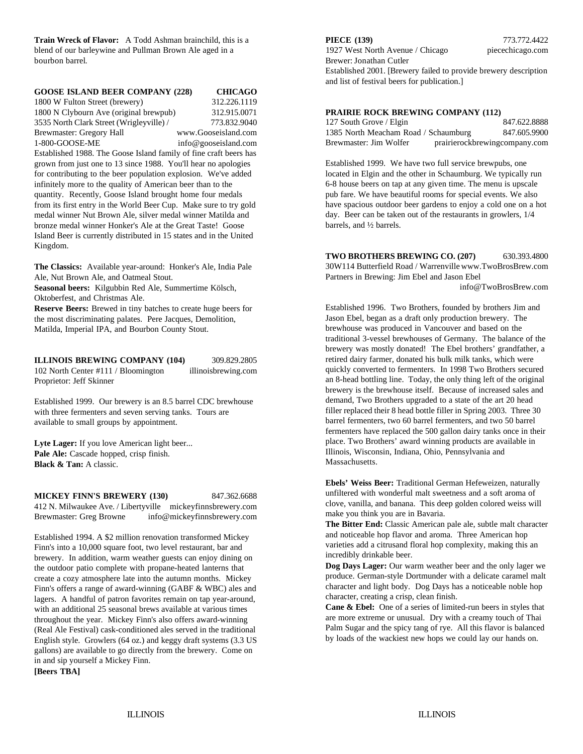bourbon barrel. Brewer: Jonathan Cutler

| <b>GOOSE ISLAND BEER COMPANY (228)</b>                              | <b>CHICAGO</b>       |  |
|---------------------------------------------------------------------|----------------------|--|
| 1800 W Fulton Street (brewery)                                      | 312.226.1119         |  |
| 1800 N Clybourn Ave (original brewpub)                              | 312.915.0071         |  |
| 3535 North Clark Street (Wrigleyville) /                            | 773.832.9040         |  |
| Brewmaster: Gregory Hall                                            | www.Gooseisland.com  |  |
| 1-800-GOOSE-ME                                                      | info@gooseisland.com |  |
| Established 1988. The Goose Island family of fine craft beers has   |                      |  |
| grown from just one to 13 since 1988. You'll hear no apologies      |                      |  |
| for contributing to the beer population explosion. We've added      |                      |  |
| infinitely more to the quality of American beer than to the         |                      |  |
| quantity. Recently, Goose Island brought home four medals           |                      |  |
| from its first entry in the World Beer Cup. Make sure to try gold   |                      |  |
| medal winner Nut Brown Ale, silver medal winner Matilda and         |                      |  |
| bronze medal winner Honker's Ale at the Great Taste! Goose          |                      |  |
| Island Beer is currently distributed in 15 states and in the United |                      |  |

**The Classics:** Available year-around: Honker's Ale, India Pale Ale, Nut Brown Ale, and Oatmeal Stout.

**Seasonal beers:** Kilgubbin Red Ale, Summertime Kölsch, Oktoberfest, and Christmas Ale.

**Reserve Beers:** Brewed in tiny batches to create huge beers for the most discriminating palates. Pere Jacques, Demolition, Matilda, Imperial IPA, and Bourbon County Stout.

**ILLINOIS BREWING COMPANY (104)** 309.829.2805 102 North Center #111 / Bloomington illinoisbrewing.com Proprietor: Jeff Skinner

Established 1999. Our brewery is an 8.5 barrel CDC brewhouse with three fermenters and seven serving tanks. Tours are available to small groups by appointment.

Lyte Lager: If you love American light beer... **Pale Ale:** Cascade hopped, crisp finish. **Black & Tan:** A classic.

**MICKEY FINN'S BREWERY (130)** 847.362.6688 412 N. Milwaukee Ave. / Libertyville mickeyfinnsbrewery.com Brewmaster: Greg Browne info@mickeyfinnsbrewery.com

Established 1994. A \$2 million renovation transformed Mickey Finn's into a 10,000 square foot, two level restaurant, bar and brewery. In addition, warm weather guests can enjoy dining on the outdoor patio complete with propane-heated lanterns that create a cozy atmosphere late into the autumn months. Mickey Finn's offers a range of award-winning (GABF & WBC) ales and lagers. A handful of patron favorites remain on tap year-around, with an additional 25 seasonal brews available at various times throughout the year. Mickey Finn's also offers award-winning (Real Ale Festival) cask-conditioned ales served in the traditional English style. Growlers (64 oz.) and keggy draft systems (3.3 US gallons) are available to go directly from the brewery. Come on in and sip yourself a Mickey Finn.

**[Beers TBA]**

Kingdom.

**Train Wreck of Flavor:** A Todd Ashman brainchild, this is a **PIECE (139)** 773.772.4422 blend of our barleywine and Pullman Brown Ale aged in a 1927 West North Avenue / Chicago piecechicago.com Established 2001. [Brewery failed to provide brewery description and list of festival beers for publication.]

#### **PRAIRIE ROCK BREWING COMPANY (112)**

| 127 South Grove / Elgin              | 847.622.8888                  |
|--------------------------------------|-------------------------------|
| 1385 North Meacham Road / Schaumburg | 847.605.9900                  |
| Brewmaster: Jim Wolfer               | prairierockbrewingcompany.com |

Established 1999. We have two full service brewpubs, one located in Elgin and the other in Schaumburg. We typically run 6-8 house beers on tap at any given time. The menu is upscale pub fare. We have beautiful rooms for special events. We also have spacious outdoor beer gardens to enjoy a cold one on a hot day. Beer can be taken out of the restaurants in growlers, 1/4 barrels, and ½ barrels.

**TWO BROTHERS BREWING CO. (207)** 630.393.4800 30W114 Butterfield Road / Warrenville www.TwoBrosBrew.com Partners in Brewing: Jim Ebel and Jason Ebel info@TwoBrosBrew.com

Established 1996. Two Brothers, founded by brothers Jim and Jason Ebel, began as a draft only production brewery. The brewhouse was produced in Vancouver and based on the traditional 3-vessel brewhouses of Germany. The balance of the brewery was mostly donated! The Ebel brothers' grandfather, a retired dairy farmer, donated his bulk milk tanks, which were quickly converted to fermenters. In 1998 Two Brothers secured an 8-head bottling line. Today, the only thing left of the original brewery is the brewhouse itself. Because of increased sales and demand, Two Brothers upgraded to a state of the art 20 head filler replaced their 8 head bottle filler in Spring 2003. Three 30 barrel fermenters, two 60 barrel fermenters, and two 50 barrel fermenters have replaced the 500 gallon dairy tanks once in their place. Two Brothers' award winning products are available in Illinois, Wisconsin, Indiana, Ohio, Pennsylvania and Massachusetts.

**Ebels' Weiss Beer:** Traditional German Hefeweizen, naturally unfiltered with wonderful malt sweetness and a soft aroma of clove, vanilla, and banana. This deep golden colored weiss will make you think you are in Bavaria.

**The Bitter End:** Classic American pale ale, subtle malt character and noticeable hop flavor and aroma. Three American hop varieties add a citrusand floral hop complexity, making this an incredibly drinkable beer.

**Dog Days Lager:** Our warm weather beer and the only lager we produce. German-style Dortmunder with a delicate caramel malt character and light body. Dog Days has a noticeable noble hop character, creating a crisp, clean finish.

**Cane & Ebel:** One of a series of limited-run beers in styles that are more extreme or unusual. Dry with a creamy touch of Thai Palm Sugar and the spicy tang of rye. All this flavor is balanced by loads of the wackiest new hops we could lay our hands on.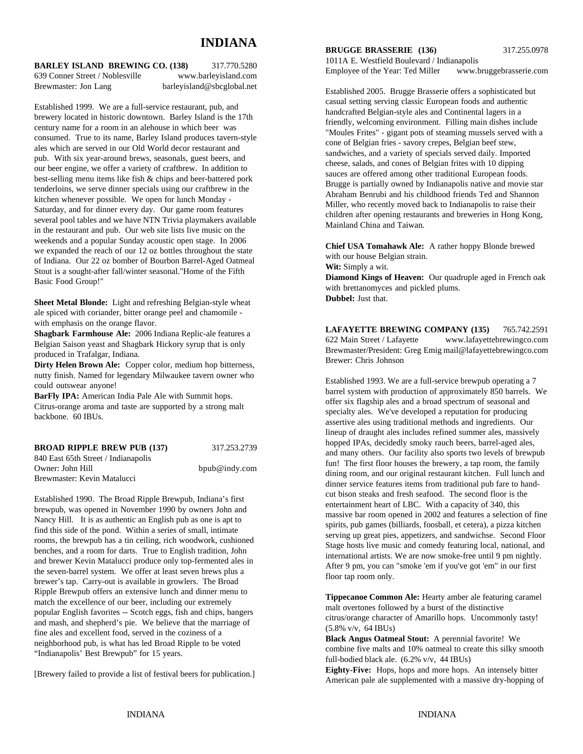# **INDIANA**

**BARLEY ISLAND BREWING CO. (138)** 317.770.5280 639 Conner Street / Noblesville www.barleyisland.com Brewmaster: Jon Lang barleyisland@sbcglobal.net

Established 1999. We are a full-service restaurant, pub, and brewery located in historic downtown. Barley Island is the 17th century name for a room in an alehouse in which beer was consumed. True to its name, Barley Island produces tavern-style ales which are served in our Old World decor restaurant and pub. With six year-around brews, seasonals, guest beers, and our beer engine, we offer a variety of craftbrew. In addition to best-selling menu items like fish & chips and beer-battered pork tenderloins, we serve dinner specials using our craftbrew in the kitchen whenever possible. We open for lunch Monday - Saturday, and for dinner every day. Our game room features several pool tables and we have NTN Trivia playmakers available in the restaurant and pub. Our web site lists live music on the weekends and a popular Sunday acoustic open stage. In 2006 we expanded the reach of our 12 oz bottles throughout the state of Indiana. Our 22 oz bomber of Bourbon Barrel-Aged Oatmeal Stout is a sought-after fall/winter seasonal."Home of the Fifth Basic Food Group!"

**Sheet Metal Blonde:** Light and refreshing Belgian-style wheat ale spiced with coriander, bitter orange peel and chamomile with emphasis on the orange flavor.

**Shagbark Farmhouse Ale:** 2006 Indiana Replic-ale features a Belgian Saison yeast and Shagbark Hickory syrup that is only produced in Trafalgar, Indiana.

**Dirty Helen Brown Ale:** Copper color, medium hop bitterness, nutty finish. Named for legendary Milwaukee tavern owner who could outswear anyone!

**BarFly IPA:** American India Pale Ale with Summit hops. Citrus-orange aroma and taste are supported by a strong malt backbone. 60 IBUs.

#### **BROAD RIPPLE BREW PUB (137)** 317.253.2739

840 East 65th Street / Indianapolis Owner: John Hill bpub@indy.com Brewmaster: Kevin Matalucci

Established 1990. The Broad Ripple Brewpub, Indiana's first brewpub, was opened in November 1990 by owners John and Nancy Hill. It is as authentic an English pub as one is apt to find this side of the pond. Within a series of small, intimate rooms, the brewpub has a tin ceiling, rich woodwork, cushioned benches, and a room for darts. True to English tradition, John and brewer Kevin Matalucci produce only top-fermented ales in the seven-barrel system. We offer at least seven brews plus a brewer's tap. Carry-out is available in growlers. The Broad Ripple Brewpub offers an extensive lunch and dinner menu to match the excellence of our beer, including our extremely popular English favorites -- Scotch eggs, fish and chips, bangers and mash, and shepherd's pie. We believe that the marriage of fine ales and excellent food, served in the coziness of a neighborhood pub, is what has led Broad Ripple to be voted "Indianapolis' Best Brewpub" for 15 years.

[Brewery failed to provide a list of festival beers for publication.]

#### **BRUGGE BRASSERIE (136)** 317.255.0978

1011A E. Westfield Boulevard / Indianapolis Employee of the Year: Ted Miller www.bruggebrasserie.com

Established 2005. Brugge Brasserie offers a sophisticated but casual setting serving classic European foods and authentic handcrafted Belgian-style ales and Continental lagers in a friendly, welcoming environment. Filling main dishes include "Moules Frites" - gigant pots of steaming mussels served with a cone of Belgian fries - savory crepes, Belgian beef stew, sandwiches, and a variety of specials served daily. Imported cheese, salads, and cones of Belgian frites with 10 dipping sauces are offered among other traditional European foods. Brugge is partially owned by Indianapolis native and movie star Abraham Benrubi and his childhood friends Ted and Shannon Miller, who recently moved back to Indianapolis to raise their children after opening restaurants and breweries in Hong Kong, Mainland China and Taiwan.

**Chief USA Tomahawk Ale:** A rather hoppy Blonde brewed with our house Belgian strain.

**Wit:** Simply a wit.

**Diamond Kings of Heaven:** Our quadruple aged in French oak with brettanomyces and pickled plums. **Dubbel:** Just that.

**LAFAYETTE BREWING COMPANY (135)** 765.742.2591 622 Main Street / Lafayette www.lafayettebrewingco.com Brewmaster/President: Greg Emig mail@lafayettebrewingco.com Brewer: Chris Johnson

Established 1993. We are a full-service brewpub operating a 7 barrel system with production of approximately 850 barrels. We offer six flagship ales and a broad spectrum of seasonal and specialty ales. We've developed a reputation for producing assertive ales using traditional methods and ingredients. Our lineup of draught ales includes refined summer ales, massively hopped IPAs, decidedly smoky rauch beers, barrel-aged ales, and many others. Our facility also sports two levels of brewpub fun! The first floor houses the brewery, a tap room, the family dining room, and our original restaurant kitchen. Full lunch and dinner service features items from traditional pub fare to handcut bison steaks and fresh seafood. The second floor is the entertainment heart of LBC. With a capacity of 340, this massive bar room opened in 2002 and features a selection of fine spirits, pub games (billiards, foosball, et cetera), a pizza kitchen serving up great pies, appetizers, and sandwichse. Second Floor Stage hosts live music and comedy featuring local, national, and international artists. We are now smoke-free until 9 pm nightly. After 9 pm, you can "smoke 'em if you've got 'em" in our first floor tap room only.

**Tippecanoe Common Ale:** Hearty amber ale featuring caramel malt overtones followed by a burst of the distinctive citrus/orange character of Amarillo hops. Uncommonly tasty! (5.8% v/v, 64 IBUs)

**Black Angus Oatmeal Stout:** A perennial favorite! We combine five malts and 10% oatmeal to create this silky smooth full-bodied black ale. (6.2% v/v, 44 IBUs)

**Eighty-Five:** Hops, hops and more hops. An intensely bitter American pale ale supplemented with a massive dry-hopping of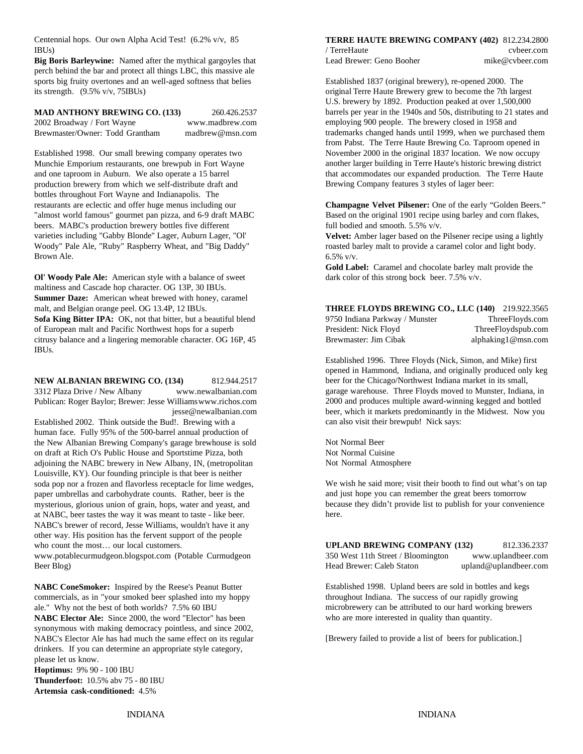Centennial hops. Our own Alpha Acid Test! (6.2% v/v, 85 IBUs)

**Big Boris Barleywine:** Named after the mythical gargoyles that Lead Brewer: Geno Booher mike@cvbeer.com perch behind the bar and protect all things LBC, this massive ale sports big fruity overtones and an well-aged softness that belies Established 1837 (original brewery), re-opened 2000. The its strength. (9.5% v/v, 75IBUs) original Terre Haute Brewery grew to become the 7th largest

**MAD ANTHONY BREWING CO. (133)** 260.426.2537 2002 Broadway / Fort Wayne www.madbrew.com Brewmaster/Owner: Todd Grantham madbrew@msn.com

Established 1998. Our small brewing company operates two Munchie Emporium restaurants, one brewpub in Fort Wayne and one taproom in Auburn. We also operate a 15 barrel production brewery from which we self-distribute draft and bottles throughout Fort Wayne and Indianapolis. The "almost world famous" gourmet pan pizza, and 6-9 draft MABC Based on the original 1901 recipe using barley and corn flakes, beers. MABC's production brewery bottles five different full bodied and smooth. 5.5% v/v. varieties including "Gabby Blonde" Lager, Auburn Lager, "Ol' Woody" Pale Ale, "Ruby" Raspberry Wheat, and "Big Daddy" Brown Ale.

**Ol' Woody Pale Ale:** American style with a balance of sweet maltiness and Cascade hop character. OG 13P, 30 IBUs. **Summer Daze:** American wheat brewed with honey, caramel malt, and Belgian orange peel. OG 13.4P, 12 IBUs. **Sofa King Bitter IPA:** OK, not that bitter, but a beautiful blend of European malt and Pacific Northwest hops for a superb citrusy balance and a lingering memorable character. OG 16P, 45 IBUs.

**NEW ALBANIAN BREWING CO. (134)** 812.944.2517 3312 Plaza Drive / New Albany www.newalbanian.com Publican: Roger Baylor; Brewer: Jesse Williamswww.richos.com jesse@newalbanian.com

Established 2002. Think outside the Bud!. Brewing with a human face. Fully 95% of the 500-barrel annual production of the New Albanian Brewing Company's garage brewhouse is sold on draft at Rich O's Public House and Sportstime Pizza, both adjoining the NABC brewery in New Albany, IN, (metropolitan Louisville, KY). Our founding principle is that beer is neither soda pop nor a frozen and flavorless receptacle for lime wedges, paper umbrellas and carbohydrate counts. Rather, beer is the mysterious, glorious union of grain, hops, water and yeast, and at NABC, beer tastes the way it was meant to taste - like beer. NABC's brewer of record, Jesse Williams, wouldn't have it any other way. His position has the fervent support of the people who count the most... our local customers.

**NABC ConeSmoker:** Inspired by the Reese's Peanut Butter commercials, as in "your smoked beer splashed into my hoppy ale." Why not the best of both worlds? 7.5% 60 IBU

**NABC Elector Ale:** Since 2000, the word "Elector" has been synonymous with making democracy pointless, and since 2002, NABC's Elector Ale has had much the same effect on its regular drinkers. If you can determine an appropriate style category, please let us know.

**Hoptimus:** 9% 90 - 100 IBU **Thunderfoot:** 10.5% abv 75 - 80 IBU **Artemsia cask-conditioned:** 4.5%

## **TERRE HAUTE BREWING COMPANY (402)** 812.234.2800

/ TerreHaute cvbeer.com

U.S. brewery by 1892. Production peaked at over 1,500,000 barrels per year in the 1940s and 50s, distributing to 21 states and employing 900 people. The brewery closed in 1958 and trademarks changed hands until 1999, when we purchased them from Pabst. The Terre Haute Brewing Co. Taproom opened in November 2000 in the original 1837 location. We now occupy another larger building in Terre Haute's historic brewing district that accommodates our expanded production. The Terre Haute Brewing Company features 3 styles of lager beer:

restaurants are eclectic and offer huge menus including our **Champagne Velvet Pilsener:** One of the early "Golden Beers."

**Velvet:** Amber lager based on the Pilsener recipe using a lightly roasted barley malt to provide a caramel color and light body. 6.5% v/v.

**Gold Label:** Caramel and chocolate barley malt provide the dark color of this strong bock beer. 7.5% v/v.

| <b>THREE FLOYDS BREWING CO., LLC (140)</b> 219.922.3565 |                    |
|---------------------------------------------------------|--------------------|
| 9750 Indiana Parkway / Munster                          | ThreeFloyds.com    |
| President: Nick Floyd                                   | ThreeFloydspub.com |
| Brewmaster: Jim Cibak                                   | alphaking1@msn.com |

Established 1996. Three Floyds (Nick, Simon, and Mike) first opened in Hammond, Indiana, and originally produced only keg beer for the Chicago/Northwest Indiana market in its small, garage warehouse. Three Floyds moved to Munster, Indiana, in 2000 and produces multiple award-winning kegged and bottled beer, which it markets predominantly in the Midwest. Now you can also visit their brewpub! Nick says:

Not Normal Beer Not Normal Cuisine Not Normal Atmosphere

We wish he said more; visit their booth to find out what's on tap and just hope you can remember the great beers tomorrow because they didn't provide list to publish for your convenience here.

| who count the most our local customers.                | <b>UPLAND BREWING COMPANY (132)</b> | 812.336.2337          |
|--------------------------------------------------------|-------------------------------------|-----------------------|
| www.potablecurmudgeon.blogspot.com (Potable Curmudgeon | 350 West 11th Street / Bloomington  | www.uplandbeer.com    |
| Beer Blog)                                             | Head Brewer: Caleb Staton           | upland@uplandbeer.com |

Established 1998. Upland beers are sold in bottles and kegs throughout Indiana. The success of our rapidly growing microbrewery can be attributed to our hard working brewers who are more interested in quality than quantity.

[Brewery failed to provide a list of beers for publication.]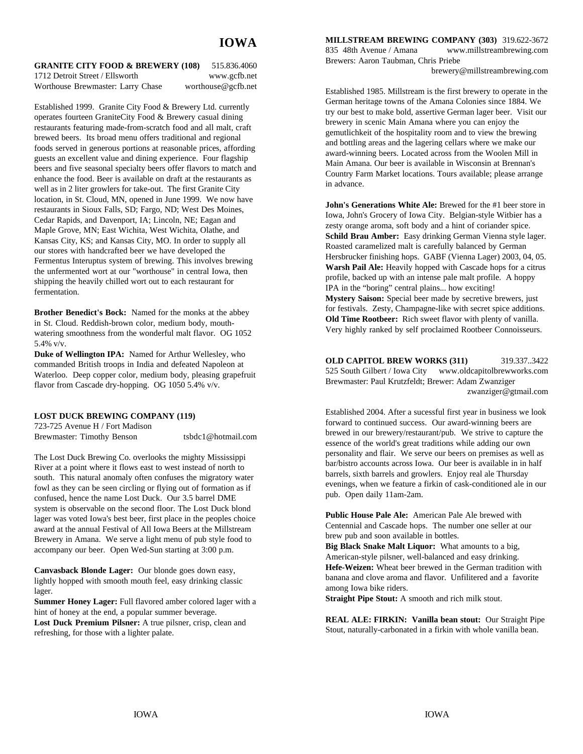| <b>GRANITE CITY FOOD &amp; BREWERY (108)</b> | 515.836.4060       |
|----------------------------------------------|--------------------|
| 1712 Detroit Street / Ellsworth              | www.gcfb.net       |
| Worthouse Brewmaster: Larry Chase            | worthouse@gcfb.net |

Established 1999. Granite City Food & Brewery Ltd. currently operates fourteen GraniteCity Food & Brewery casual dining restaurants featuring made-from-scratch food and all malt, craft brewed beers. Its broad menu offers traditional and regional foods served in generous portions at reasonable prices, affording guests an excellent value and dining experience. Four flagship beers and five seasonal specialty beers offer flavors to match and enhance the food. Beer is available on draft at the restaurants as well as in 2 liter growlers for take-out. The first Granite City location, in St. Cloud, MN, opened in June 1999. We now have restaurants in Sioux Falls, SD; Fargo, ND; West Des Moines, Cedar Rapids, and Davenport, IA; Lincoln, NE; Eagan and Maple Grove, MN; East Wichita, West Wichita, Olathe, and Kansas City, KS; and Kansas City, MO. In order to supply all our stores with handcrafted beer we have developed the Fermentus Interuptus system of brewing. This involves brewing the unfermented wort at our "worthouse" in central Iowa, then shipping the heavily chilled wort out to each restaurant for fermentation.

**Brother Benedict's Bock:** Named for the monks at the abbey in St. Cloud. Reddish-brown color, medium body, mouthwatering smoothness from the wonderful malt flavor. OG 1052 5.4% v/v.

**Duke of Wellington IPA:** Named for Arthur Wellesley, who commanded British troops in India and defeated Napoleon at Waterloo. Deep copper color, medium body, pleasing grapefruit flavor from Cascade dry-hopping. OG 1050 5.4% v/v.

#### **LOST DUCK BREWING COMPANY (119)**

723-725 Avenue H / Fort Madison Brewmaster: Timothy Benson tsbdc1@hotmail.com

The Lost Duck Brewing Co. overlooks the mighty Mississippi River at a point where it flows east to west instead of north to south. This natural anomaly often confuses the migratory water fowl as they can be seen circling or flying out of formation as if confused, hence the name Lost Duck. Our 3.5 barrel DME system is observable on the second floor. The Lost Duck blond lager was voted Iowa's best beer, first place in the peoples choice award at the annual Festival of All Iowa Beers at the Millstream Brewery in Amana. We serve a light menu of pub style food to accompany our beer. Open Wed-Sun starting at 3:00 p.m.

**Canvasback Blonde Lager:** Our blonde goes down easy, lightly hopped with smooth mouth feel, easy drinking classic lager.

**Summer Honey Lager:** Full flavored amber colored lager with a hint of honey at the end, a popular summer beverage.

**Lost Duck Premium Pilsner:** A true pilsner, crisp, clean and refreshing, for those with a lighter palate.

**MILLSTREAM BREWING COMPANY (303)** 319.622-3672

835 48th Avenue / Amana www.millstreambrewing.com Brewers: Aaron Taubman, Chris Priebe

brewery@millstreambrewing.com

Established 1985. Millstream is the first brewery to operate in the German heritage towns of the Amana Colonies since 1884. We try our best to make bold, assertive German lager beer. Visit our brewery in scenic Main Amana where you can enjoy the gemutlichkeit of the hospitality room and to view the brewing and bottling areas and the lagering cellars where we make our award-winning beers. Located across from the Woolen Mill in Main Amana. Our beer is available in Wisconsin at Brennan's Country Farm Market locations. Tours available; please arrange in advance.

**John's Generations White Ale:** Brewed for the #1 beer store in Iowa, John's Grocery of Iowa City. Belgian-style Witbier has a zesty orange aroma, soft body and a hint of coriander spice. **Schild Brau Amber:** Easy drinking German Vienna style lager. Roasted caramelized malt is carefully balanced by German Hersbrucker finishing hops. GABF (Vienna Lager) 2003, 04, 05. **Warsh Pail Ale:** Heavily hopped with Cascade hops for a citrus profile, backed up with an intense pale malt profile. A hoppy IPA in the "boring" central plains... how exciting! **Mystery Saison:** Special beer made by secretive brewers, just for festivals. Zesty, Champagne-like with secret spice additions. **Old Time Rootbeer:** Rich sweet flavor with plenty of vanilla. Very highly ranked by self proclaimed Rootbeer Connoisseurs.

**OLD CAPITOL BREW WORKS (311)** 319.337..3422 525 South Gilbert / Iowa City www.oldcapitolbrewworks.com Brewmaster: Paul Krutzfeldt; Brewer: Adam Zwanziger zwanziger@gtmail.com

Established 2004. After a sucessful first year in business we look forward to continued success. Our award-winning beers are brewed in our brewery/restaurant/pub. We strive to capture the essence of the world's great traditions while adding our own personality and flair. We serve our beers on premises as well as bar/bistro accounts across Iowa. Our beer is available in in half barrels, sixth barrels and growlers. Enjoy real ale Thursday evenings, when we feature a firkin of cask-conditioned ale in our pub. Open daily 11am-2am.

**Public House Pale Ale:** American Pale Ale brewed with Centennial and Cascade hops. The number one seller at our brew pub and soon available in bottles.

**Big Black Snake Malt Liquor:** What amounts to a big, American-style pilsner, well-balanced and easy drinking. **Hefe-Weizen:** Wheat beer brewed in the German tradition with banana and clove aroma and flavor. Unfilitered and a favorite among Iowa bike riders.

**Straight Pipe Stout:** A smooth and rich milk stout.

**REAL ALE: FIRKIN: Vanilla bean stout:** Our Straight Pipe Stout, naturally-carbonated in a firkin with whole vanilla bean.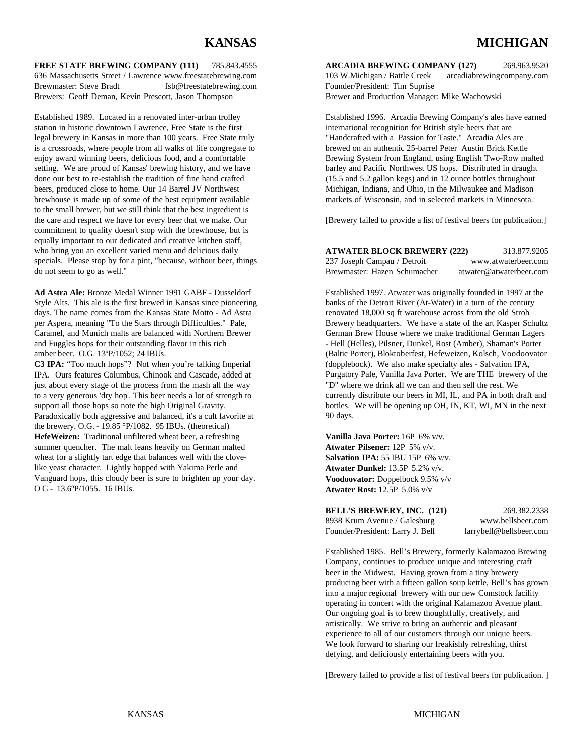# **KANSAS MICHIGAN**

**FREE STATE BREWING COMPANY (111)** 785.843.4555 **ARCADIA BREWING COMPANY (127)** 269.963.9520 636 Massachusetts Street / Lawrence www.freestatebrewing.com 103 W.Michigan / Battle Creek arcadiabrewingcompany.com Brewmaster: Steve Bradt fsb@freestatebrewing.com Founder/President: Tim Suprise Brewers: Geoff Deman, Kevin Prescott, Jason Thompson Brewer and Production Manager: Mike Wachowski

Established 1989. Located in a renovated inter-urban trolley Established 1996. Arcadia Brewing Company's ales have earned station in historic downtown Lawrence, Free State is the first international recognition for British style beers that are legal brewery in Kansas in more than 100 years. Free State truly "Handcrafted with a Passion for Taste." Arcadia Ales are is a crossroads, where people from all walks of life congregate to brewed on an authentic 25-barrel Peter Austin Brick Kettle enjoy award winning beers, delicious food, and a comfortable Brewing System from England, using English Two-Row malted setting. We are proud of Kansas' brewing history, and we have barley and Pacific Northwest US hops. Distributed in draught done our best to re-establish the tradition of fine hand crafted (15.5 and 5.2 gallon kegs) and in 12 ounce bottles throughout beers, produced close to home. Our 14 Barrel JV Northwest Michigan, Indiana, and Ohio, in the Milwaukee and Madison<br>brewhouse is made up of some of the best equipment available markets of Wisconsin, and in selected markets brewhouse is made up of some of the best equipment available to the small brewer, but we still think that the best ingredient is the care and respect we have for every beer that we make. Our [Brewery failed to provide a list of festival beers for publication.] commitment to quality doesn't stop with the brewhouse, but is equally important to our dedicated and creative kitchen staff, who bring you an excellent varied menu and delicious daily specials. Please stop by for a pint, "because, without beer, things do not seem to go as well."

**Ad Astra Ale:** Bronze Medal Winner 1991 GABF - Dusseldorf Established 1997. Atwater was originally founded in 1997 at the Style Alts. This ale is the first brewed in Kansas since pioneering banks of the Detroit River (At-Water) in a turn of the century days. The name comes from the Kansas State Motto - Ad Astra renovated 18,000 sq ft warehouse across from the old Stroh per Aspera, meaning "To the Stars through Difficulties." Pale, Brewery headquarters. We have a state of the art Kasper Schultz Caramel, and Munich malts are balanced with Northern Brewer German Brew House where we make traditional German Lagers and Fuggles hops for their outstanding flavor in this rich - Hell (Helles), Pilsner, Dunkel, Rost (Amber), Shaman's Porter amber beer. O.G. 13ºP/1052; 24 IBUs. (Baltic Porter), Bloktoberfest, Hefeweizen, Kolsch, Voodoovator

**C3 IPA:** "Too much hops"? Not when you're talking Imperial IPA. Ours features Columbus, Chinook and Cascade, added at just about every stage of the process from the mash all the way to a very generous 'dry hop'. This beer needs a lot of strength to support all those hops so note the high Original Gravity. Paradoxically both aggressive and balanced, it's a cult favorite at the brewery. O.G. - 19.85 °P/1082. 95 IBUs. (theoretical) **HefeWeizen:** Traditional unfiltered wheat beer, a refreshing summer quencher. The malt leans heavily on German malted **Atwater Pilsener:** 12P 5% v/v. wheat for a slightly tart edge that balances well with the clovelike yeast character. Lightly hopped with Yakima Perle and Vanguard hops, this cloudy beer is sure to brighten up your day. O G - 13.6ºP/1055. 16 IBUs.

| <b>ATWATER BLOCK BREWERY (222)</b> | 313.877.9205            |
|------------------------------------|-------------------------|
| 237 Joseph Campau / Detroit        | www.atwaterbeer.com     |
| Brewmaster: Hazen Schumacher       | atwater@atwaterbeer.com |

(dopplebock). We also make specialty ales - Salvation IPA, Purgatory Pale, Vanilla Java Porter. We are THE brewery of the "D" where we drink all we can and then sell the rest. We currently distribute our beers in MI, IL, and PA in both draft and bottles. We will be opening up OH, IN, KT, WI, MN in the next 90 days.

**Vanilla Java Porter:** 16P 6% v/v. **Salvation IPA:** 55 IBU 15P 6% v/v. **Atwater Dunkel:** 13.5P 5.2% v/v. **Voodoovator:** Doppelbock 9.5% v/v **Atwater Rost:** 12.5P 5.0% v/v

| <b>BELL'S BREWERY, INC. (121)</b> | 269.382.2338            |
|-----------------------------------|-------------------------|
| 8938 Krum Avenue / Galesburg      | www.bellsbeer.com       |
| Founder/President: Larry J. Bell  | larrybell@bellsbeer.com |

Established 1985. Bell's Brewery, formerly Kalamazoo Brewing Company, continues to produce unique and interesting craft beer in the Midwest. Having grown from a tiny brewery producing beer with a fifteen gallon soup kettle, Bell's has grown into a major regional brewery with our new Comstock facility operating in concert with the original Kalamazoo Avenue plant. Our ongoing goal is to brew thoughtfully, creatively, and artistically. We strive to bring an authentic and pleasant experience to all of our customers through our unique beers. We look forward to sharing our freakishly refreshing, thirst defying, and deliciously entertaining beers with you.

[Brewery failed to provide a list of festival beers for publication. ]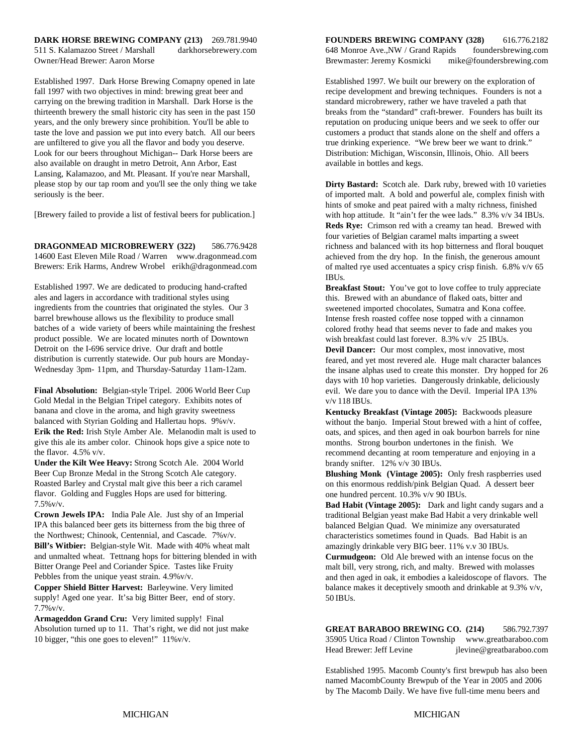# **DARK HORSE BREWING COMPANY (213)** 269.781.9940 **FOUNDERS BREWING COMPANY (328)** 616.776.2182

Established 1997. Dark Horse Brewing Comapny opened in late Established 1997. We built our brewery on the exploration of fall 1997 with two objectives in mind: brewing great beer and recipe development and brewing techniques. Founders is not a carrying on the brewing tradition in Marshall. Dark Horse is the standard microbrewery, rather we have traveled a path that thirteenth brewery the small historic city has seen in the past 150 breaks from the "standard" craft-brewer. Founders has built its years, and the only brewery since prohibition. You'll be able to reputation on producing unique beers and we seek to offer our taste the love and passion we put into every batch. All our beers customers a product that stands alone on the shelf and offers a are unfiltered to give you all the flavor and body you deserve. The true drinking experience. "We brew beer we want to drink." Look for our beers throughout Michigan-- Dark Horse beers are Distribution: Michigan, Wisconsin, Illinois, Ohio. All beers also available on draught in metro Detroit, Ann Arbor, East available in bottles and kegs. Lansing, Kalamazoo, and Mt. Pleasant. If you're near Marshall, please stop by our tap room and you'll see the only thing we take seriously is the beer.

[Brewery failed to provide a list of festival beers for publication.]

**DRAGONMEAD MICROBREWERY (322)** 586.776.9428 14600 East Eleven Mile Road / Warren www.dragonmead.com Brewers: Erik Harms, Andrew Wrobel erikh@dragonmead.com

Established 1997. We are dedicated to producing hand-crafted ales and lagers in accordance with traditional styles using ingredients from the countries that originated the styles. Our 3 barrel brewhouse allows us the flexibility to produce small batches of a wide variety of beers while maintaining the freshest product possible. We are located minutes north of Downtown Detroit on the I-696 service drive. Our draft and bottle distribution is currently statewide. Our pub hours are Monday-Wednesday 3pm- 11pm, and Thursday-Saturday 11am-12am.

**Final Absolution:** Belgian-style Tripel. 2006 World Beer Cup Gold Medal in the Belgian Tripel category. Exhibits notes of banana and clove in the aroma, and high gravity sweetness balanced with Styrian Golding and Hallertau hops. 9%v/v. **Erik the Red:** Irish Style Amber Ale. Melanodin malt is used to give this ale its amber color. Chinook hops give a spice note to the flavor. 4.5% v/v.

**Under the Kilt Wee Heavy:** Strong Scotch Ale. 2004 World Beer Cup Bronze Medal in the Strong Scotch Ale category. Roasted Barley and Crystal malt give this beer a rich caramel flavor. Golding and Fuggles Hops are used for bittering. 7.5%v/v.

**Crown Jewels IPA:** India Pale Ale. Just shy of an Imperial IPA this balanced beer gets its bitterness from the big three of the Northwest; Chinook, Centennial, and Cascade. 7%v/v. **Bill's Witbier:** Belgian-style Wit. Made with 40% wheat malt and unmalted wheat. Tettnang hops for bittering blended in with Bitter Orange Peel and Coriander Spice. Tastes like Fruity Pebbles from the unique yeast strain. 4.9%v/v.

**Copper Shield Bitter Harvest:** Barleywine. Very limited supply! Aged one year. It'sa big Bitter Beer, end of story. 7.7%v/v.

**Armageddon Grand Cru:** Very limited supply! Final Absolution turned up to 11. That's right, we did not just make 10 bigger, "this one goes to eleven!" 11%v/v.

511 S. Kalamazoo Street / Marshall darkhorsebrewery.com 648 Monroe Ave.,NW / Grand Rapids foundersbrewing.com Owner/Head Brewer: Aaron Morse Brewmaster: Jeremy Kosmicki mike@foundersbrewing.com

**Dirty Bastard:** Scotch ale. Dark ruby, brewed with 10 varieties of imported malt. A bold and powerful ale, complex finish with hints of smoke and peat paired with a malty richness, finished with hop attitude. It "ain't fer the wee lads." 8.3% v/v 34 IBUs. **Reds Rye:** Crimson red with a creamy tan head. Brewed with four varieties of Belgian caramel malts imparting a sweet richness and balanced with its hop bitterness and floral bouquet achieved from the dry hop. In the finish, the generous amount of malted rye used accentuates a spicy crisp finish. 6.8% v/v 65 IBUs.

**Breakfast Stout:** You've got to love coffee to truly appreciate this. Brewed with an abundance of flaked oats, bitter and sweetened imported chocolates, Sumatra and Kona coffee. Intense fresh roasted coffee nose topped with a cinnamon colored frothy head that seems never to fade and makes you wish breakfast could last forever. 8.3% v/v 25 IBUs.

**Devil Dancer:** Our most complex, most innovative, most feared, and yet most revered ale. Huge malt character balances the insane alphas used to create this monster. Dry hopped for 26 days with 10 hop varieties. Dangerously drinkable, deliciously evil. We dare you to dance with the Devil. Imperial IPA 13% v/v 118 IBUs.

**Kentucky Breakfast (Vintage 2005):** Backwoods pleasure without the banjo. Imperial Stout brewed with a hint of coffee, oats, and spices, and then aged in oak bourbon barrels for nine months. Strong bourbon undertones in the finish. We recommend decanting at room temperature and enjoying in a brandy snifter. 12% v/v 30 IBUs.

**Blushing Monk (Vintage 2005):** Only fresh raspberries used on this enormous reddish/pink Belgian Quad. A dessert beer one hundred percent. 10.3% v/v 90 IBUs.

**Bad Habit (Vintage 2005):** Dark and light candy sugars and a traditional Belgian yeast make Bad Habit a very drinkable well balanced Belgian Quad. We minimize any oversaturated characteristics sometimes found in Quads. Bad Habit is an amazingly drinkable very BIG beer. 11% v.v 30 IBUs.

**Curmudgeon:** Old Ale brewed with an intense focus on the malt bill, very strong, rich, and malty. Brewed with molasses and then aged in oak, it embodies a kaleidoscope of flavors. The balance makes it deceptively smooth and drinkable at 9.3% v/v, 50 IBUs.

**GREAT BARABOO BREWING CO. (214)** 586.792.7397 35905 Utica Road / Clinton Township www.greatbaraboo.com Head Brewer: Jeff Levine jlevine@greatbaraboo.com

Established 1995. Macomb County's first brewpub has also been named MacombCounty Brewpub of the Year in 2005 and 2006 by The Macomb Daily. We have five full-time menu beers and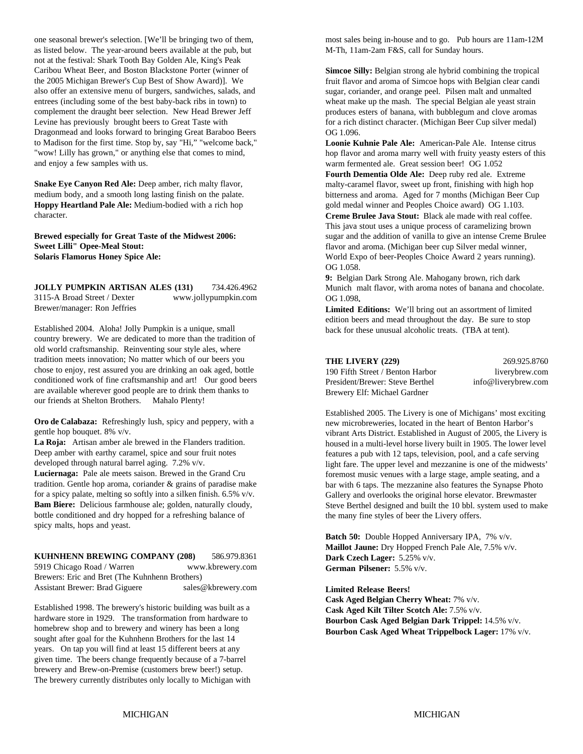as listed below. The year-around beers available at the pub, but M-Th, 11am-2am F&S, call for Sunday hours. not at the festival: Shark Tooth Bay Golden Ale, King's Peak Caribou Wheat Beer, and Boston Blackstone Porter (winner of the 2005 Michigan Brewer's Cup Best of Show Award)]. We also offer an extensive menu of burgers, sandwiches, salads, and entrees (including some of the best baby-back ribs in town) to complement the draught beer selection. New Head Brewer Jeff Levine has previously brought beers to Great Taste with Dragonmead and looks forward to bringing Great Baraboo Beers to Madison for the first time. Stop by, say "Hi," "welcome back," "wow! Lilly has grown," or anything else that comes to mind, and enjoy a few samples with us.

**Snake Eye Canyon Red Ale:** Deep amber, rich malty flavor, medium body, and a smooth long lasting finish on the palate. **Hoppy Heartland Pale Ale:** Medium-bodied with a rich hop character.

**Brewed especially for Great Taste of the Midwest 2006: Sweet Lilli" Opee-Meal Stout: Solaris Flamorus Honey Spice Ale:**

**JOLLY PUMPKIN ARTISAN ALES (131)** 734.426.4962 3115-A Broad Street / Dexter www.jollypumpkin.com Brewer/manager: Ron Jeffries

Established 2004. Aloha! Jolly Pumpkin is a unique, small country brewery. We are dedicated to more than the tradition of old world craftsmanship. Reinventing sour style ales, where tradition meets innovation; No matter which of our beers you chose to enjoy, rest assured you are drinking an oak aged, bottle conditioned work of fine craftsmanship and art! Our good beers are available wherever good people are to drink them thanks to our friends at Shelton Brothers. Mahalo Plenty!

**Oro de Calabaza:** Refreshingly lush, spicy and peppery, with a gentle hop bouquet. 8% v/v.

**La Roja:** Artisan amber ale brewed in the Flanders tradition. Deep amber with earthy caramel, spice and sour fruit notes developed through natural barrel aging. 7.2% v/v.

**Luciernaga:** Pale ale meets saison. Brewed in the Grand Cru tradition. Gentle hop aroma, coriander & grains of paradise make for a spicy palate, melting so softly into a silken finish. 6.5% v/v. **Bam Biere:** Delicious farmhouse ale; golden, naturally cloudy, bottle conditioned and dry hopped for a refreshing balance of spicy malts, hops and yeast.

#### **KUHNHENN BREWING COMPANY (208)** 586.979.8361

5919 Chicago Road / Warren www.kbrewery.com Brewers: Eric and Bret (The Kuhnhenn Brothers) Assistant Brewer: Brad Giguere sales@kbrewery.com

Established 1998. The brewery's historic building was built as a hardware store in 1929. The transformation from hardware to homebrew shop and to brewery and winery has been a long sought after goal for the Kuhnhenn Brothers for the last 14 years. On tap you will find at least 15 different beers at any given time. The beers change frequently because of a 7-barrel brewery and Brew-on-Premise (customers brew beer!) setup. The brewery currently distributes only locally to Michigan with

one seasonal brewer's selection. [We'll be bringing two of them, most sales being in-house and to go. Pub hours are 11am-12M

**Simcoe Silly:** Belgian strong ale hybrid combining the tropical fruit flavor and aroma of Simcoe hops with Belgian clear candi sugar, coriander, and orange peel. Pilsen malt and unmalted wheat make up the mash. The special Belgian ale yeast strain produces esters of banana, with bubblegum and clove aromas for a rich distinct character. (Michigan Beer Cup silver medal) OG 1.096.

**Loonie Kuhnie Pale Ale:** American-Pale Ale. Intense citrus hop flavor and aroma marry well with fruity yeasty esters of this warm fermented ale. Great session beer! OG 1.052

**Fourth Dementia Olde Ale:** Deep ruby red ale. Extreme malty-caramel flavor, sweet up front, finishing with high hop bitterness and aroma. Aged for 7 months (Michigan Beer Cup gold medal winner and Peoples Choice award) OG 1.103.

**Creme Brulee Java Stout:** Black ale made with real coffee. This java stout uses a unique process of caramelizing brown sugar and the addition of vanilla to give an intense Creme Brulee flavor and aroma. (Michigan beer cup Silver medal winner, World Expo of beer-Peoples Choice Award 2 years running). OG 1.058.

**9:** Belgian Dark Strong Ale. Mahogany brown, rich dark Munich malt flavor, with aroma notes of banana and chocolate. OG 1.098**.**

**Limited Editions:** We'll bring out an assortment of limited edition beers and mead throughout the day. Be sure to stop back for these unusual alcoholic treats. (TBA at tent).

### **THE LIVERY (220)** 260.025.8760

|                                  | ---------           |
|----------------------------------|---------------------|
| 190 Fifth Street / Benton Harbor | liverybrew.com      |
| President/Brewer: Steve Berthel  | info@liverybrew.com |
| Brewery Elf: Michael Gardner     |                     |

Established 2005. The Livery is one of Michigans' most exciting new microbreweries, located in the heart of Benton Harbor's vibrant Arts District. Established in August of 2005, the Livery is housed in a multi-level horse livery built in 1905. The lower level features a pub with 12 taps, television, pool, and a cafe serving light fare. The upper level and mezzanine is one of the midwests' foremost music venues with a large stage, ample seating, and a bar with 6 taps. The mezzanine also features the Synapse Photo Gallery and overlooks the original horse elevator. Brewmaster Steve Berthel designed and built the 10 bbl. system used to make the many fine styles of beer the Livery offers.

**Batch 50:** Double Hopped Anniversary IPA, 7% v/v. **Maillot Jaune:** Dry Hopped French Pale Ale, 7.5% v/v. **Dark Czech Lager:** 5.25% v/v. **German Pilsener:** 5.5% v/v.

**Limited Release Beers!**

**Cask Aged Belgian Cherry Wheat:** 7% v/v. **Cask Aged Kilt Tilter Scotch Ale:** 7.5% v/v. **Bourbon Cask Aged Belgian Dark Trippel:** 14.5% v/v. **Bourbon Cask Aged Wheat Trippelbock Lager:** 17% v/v.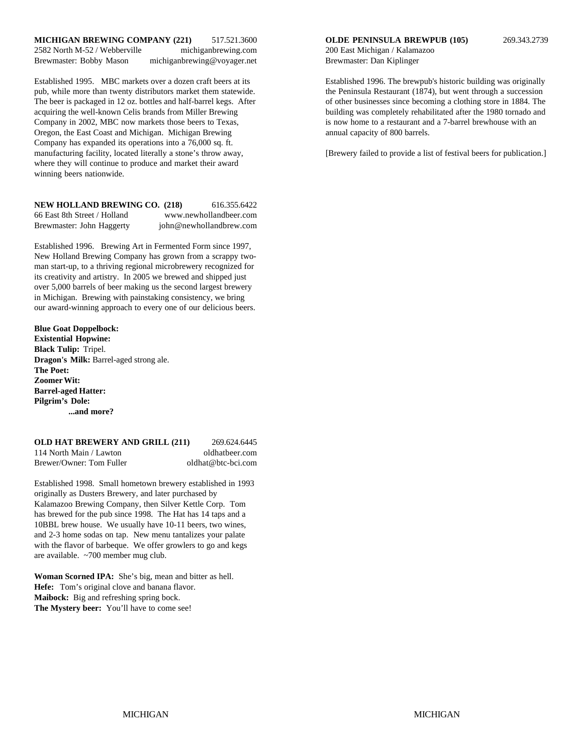#### **MICHIGAN BREWING COMPANY (221)** 517.521.3600 **OLDE PENINSULA BREWPUB (105)** 269.343.2739 2582 North M-52 / Webberville michiganbrewing.com 200 East Michigan / Kalamazoo Brewmaster: Bobby Mason michiganbrewing@voyager.net Brewmaster: Dan Kiplinger

pub, while more than twenty distributors market them statewide. the Peninsula Restaurant (1874), but went through a succession The beer is packaged in 12 oz. bottles and half-barrel kegs. After of other businesses since becoming a clothing store in 1884. The acquiring the well-known Celis brands from Miller Brewing building was completely rehabilitated after the 1980 tornado and Company in 2002, MBC now markets those beers to Texas, is now home to a restaurant and a 7-barrel brewhouse with an Oregon, the East Coast and Michigan. Michigan Brewing annual capacity of 800 barrels. Company has expanded its operations into a 76,000 sq. ft. manufacturing facility, located literally a stone's throw away, [Brewery failed to provide a list of festival beers for publication.] where they will continue to produce and market their award winning beers nationwide.

| NEW HOLLAND BREWING CO. (218) | 616.355.6422            |
|-------------------------------|-------------------------|
| 66 East 8th Street / Holland  | www.newhollandbeer.com  |
| Brewmaster: John Haggerty     | john@newhollandbrew.com |

Established 1996. Brewing Art in Fermented Form since 1997, New Holland Brewing Company has grown from a scrappy twoman start-up, to a thriving regional microbrewery recognized for its creativity and artistry. In 2005 we brewed and shipped just over 5,000 barrels of beer making us the second largest brewery in Michigan. Brewing with painstaking consistency, we bring our award-winning approach to every one of our delicious beers.

#### **Blue Goat Doppelbock: Existential Hopwine: Black Tulip:** Tripel. **Dragon's Milk:** Barrel-aged strong ale. **The Poet: Zoomer Wit: Barrel-aged Hatter: Pilgrim's Dole: ...and more?**

#### **OLD HAT BREWERY AND GRILL (211)** 269.624.6445 114 North Main / Lawton oldhatbeer.com Brewer/Owner: Tom Fuller oldhat@btc-bci.com

Established 1998. Small hometown brewery established in 1993 originally as Dusters Brewery, and later purchased by Kalamazoo Brewing Company, then Silver Kettle Corp. Tom has brewed for the pub since 1998. The Hat has 14 taps and a 10BBL brew house. We usually have 10-11 beers, two wines, and 2-3 home sodas on tap. New menu tantalizes your palate with the flavor of barbeque. We offer growlers to go and kegs are available. ~700 member mug club.

**Woman Scorned IPA:** She's big, mean and bitter as hell. **Hefe:** Tom's original clove and banana flavor. **Maibock:** Big and refreshing spring bock. **The Mystery beer:** You'll have to come see!

Established 1995. MBC markets over a dozen craft beers at its Established 1996. The brewpub's historic building was originally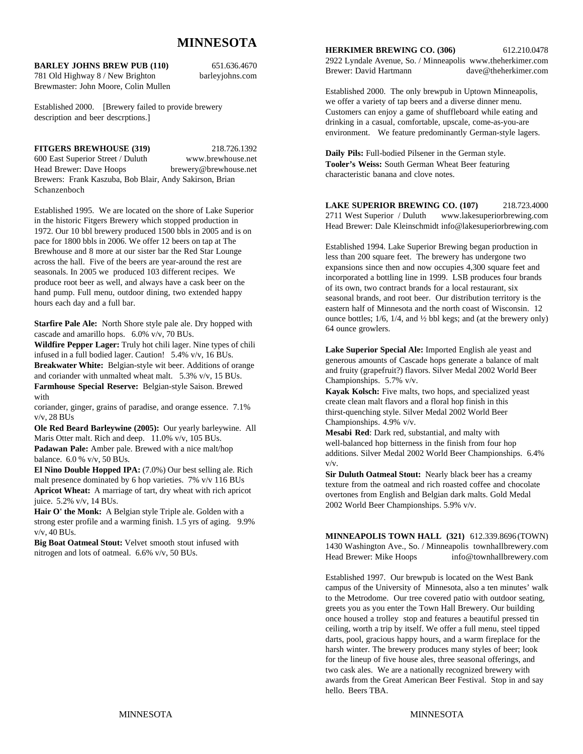# **MINNESOTA**

**BARLEY JOHNS BREW PUB (110)** 651.636.4670

781 Old Highway 8 / New Brighton barleyjohns.com Brewmaster: John Moore, Colin Mullen

Established 2000. [Brewery failed to provide brewery description and beer descrptions.]

#### **FITGERS BREWHOUSE (319)** 218.726.1392

Schanzenboch

600 East Superior Street / Duluth www.brewhouse.net Head Brewer: Dave Hoops brewery@brewhouse.net Brewers: Frank Kaszuba, Bob Blair, Andy Sakirson, Brian

Established 1995. We are located on the shore of Lake Superior in the historic Fitgers Brewery which stopped production in 1972. Our 10 bbl brewery produced 1500 bbls in 2005 and is on pace for 1800 bbls in 2006. We offer 12 beers on tap at The Brewhouse and 8 more at our sister bar the Red Star Lounge across the hall. Five of the beers are year-around the rest are seasonals. In 2005 we produced 103 different recipes. We produce root beer as well, and always have a cask beer on the hand pump. Full menu, outdoor dining, two extended happy hours each day and a full bar.

**Starfire Pale Ale:** North Shore style pale ale. Dry hopped with cascade and amarillo hops. 6.0% v/v, 70 BUs.

**Wildfire Pepper Lager:** Truly hot chili lager. Nine types of chili infused in a full bodied lager. Caution! 5.4% v/v, 16 BUs.

**Breakwater White:** Belgian-style wit beer. Additions of orange and coriander with unmalted wheat malt. 5.3% v/v, 15 BUs. **Farmhouse Special Reserve:** Belgian-style Saison. Brewed with

coriander, ginger, grains of paradise, and orange essence. 7.1% v/v, 28 BUs

**Ole Red Beard Barleywine (2005):** Our yearly barleywine. All Maris Otter malt. Rich and deep. 11.0% v/v, 105 BUs. **Padawan Pale:** Amber pale. Brewed with a nice malt/hop balance. 6.0 % v/v, 50 BUs.

**El Nino Double Hopped IPA:** (7.0%) Our best selling ale. Rich malt presence dominated by 6 hop varieties. 7% v/v 116 BUs **Apricot Wheat:** A marriage of tart, dry wheat with rich apricot juice. 5.2% v/v, 14 BUs.

**Hair O' the Monk:** A Belgian style Triple ale. Golden with a strong ester profile and a warming finish. 1.5 yrs of aging. 9.9% v/v, 40 BUs.

**Big Boat Oatmeal Stout:** Velvet smooth stout infused with nitrogen and lots of oatmeal. 6.6% v/v, 50 BUs.

**HERKIMER BREWING CO. (306)** 612.210.0478

2922 Lyndale Avenue, So. / Minneapolis www.theherkimer.com Brewer: David Hartmann dave@theherkimer.com

Established 2000. The only brewpub in Uptown Minneapolis, we offer a variety of tap beers and a diverse dinner menu. Customers can enjoy a game of shuffleboard while eating and drinking in a casual, comfortable, upscale, come-as-you-are environment. We feature predominantly German-style lagers.

**Daily Pils:** Full-bodied Pilsener in the German style. **Tooler's Weiss:** South German Wheat Beer featuring characteristic banana and clove notes.

**LAKE SUPERIOR BREWING CO. (107)** 218.723.4000 2711 West Superior / Duluth www.lakesuperiorbrewing.com Head Brewer: Dale Kleinschmidt info@lakesuperiorbrewing.com

Established 1994. Lake Superior Brewing began production in less than 200 square feet. The brewery has undergone two expansions since then and now occupies 4,300 square feet and incorporated a bottling line in 1999. LSB produces four brands of its own, two contract brands for a local restaurant, six seasonal brands, and root beer. Our distribution territory is the eastern half of Minnesota and the north coast of Wisconsin. 12 ounce bottles; 1/6, 1/4, and ½ bbl kegs; and (at the brewery only) 64 ounce growlers.

**Lake Superior Special Ale:** Imported English ale yeast and generous amounts of Cascade hops generate a balance of malt and fruity (grapefruit?) flavors. Silver Medal 2002 World Beer Championships. 5.7% v/v.

**Kayak Kolsch:** Five malts, two hops, and specialized yeast create clean malt flavors and a floral hop finish in this thirst-quenching style. Silver Medal 2002 World Beer Championships. 4.9% v/v.

**Mesabi Red**: Dark red, substantial, and malty with well-balanced hop bitterness in the finish from four hop additions. Silver Medal 2002 World Beer Championships. 6.4% v/v.

**Sir Duluth Oatmeal Stout:** Nearly black beer has a creamy texture from the oatmeal and rich roasted coffee and chocolate overtones from English and Belgian dark malts. Gold Medal 2002 World Beer Championships. 5.9% v/v.

**MINNEAPOLIS TOWN HALL (321)** 612.339.8696 (TOWN) 1430 Washington Ave., So. / Minneapolis townhallbrewery.com Head Brewer: Mike Hoops info@townhallbrewery.com

Established 1997. Our brewpub is located on the West Bank campus of the University of Minnesota, also a ten minutes' walk to the Metrodome. Our tree covered patio with outdoor seating, greets you as you enter the Town Hall Brewery. Our building once housed a trolley stop and features a beautiful pressed tin ceiling, worth a trip by itself. We offer a full menu, steel tipped darts, pool, gracious happy hours, and a warm fireplace for the harsh winter. The brewery produces many styles of beer; look for the lineup of five house ales, three seasonal offerings, and two cask ales. We are a nationally recognized brewery with awards from the Great American Beer Festival. Stop in and say hello. Beers TBA.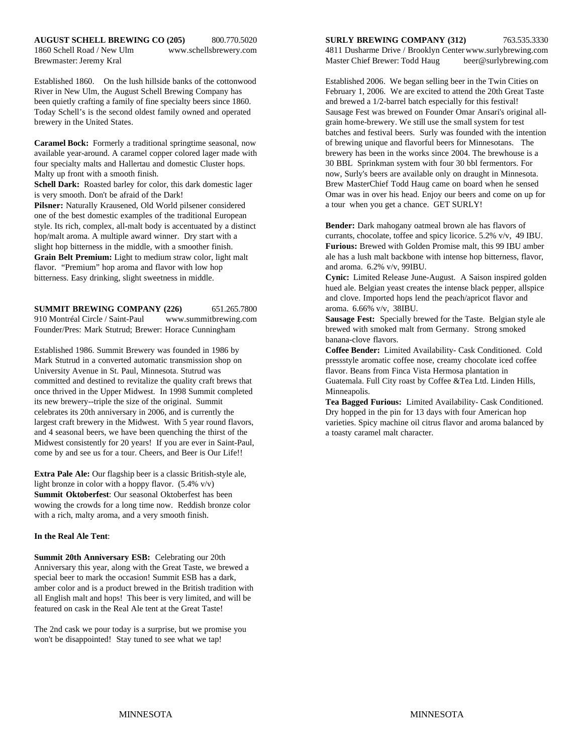Established 1860. On the lush hillside banks of the cottonwood Established 2006. We began selling beer in the Twin Cities on River in New Ulm, the August Schell Brewing Company has February 1, 2006. We are excited to attend the 20th Great Taste been quietly crafting a family of fine specialty beers since 1860. and brewed a 1/2-barrel batch especially for this festival! Today Schell's is the second oldest family owned and operated Sausage Fest was brewed on Founder Omar Ansari's original allbrewery in the United States. grain home-brewery. We still use the small system for test

**Caramel Bock:** Formerly a traditional springtime seasonal, now available year-around. A caramel copper colored lager made with four specialty malts and Hallertau and domestic Cluster hops. Malty up front with a smooth finish.

**Schell Dark:** Roasted barley for color, this dark domestic lager is very smooth. Don't be afraid of the Dark!

**Pilsner:** Naturally Krausened, Old World pilsener considered one of the best domestic examples of the traditional European style. Its rich, complex, all-malt body is accentuated by a distinct hop/malt aroma. A multiple award winner. Dry start with a slight hop bitterness in the middle, with a smoother finish. **Grain Belt Premium:** Light to medium straw color, light malt flavor. "Premium" hop aroma and flavor with low hop bitterness. Easy drinking, slight sweetness in middle.

**SUMMIT BREWING COMPANY (226)** 651.265.7800 910 Montréal Circle / Saint-Paul www.summitbrewing.com Founder/Pres: Mark Stutrud; Brewer: Horace Cunningham

Mark Stutrud in a converted automatic transmission shop on pressstyle aromatic coffee nose, creamy chocolate iced coffee University Avenue in St. Paul, Minnesota. Stutrud was flavor. Beans from Finca Vista Hermosa plantation in committed and destined to revitalize the quality craft brews that Guatemala. Full City roast by Coffee &Tea Ltd. Linden Hills, once thrived in the Upper Midwest. In 1998 Summit completed Minneapolis. its new brewery--triple the size of the original. Summit celebrates its 20th anniversary in 2006, and is currently the largest craft brewery in the Midwest. With 5 year round flavors, and 4 seasonal beers, we have been quenching the thirst of the Midwest consistently for 20 years! If you are ever in Saint-Paul, come by and see us for a tour. Cheers, and Beer is Our Life!!

**Extra Pale Ale:** Our flagship beer is a classic British-style ale, light bronze in color with a hoppy flavor. (5.4% v/v) **Summit Oktoberfest**: Our seasonal Oktoberfest has been wowing the crowds for a long time now. Reddish bronze color with a rich, malty aroma, and a very smooth finish.

#### **In the Real Ale Tent**:

**Summit 20th Anniversary ESB:** Celebrating our 20th Anniversary this year, along with the Great Taste, we brewed a special beer to mark the occasion! Summit ESB has a dark, amber color and is a product brewed in the British tradition with all English malt and hops! This beer is very limited, and will be featured on cask in the Real Ale tent at the Great Taste!

The 2nd cask we pour today is a surprise, but we promise you won't be disappointed! Stay tuned to see what we tap!

1860 Schell Road / New Ulm www.schellsbrewery.com 4811 Dusharme Drive / Brooklyn Center www.surlybrewing.com Brewmaster: Jeremy Kral Master Chief Brewer: Todd Haug beer@surlybrewing.com

> batches and festival beers. Surly was founded with the intention of brewing unique and flavorful beers for Minnesotans. The brewery has been in the works since 2004. The brewhouse is a 30 BBL Sprinkman system with four 30 bbl fermentors. For now, Surly's beers are available only on draught in Minnesota. Brew MasterChief Todd Haug came on board when he sensed Omar was in over his head. Enjoy our beers and come on up for a tour when you get a chance. GET SURLY!

**Bender:** Dark mahogany oatmeal brown ale has flavors of currants, chocolate, toffee and spicy licorice. 5.2% v/v, 49 IBU. **Furious:** Brewed with Golden Promise malt, this 99 IBU amber ale has a lush malt backbone with intense hop bitterness, flavor, and aroma. 6.2% v/v, 99IBU.

**Cynic:** Limited Release June-August. A Saison inspired golden hued ale. Belgian yeast creates the intense black pepper, allspice and clove. Imported hops lend the peach/apricot flavor and aroma. 6.66% v/v, 38IBU.

**Sausage Fest:** Specially brewed for the Taste. Belgian style ale brewed with smoked malt from Germany. Strong smoked banana-clove flavors.

Established 1986. Summit Brewery was founded in 1986 by **Coffee Bender:** Limited Availability- Cask Conditioned. Cold

**Tea Bagged Furious:** Limited Availability- Cask Conditioned. Dry hopped in the pin for 13 days with four American hop varieties. Spicy machine oil citrus flavor and aroma balanced by a toasty caramel malt character.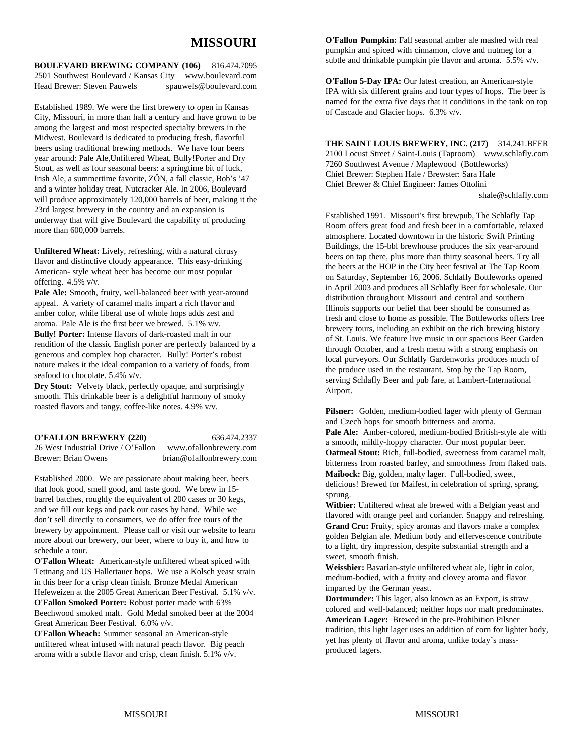# **MISSOURI**

**BOULEVARD BREWING COMPANY (106)** 816.474.7095 2501 Southwest Boulevard / Kansas City www.boulevard.com Head Brewer: Steven Pauwels spauwels@boulevard.com

Established 1989. We were the first brewery to open in Kansas City, Missouri, in more than half a century and have grown to be among the largest and most respected specialty brewers in the Midwest. Boulevard is dedicated to producing fresh, flavorful beers using traditional brewing methods. We have four beers year around: Pale Ale,Unfiltered Wheat, Bully!Porter and Dry Stout, as well as four seasonal beers: a springtime bit of luck, Irish Ale, a summertime favorite, ZÔN, a fall classic, Bob's '47 and a winter holiday treat, Nutcracker Ale. In 2006, Boulevard will produce approximately 120,000 barrels of beer, making it the 23rd largest brewery in the country and an expansion is underway that will give Boulevard the capability of producing more than 600,000 barrels.

**Unfiltered Wheat:** Lively, refreshing, with a natural citrusy flavor and distinctive cloudy appearance. This easy-drinking American- style wheat beer has become our most popular offering. 4.5% v/v.

**Pale Ale:** Smooth, fruity, well-balanced beer with year-around appeal. A variety of caramel malts impart a rich flavor and amber color, while liberal use of whole hops adds zest and aroma. Pale Ale is the first beer we brewed. 5.1% v/v. **Bully! Porter:** Intense flavors of dark-roasted malt in our rendition of the classic English porter are perfectly balanced by a generous and complex hop character. Bully! Porter's robust nature makes it the ideal companion to a variety of foods, from seafood to chocolate. 5.4% v/v.

**Dry Stout:** Velvety black, perfectly opaque, and surprisingly smooth. This drinkable beer is a delightful harmony of smoky roasted flavors and tangy, coffee-like notes. 4.9% v/v.

**O'FALLON BREWERY (220)** 636.474.2337 26 West Industrial Drive / O'Fallon www.ofallonbrewery.com Brewer: Brian Owens brian@ofallonbrewery.com

Established 2000. We are passionate about making beer, beers that look good, smell good, and taste good. We brew in 15 barrel batches, roughly the equivalent of 200 cases or 30 kegs, and we fill our kegs and pack our cases by hand. While we don't sell directly to consumers, we do offer free tours of the brewery by appointment. Please call or visit our website to learn more about our brewery, our beer, where to buy it, and how to schedule a tour.

**O'Fallon Wheat:** American-style unfiltered wheat spiced with Tettnang and US Hallertauer hops. We use a Kolsch yeast strain in this beer for a crisp clean finish. Bronze Medal American Hefeweizen at the 2005 Great American Beer Festival. 5.1% v/v. **O'Fallon Smoked Porter:** Robust porter made with 63% Beechwood smoked malt. Gold Medal smoked beer at the 2004 Great American Beer Festival. 6.0% v/v.

**O'Fallon Wheach:** Summer seasonal an American-style unfiltered wheat infused with natural peach flavor. Big peach aroma with a subtle flavor and crisp, clean finish. 5.1% v/v.

**O'Fallon Pumpkin:** Fall seasonal amber ale mashed with real pumpkin and spiced with cinnamon, clove and nutmeg for a subtle and drinkable pumpkin pie flavor and aroma. 5.5% v/v.

**O'Fallon 5-Day IPA:** Our latest creation, an American-style IPA with six different grains and four types of hops. The beer is named for the extra five days that it conditions in the tank on top of Cascade and Glacier hops. 6.3% v/v.

**THE SAINT LOUIS BREWERY, INC. (217)** 314.241.BEER 2100 Locust Street / Saint-Louis (Taproom) www.schlafly.com 7260 Southwest Avenue / Maplewood (Bottleworks) Chief Brewer: Stephen Hale / Brewster: Sara Hale Chief Brewer & Chief Engineer: James Ottolini shale@schlafly.com

Established 1991. Missouri's first brewpub, The Schlafly Tap Room offers great food and fresh beer in a comfortable, relaxed atmosphere. Located downtown in the historic Swift Printing Buildings, the 15-bbl brewhouse produces the six year-around beers on tap there, plus more than thirty seasonal beers. Try all the beers at the HOP in the City beer festival at The Tap Room on Saturday, September 16, 2006. Schlafly Bottleworks opened in April 2003 and produces all Schlafly Beer for wholesale. Our distribution throughout Missouri and central and southern Illinois supports our belief that beer should be consumed as fresh and close to home as possible. The Bottleworks offers free brewery tours, including an exhibit on the rich brewing history of St. Louis. We feature live music in our spacious Beer Garden through October, and a fresh menu with a strong emphasis on local purveyors. Our Schlafly Gardenworks produces much of the produce used in the restaurant. Stop by the Tap Room, serving Schlafly Beer and pub fare, at Lambert-International Airport.

**Pilsner:** Golden, medium-bodied lager with plenty of German and Czech hops for smooth bitterness and aroma. **Pale Ale:** Amber-colored, medium-bodied British-style ale with a smooth, mildly-hoppy character. Our most popular beer. **Oatmeal Stout:** Rich, full-bodied, sweetness from caramel malt, bitterness from roasted barley, and smoothness from flaked oats. **Maibock:** Big, golden, malty lager. Full-bodied, sweet, delicious! Brewed for Maifest, in celebration of spring, sprang, sprung.

**Witbier:** Unfiltered wheat ale brewed with a Belgian yeast and flavored with orange peel and coriander. Snappy and refreshing. **Grand Cru:** Fruity, spicy aromas and flavors make a complex golden Belgian ale. Medium body and effervescence contribute to a light, dry impression, despite substantial strength and a sweet, smooth finish.

**Weissbier:** Bavarian-style unfiltered wheat ale, light in color, medium-bodied, with a fruity and clovey aroma and flavor imparted by the German yeast.

**Dortmunder:** This lager, also known as an Export, is straw colored and well-balanced; neither hops nor malt predominates. **American Lager:** Brewed in the pre-Prohibition Pilsner tradition, this light lager uses an addition of corn for lighter body, yet has plenty of flavor and aroma, unlike today's massproduced lagers.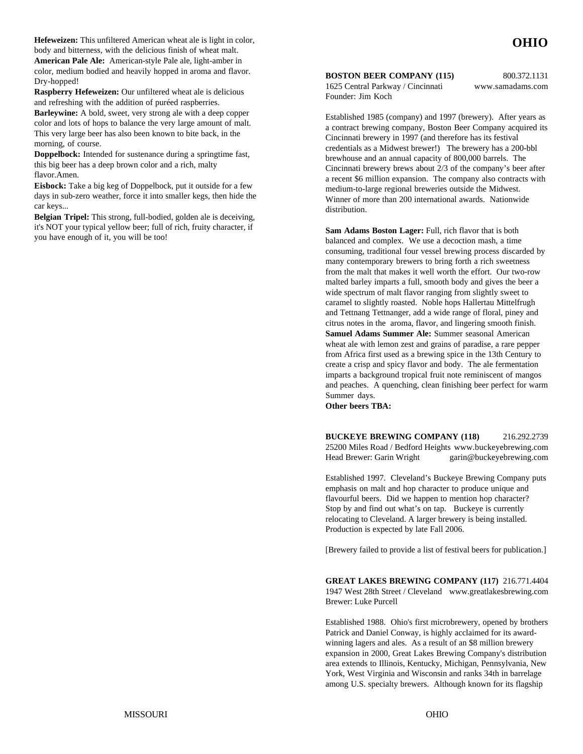**Hefeweizen:** This unfiltered American wheat ale is light in color, body and bitterness, with the delicious finish of wheat malt. **American Pale Ale:** American-style Pale ale, light-amber in color, medium bodied and heavily hopped in aroma and flavor. Dry-hopped!

**Raspberry Hefeweizen:** Our unfiltered wheat ale is delicious and refreshing with the addition of puréed raspberries.

**Barleywine:** A bold, sweet, very strong ale with a deep copper color and lots of hops to balance the very large amount of malt. This very large beer has also been known to bite back, in the morning, of course.

**Doppelbock:** Intended for sustenance during a springtime fast, this big beer has a deep brown color and a rich, malty flavor.Amen.

**Eisbock:** Take a big keg of Doppelbock, put it outside for a few days in sub-zero weather, force it into smaller kegs, then hide the car keys...

**Belgian Tripel:** This strong, full-bodied, golden ale is deceiving, it's NOT your typical yellow beer; full of rich, fruity character, if you have enough of it, you will be too!

**BOSTON BEER COMPANY (115)** 800.372.1131

Founder: Jim Koch

1625 Central Parkway / Cincinnati www.samadams.com

Established 1985 (company) and 1997 (brewery). After years as a contract brewing company, Boston Beer Company acquired its Cincinnati brewery in 1997 (and therefore has its festival credentials as a Midwest brewer!) The brewery has a 200-bbl brewhouse and an annual capacity of 800,000 barrels. The Cincinnati brewery brews about 2/3 of the company's beer after a recent \$6 million expansion. The company also contracts with medium-to-large regional breweries outside the Midwest. Winner of more than 200 international awards. Nationwide distribution.

**Sam Adams Boston Lager:** Full, rich flavor that is both balanced and complex. We use a decoction mash, a time consuming, traditional four vessel brewing process discarded by many contemporary brewers to bring forth a rich sweetness from the malt that makes it well worth the effort. Our two-row malted barley imparts a full, smooth body and gives the beer a wide spectrum of malt flavor ranging from slightly sweet to caramel to slightly roasted. Noble hops Hallertau Mittelfrugh and Tettnang Tettnanger, add a wide range of floral, piney and citrus notes in the aroma, flavor, and lingering smooth finish. **Samuel Adams Summer Ale:** Summer seasonal American wheat ale with lemon zest and grains of paradise, a rare pepper from Africa first used as a brewing spice in the 13th Century to create a crisp and spicy flavor and body. The ale fermentation imparts a background tropical fruit note reminiscent of mangos and peaches. A quenching, clean finishing beer perfect for warm Summer days.

**Other beers TBA:**

**BUCKEYE BREWING COMPANY (118)** 216.292.2739 25200 Miles Road / Bedford Heights www.buckeyebrewing.com Head Brewer: Garin Wright garin@buckeyebrewing.com

Established 1997. Cleveland's Buckeye Brewing Company puts emphasis on malt and hop character to produce unique and flavourful beers. Did we happen to mention hop character? Stop by and find out what's on tap. Buckeye is currently relocating to Cleveland. A larger brewery is being installed. Production is expected by late Fall 2006.

[Brewery failed to provide a list of festival beers for publication.]

**GREAT LAKES BREWING COMPANY (117)** 216.771.4404 1947 West 28th Street / Cleveland www.greatlakesbrewing.com Brewer: Luke Purcell

Established 1988. Ohio's first microbrewery, opened by brothers Patrick and Daniel Conway, is highly acclaimed for its awardwinning lagers and ales. As a result of an \$8 million brewery expansion in 2000, Great Lakes Brewing Company's distribution area extends to Illinois, Kentucky, Michigan, Pennsylvania, New York, West Virginia and Wisconsin and ranks 34th in barrelage among U.S. specialty brewers. Although known for its flagship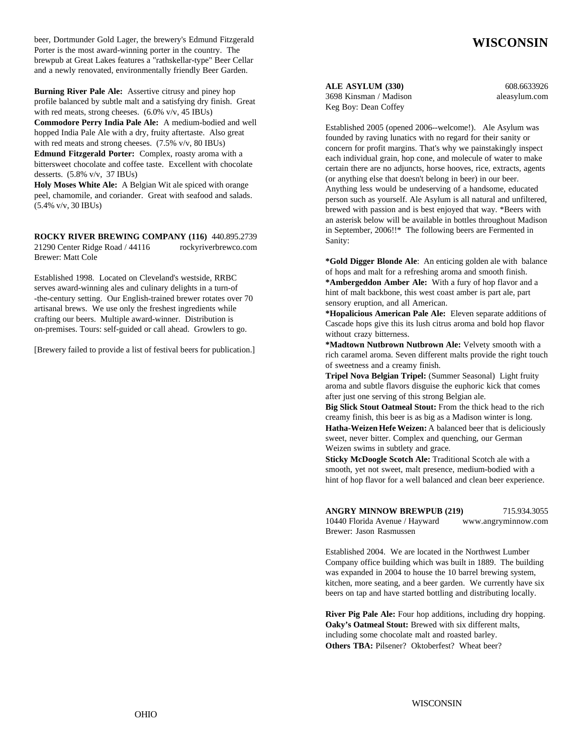beer, Dortmunder Gold Lager, the brewery's Edmund Fitzgerald Porter is the most award-winning porter in the country. The brewpub at Great Lakes features a "rathskellar-type" Beer Cellar and a newly renovated, environmentally friendly Beer Garden.

**Burning River Pale Ale:** Assertive citrusy and piney hop profile balanced by subtle malt and a satisfying dry finish. Great with red meats, strong cheeses. (6.0% v/v, 45 IBUs) **Commodore Perry India Pale Ale:** A medium-bodied and well hopped India Pale Ale with a dry, fruity aftertaste. Also great with red meats and strong cheeses. (7.5% v/v, 80 IBUs) **Edmund Fitzgerald Porter:** Complex, roasty aroma with a bittersweet chocolate and coffee taste. Excellent with chocolate

desserts. (5.8% v/v, 37 IBUs) **Holy Moses White Ale:** A Belgian Wit ale spiced with orange peel, chamomile, and coriander. Great with seafood and salads. (5.4% v/v, 30 IBUs)

**ROCKY RIVER BREWING COMPANY (116)** 440.895.2739 21290 Center Ridge Road / 44116 rockyriverbrewco.com Brewer: Matt Cole

Established 1998. Located on Cleveland's westside, RRBC serves award-winning ales and culinary delights in a turn-of -the-century setting. Our English-trained brewer rotates over 70 artisanal brews. We use only the freshest ingredients while crafting our beers. Multiple award-winner. Distribution is on-premises. Tours: self-guided or call ahead. Growlers to go.

[Brewery failed to provide a list of festival beers for publication.]

**ALE ASYLUM (330)** 608.6633926

3698 Kinsman / Madison aleasylum.com Keg Boy: Dean Coffey

**WISCONSIN**

Established 2005 (opened 2006--welcome!). Ale Asylum was founded by raving lunatics with no regard for their sanity or concern for profit margins. That's why we painstakingly inspect each individual grain, hop cone, and molecule of water to make certain there are no adjuncts, horse hooves, rice, extracts, agents (or anything else that doesn't belong in beer) in our beer. Anything less would be undeserving of a handsome, educated person such as yourself. Ale Asylum is all natural and unfiltered, brewed with passion and is best enjoyed that way. \*Beers with an asterisk below will be available in bottles throughout Madison in September, 2006!!\* The following beers are Fermented in Sanity:

**\*Gold Digger Blonde Ale**: An enticing golden ale with balance of hops and malt for a refreshing aroma and smooth finish. **\*Ambergeddon Amber Ale:** With a fury of hop flavor and a hint of malt backbone, this west coast amber is part ale, part sensory eruption, and all American.

**\*Hopalicious American Pale Ale:** Eleven separate additions of Cascade hops give this its lush citrus aroma and bold hop flavor without crazy bitterness.

**\*Madtown Nutbrown Nutbrown Ale:** Velvety smooth with a rich caramel aroma. Seven different malts provide the right touch of sweetness and a creamy finish.

**Tripel Nova Belgian Tripel:** (Summer Seasonal) Light fruity aroma and subtle flavors disguise the euphoric kick that comes after just one serving of this strong Belgian ale.

**Big Slick Stout Oatmeal Stout:** From the thick head to the rich creamy finish, this beer is as big as a Madison winter is long. **Hatha-Weizen Hefe Weizen:** A balanced beer that is deliciously sweet, never bitter. Complex and quenching, our German Weizen swims in subtlety and grace.

**Sticky McDoogle Scotch Ale:** Traditional Scotch ale with a smooth, yet not sweet, malt presence, medium-bodied with a hint of hop flavor for a well balanced and clean beer experience.

| <b>ANGRY MINNOW BREWPUB (219)</b> | 715.934.3055        |
|-----------------------------------|---------------------|
| 10440 Florida Avenue / Hayward    | www.angryminnow.com |
| Brewer: Jason Rasmussen           |                     |

Established 2004. We are located in the Northwest Lumber Company office building which was built in 1889. The building was expanded in 2004 to house the 10 barrel brewing system, kitchen, more seating, and a beer garden. We currently have six beers on tap and have started bottling and distributing locally.

**River Pig Pale Ale:** Four hop additions, including dry hopping. **Oaky's Oatmeal Stout:** Brewed with six different malts, including some chocolate malt and roasted barley. **Others TBA:** Pilsener? Oktoberfest? Wheat beer?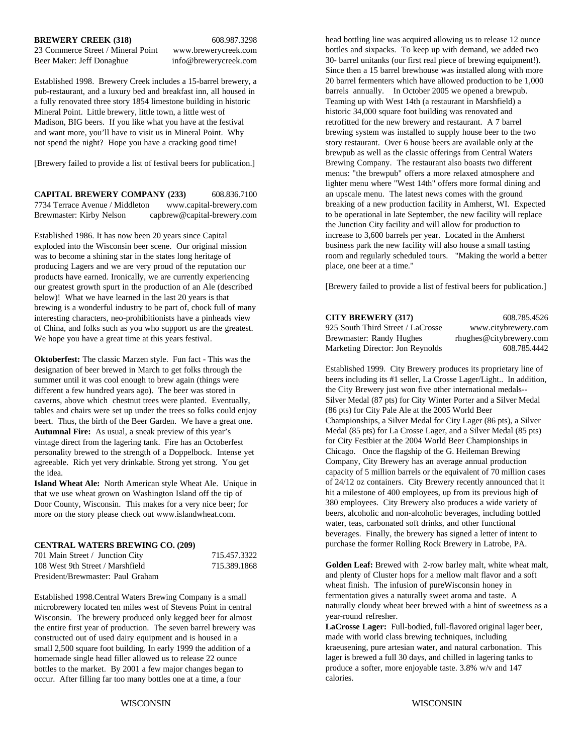#### **BREWERY CREEK (318)** 608.987.3298

23 Commerce Street / Mineral Point www.brewerycreek.com Beer Maker: Jeff Donaghue info@brewerycreek.com

Established 1998. Brewery Creek includes a 15-barrel brewery, a pub-restaurant, and a luxury bed and breakfast inn, all housed in a fully renovated three story 1854 limestone building in historic Mineral Point. Little brewery, little town, a little west of Madison, BIG beers. If you like what you have at the festival and want more, you'll have to visit us in Mineral Point. Why not spend the night? Hope you have a cracking good time!

[Brewery failed to provide a list of festival beers for publication.]

**CAPITAL BREWERY COMPANY (233)** 608.836.7100 7734 Terrace Avenue / Middleton www.capital-brewery.com Brewmaster: Kirby Nelson capbrew@capital-brewery.com

Established 1986. It has now been 20 years since Capital exploded into the Wisconsin beer scene. Our original mission was to become a shining star in the states long heritage of producing Lagers and we are very proud of the reputation our products have earned. Ironically, we are currently experiencing our greatest growth spurt in the production of an Ale (described below)! What we have learned in the last 20 years is that brewing is a wonderful industry to be part of, chock full of many interesting characters, neo-prohibitionists have a pinheads view of China, and folks such as you who support us are the greatest. We hope you have a great time at this years festival.

**Oktoberfest:** The classic Marzen style. Fun fact - This was the designation of beer brewed in March to get folks through the summer until it was cool enough to brew again (things were different a few hundred years ago). The beer was stored in caverns, above which chestnut trees were planted. Eventually, tables and chairs were set up under the trees so folks could enjoy beert. Thus, the birth of the Beer Garden. We have a great one. **Autumnal Fire:** As usual, a sneak preview of this year's vintage direct from the lagering tank. Fire has an Octoberfest personality brewed to the strength of a Doppelbock. Intense yet agreeable. Rich yet very drinkable. Strong yet strong. You get the idea.

**Island Wheat Ale:** North American style Wheat Ale. Unique in that we use wheat grown on Washington Island off the tip of Door County, Wisconsin. This makes for a very nice beer; for more on the story please check out www.islandwheat.com.

#### **CENTRAL WATERS BREWING CO. (209)**

| 701 Main Street / Junction City   | 715.457.3322 |
|-----------------------------------|--------------|
| 108 West 9th Street / Marshfield  | 715.389.1868 |
| President/Brewmaster: Paul Graham |              |

Established 1998.Central Waters Brewing Company is a small microbrewery located ten miles west of Stevens Point in central Wisconsin. The brewery produced only kegged beer for almost the entire first year of production. The seven barrel brewery was constructed out of used dairy equipment and is housed in a small 2,500 square foot building. In early 1999 the addition of a homemade single head filler allowed us to release 22 ounce bottles to the market. By 2001 a few major changes began to occur. After filling far too many bottles one at a time, a four

head bottling line was acquired allowing us to release 12 ounce bottles and sixpacks. To keep up with demand, we added two 30- barrel unitanks (our first real piece of brewing equipment!). Since then a 15 barrel brewhouse was installed along with more 20 barrel fermenters which have allowed production to be 1,000 barrels annually. In October 2005 we opened a brewpub. Teaming up with West 14th (a restaurant in Marshfield) a historic 34,000 square foot building was renovated and retrofitted for the new brewery and restaurant. A 7 barrel brewing system was installed to supply house beer to the two story restaurant. Over 6 house beers are available only at the brewpub as well as the classic offerings from Central Waters Brewing Company. The restaurant also boasts two different menus: "the brewpub" offers a more relaxed atmosphere and lighter menu where "West 14th" offers more formal dining and an upscale menu. The latest news comes with the ground breaking of a new production facility in Amherst, WI. Expected to be operational in late September, the new facility will replace the Junction City facility and will allow for production to increase to 3,600 barrels per year. Located in the Amherst business park the new facility will also house a small tasting room and regularly scheduled tours. "Making the world a better place, one beer at a time."

[Brewery failed to provide a list of festival beers for publication.]

| <b>CITY BREWERY (317)</b>         | 608.785.4526            |
|-----------------------------------|-------------------------|
| 925 South Third Street / LaCrosse | www.citybrewery.com     |
| Brewmaster: Randy Hughes          | rhughes@citybrewery.com |
| Marketing Director: Jon Reynolds  | 608.785.4442            |

Established 1999. City Brewery produces its proprietary line of beers including its #1 seller, La Crosse Lager/Light.. In addition, the City Brewery just won five other international medals-- Silver Medal (87 pts) for City Winter Porter and a Silver Medal (86 pts) for City Pale Ale at the 2005 World Beer Championships, a Silver Medal for City Lager (86 pts), a Silver Medal (85 pts) for La Crosse Lager, and a Silver Medal (85 pts) for City Festbier at the 2004 World Beer Championships in Chicago. Once the flagship of the G. Heileman Brewing Company, City Brewery has an average annual production capacity of 5 million barrels or the equivalent of 70 million cases of 24/12 oz containers. City Brewery recently announced that it hit a milestone of 400 employees, up from its previous high of 380 employees. City Brewery also produces a wide variety of beers, alcoholic and non-alcoholic beverages, including bottled water, teas, carbonated soft drinks, and other functional beverages. Finally, the brewery has signed a letter of intent to purchase the former Rolling Rock Brewery in Latrobe, PA.

**Golden Leaf:** Brewed with 2-row barley malt, white wheat malt, and plenty of Cluster hops for a mellow malt flavor and a soft wheat finish. The infusion of pureWisconsin honey in fermentation gives a naturally sweet aroma and taste. A naturally cloudy wheat beer brewed with a hint of sweetness as a year-round refresher.

**LaCrosse Lager:** Full-bodied, full-flavored original lager beer, made with world class brewing techniques, including kraeusening, pure artesian water, and natural carbonation. This lager is brewed a full 30 days, and chilled in lagering tanks to produce a softer, more enjoyable taste. 3.8% w/v and 147 calories.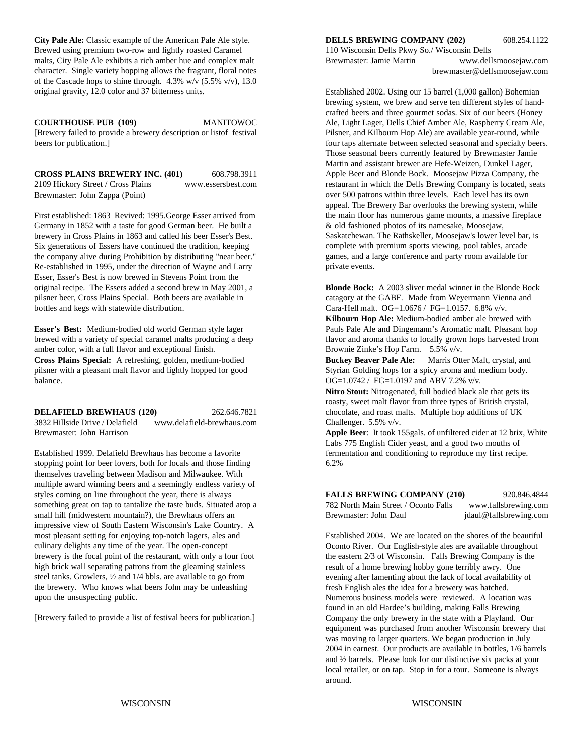**City Pale Ale:** Classic example of the American Pale Ale style. **DELLS BREWING COMPANY (202)** 608.254.1122 Brewed using premium two-row and lightly roasted Caramel 110 Wisconsin Dells Pkwy So./ Wisconsin Dells malts, City Pale Ale exhibits a rich amber hue and complex malt character. Single variety hopping allows the fragrant, floral notes of the Cascade hops to shine through.  $4.3\%$  w/v (5.5% v/v), 13.0 original gravity, 12.0 color and 37 bitterness units.

[Brewery failed to provide a brewery description or listof festival Pilsner, and Kilbourn Hop Ale) are available year-round, while beers for publication.] four taps alternate between selected seasonal and specialty beers.

**CROSS PLAINS BREWERY INC. (401)** 608.798.3911 2109 Hickory Street / Cross Plains www.essersbest.com Brewmaster: John Zappa (Point)

First established: 1863 Revived: 1995.George Esser arrived from Germany in 1852 with a taste for good German beer. He built a brewery in Cross Plains in 1863 and called his beer Esser's Best. Six generations of Essers have continued the tradition, keeping the company alive during Prohibition by distributing "near beer." Re-established in 1995, under the direction of Wayne and Larry Esser, Esser's Best is now brewed in Stevens Point from the original recipe. The Essers added a second brew in May 2001, a **Blonde Bock:** A 2003 sliver medal winner in the Blonde Bock pilsner beer, Cross Plains Special. Both beers are available in catagory at the GABF. Made from Weyermann Vienna and bottles and kegs with statewide distribution. Cara-Hell malt. OG=1.0676 / FG=1.0157. 6.8% v/v.

**Esser's Best:** Medium-bodied old world German style lager Pauls Pauls Pauls Pale Ale and Dingemann's Aromatic malt. Pleasant hop brewed with a variety of special caramel malts producing a deep flavor and aroma thanks to locally grown hops harvested from amber color, with a full flavor and exceptional finish. Brownie Zinke's Hop Farm. 5.5% v/v. **Cross Plains Special:** A refreshing, golden, medium-bodied **Buckey Beaver Pale Ale:** Marris Otter Malt, crystal, and pilsner with a pleasant malt flavor and lightly hopped for good Styrian Golding hops for a spicy aroma and medium body. balance.  $O = 1.0742 / FG = 1.0197$  and ABV 7.2% v/v.

**DELAFIELD BREWHAUS (120)** 262.646.7821 chocolate, and roast malts. Multiple hop additions of UK 3832 Hillside Drive / Delafield www.delafield-brewhaus.com Brewmaster: John Harrison **Apple Beer**: It took 155gals. of unfiltered cider at 12 brix, White

Established 1999. Delafield Brewhaus has become a favorite fermentation and conditioning to reproduce my first recipe. stopping point for beer lovers, both for locals and those finding 6.2% themselves traveling between Madison and Milwaukee. With multiple award winning beers and a seemingly endless variety of styles coming on line throughout the year, there is always something great on tap to tantalize the taste buds. Situated atop a small hill (midwestern mountain?), the Brewhaus offers an impressive view of South Eastern Wisconsin's Lake Country. A most pleasant setting for enjoying top-notch lagers, ales and culinary delights any time of the year. The open-concept brewery is the focal point of the restaurant, with only a four foot high brick wall separating patrons from the gleaming stainless steel tanks. Growlers, ½ and 1/4 bbls. are available to go from the brewery. Who knows what beers John may be unleashing upon the unsuspecting public.

[Brewery failed to provide a list of festival beers for publication.]

Brewmaster: Jamie Martin www.dellsmoosejaw.com brewmaster@dellsmoosejaw.com

**COURTHOUSE PUB (109)** MANITOWOC Ale, Light Lager, Dells Chief Amber Ale, Raspberry Cream Ale, Established 2002. Using our 15 barrel (1,000 gallon) Bohemian brewing system, we brew and serve ten different styles of handcrafted beers and three gourmet sodas. Six of our beers (Honey Those seasonal beers currently featured by Brewmaster Jamie Martin and assistant brewer are Hefe-Weizen, Dunkel Lager, Apple Beer and Blonde Bock. Moosejaw Pizza Company, the restaurant in which the Dells Brewing Company is located, seats over 500 patrons within three levels. Each level has its own appeal. The Brewery Bar overlooks the brewing system, while the main floor has numerous game mounts, a massive fireplace & old fashioned photos of its namesake, Moosejaw, Saskatchewan. The Rathskeller, Moosejaw's lower level bar, is complete with premium sports viewing, pool tables, arcade games, and a large conference and party room available for private events.

**Kilbourn Hop Ale:** Medium-bodied amber ale brewed with

**Nitro Stout:** Nitrogenated, full bodied black ale that gets its roasty, sweet malt flavor from three types of British crystal, Challenger. 5.5% v/v.

Labs 775 English Cider yeast, and a good two mouths of

**FALLS BREWING COMPANY (210)** 920.846.4844 782 North Main Street / Oconto Falls www.fallsbrewing.com Brewmaster: John Daul jdaul@fallsbrewing.com

Established 2004. We are located on the shores of the beautiful Oconto River. Our English-style ales are available throughout the eastern 2/3 of Wisconsin. Falls Brewing Company is the result of a home brewing hobby gone terribly awry. One evening after lamenting about the lack of local availability of fresh English ales the idea for a brewery was hatched. Numerous business models were reviewed. A location was found in an old Hardee's building, making Falls Brewing Company the only brewery in the state with a Playland. Our equipment was purchased from another Wisconsin brewery that was moving to larger quarters. We began production in July 2004 in earnest. Our products are available in bottles, 1/6 barrels and ½ barrels. Please look for our distinctive six packs at your local retailer, or on tap. Stop in for a tour. Someone is always around.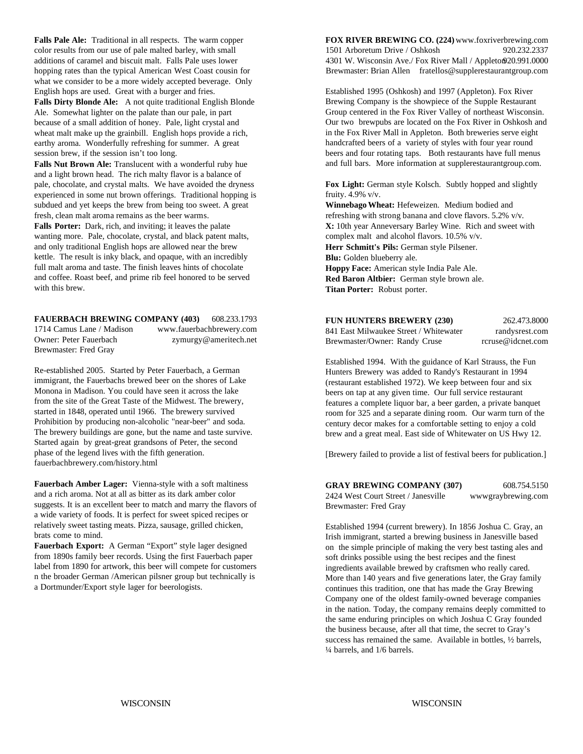what we consider to be a more widely accepted beverage. Only

**Falls Dirty Blonde Ale:** A not quite traditional English Blonde Ale. Somewhat lighter on the palate than our pale, in part because of a small addition of honey. Pale, light crystal and wheat malt make up the grainbill. English hops provide a rich, earthy aroma. Wonderfully refreshing for summer. A great session brew, if the session isn't too long.

Falls Nut Brown Ale: Translucent with a wonderful ruby hue and a light brown head. The rich malty flavor is a balance of pale, chocolate, and crystal malts. We have avoided the dryness experienced in some nut brown offerings. Traditional hopping is subdued and yet keeps the brew from being too sweet. A great **Winnebago Wheat:** Hefeweizen. Medium bodied and fresh, clean malt aroma remains as the beer warms. The refreshing with strong banana and clove flavors. 5.2% v/v.

wanting more. Pale, chocolate, crystal, and black patent malts, complex malt and alcohol flavors. 10.5% v/v. and only traditional English hops are allowed near the brew kettle. The result is inky black, and opaque, with an incredibly full malt aroma and taste. The finish leaves hints of chocolate and coffee. Roast beef, and prime rib feel honored to be served with this brew.

#### **FAUERBACH BREWING COMPANY (403)** 608.233.1793 1714 Camus Lane / Madison www.fauerbachbrewery.com Owner: Peter Fauerbach zymurgy@ameritech.net Brewmaster: Fred Gray

Re-established 2005. Started by Peter Fauerbach, a German immigrant, the Fauerbachs brewed beer on the shores of Lake Monona in Madison. You could have seen it across the lake from the site of the Great Taste of the Midwest. The brewery, started in 1848, operated until 1966. The brewery survived Prohibition by producing non-alcoholic "near-beer" and soda. The brewery buildings are gone, but the name and taste survive. Started again by great-great grandsons of Peter, the second phase of the legend lives with the fifth generation. fauerbachbrewery.com/history.html

**Fauerbach Amber Lager:** Vienna-style with a soft maltiness and a rich aroma. Not at all as bitter as its dark amber color suggests. It is an excellent beer to match and marry the flavors of a wide variety of foods. It is perfect for sweet spiced recipes or relatively sweet tasting meats. Pizza, sausage, grilled chicken, brats come to mind.

**Fauerbach Export:** A German "Export" style lager designed from 1890s family beer records. Using the first Fauerbach paper label from 1890 for artwork, this beer will compete for customers n the broader German /American pilsner group but technically is a Dortmunder/Export style lager for beerologists.

**Falls Pale Ale:** Traditional in all respects. The warm copper **FOX RIVER BREWING CO. (224)** www.foxriverbrewing.com color results from our use of pale malted barley, with small 1501 Arboretum Drive / Oshkosh 920.232.2337 additions of caramel and biscuit malt. Falls Pale uses lower 4301 W. Wisconsin Ave./ Fox River Mall / Appleton920.991.0000 hopping rates than the typical American West Coast cousin for Brewmaster: Brian Allen fratellos@supplerestaurantgroup.com

English hops are used. Great with a burger and fries. Established 1995 (Oshkosh) and 1997 (Appleton). Fox River Brewing Company is the showpiece of the Supple Restaurant Group centered in the Fox River Valley of northeast Wisconsin. Our two brewpubs are located on the Fox River in Oshkosh and in the Fox River Mall in Appleton. Both breweries serve eight handcrafted beers of a variety of styles with four year round beers and four rotating taps. Both restaurants have full menus and full bars. More information at supplerestaurantgroup.com.

> **Fox Light:** German style Kolsch. Subtly hopped and slightly fruity. 4.9% v/v.

**Falls Porter:** Dark, rich, and inviting; it leaves the palate **X:** 10th year Anneversary Barley Wine. Rich and sweet with **Herr Schmitt's Pils:** German style Pilsener. **Blu:** Golden blueberry ale. **Hoppy Face:** American style India Pale Ale. **Red Baron Altbier:** German style brown ale. **Titan Porter:** Robust porter.

| <b>FUN HUNTERS BREWERY (230)</b>       | 262.473.8000      |
|----------------------------------------|-------------------|
| 841 East Milwaukee Street / Whitewater | randysrest.com    |
| Brewmaster/Owner: Randy Cruse          | rcruse@idcnet.com |

Established 1994. With the guidance of Karl Strauss, the Fun Hunters Brewery was added to Randy's Restaurant in 1994 (restaurant established 1972). We keep between four and six beers on tap at any given time. Our full service restaurant features a complete liquor bar, a beer garden, a private banquet room for 325 and a separate dining room. Our warm turn of the century decor makes for a comfortable setting to enjoy a cold brew and a great meal. East side of Whitewater on US Hwy 12.

[Brewery failed to provide a list of festival beers for publication.]

**GRAY BREWING COMPANY (307)** 608.754.5150 2424 West Court Street / Janesville wwwgraybrewing.com Brewmaster: Fred Gray

Established 1994 (current brewery). In 1856 Joshua C. Gray, an Irish immigrant, started a brewing business in Janesville based on the simple principle of making the very best tasting ales and soft drinks possible using the best recipes and the finest ingredients available brewed by craftsmen who really cared. More than 140 years and five generations later, the Gray family continues this tradition, one that has made the Gray Brewing Company one of the oldest family-owned beverage companies in the nation. Today, the company remains deeply committed to the same enduring principles on which Joshua C Gray founded the business because, after all that time, the secret to Gray's success has remained the same. Available in bottles, ½ barrels, ¼ barrels, and 1/6 barrels.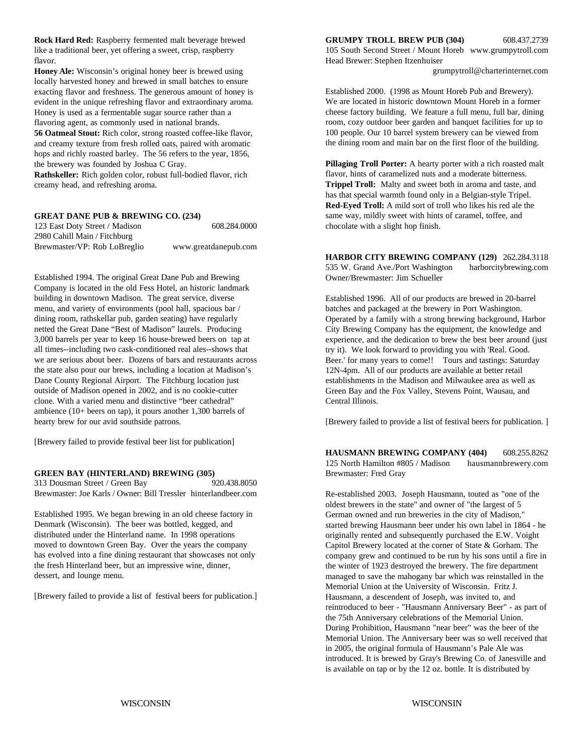**Rock Hard Red:** Raspberry fermented malt beverage brewed **GRUMPY TROLL BREW PUB (304)** 608.437.2739 flavor. Head Brewer: Stephen Itzenhuiser

**Honey Ale:** Wisconsin's original honey beer is brewed using locally harvested honey and brewed in small batches to ensure exacting flavor and freshness. The generous amount of honey is evident in the unique refreshing flavor and extraordinary aroma. Honey is used as a fermentable sugar source rather than a flavoring agent, as commonly used in national brands.

**56 Oatmeal Stout:** Rich color, strong roasted coffee-like flavor, and creamy texture from fresh rolled oats, paired with aromatic hops and richly roasted barley. The 56 refers to the year, 1856, the brewery was founded by Joshua C Gray.

**Rathskeller:** Rich golden color, robust full-bodied flavor, rich creamy head, and refreshing aroma.

#### **GREAT DANE PUB & BREWING CO. (234)**

| 123 East Doty Street / Madison | 608.284.0000         |
|--------------------------------|----------------------|
| 2980 Cahill Main / Fitchburg   |                      |
| Brewmaster/VP: Rob LoBreglio   | www.greatdanepub.com |

Established 1994. The original Great Dane Pub and Brewing Company is located in the old Fess Hotel, an historic landmark building in downtown Madison. The great service, diverse menu, and variety of environments (pool hall, spacious bar / dining room, rathskellar pub, garden seating) have regularly netted the Great Dane "Best of Madison" laurels. Producing 3,000 barrels per year to keep 16 house-brewed beers on tap at all times--including two cask-conditioned real ales--shows that we are serious about beer. Dozens of bars and restaurants across the state also pour our brews, including a location at Madison's Dane County Regional Airport. The Fitchburg location just outside of Madison opened in 2002, and is no cookie-cutter clone. With a varied menu and distinctive "beer cathedral" ambience (10+ beers on tap), it pours another 1,300 barrels of hearty brew for our avid southside patrons.

[Brewery failed to provide festival beer list for publication]

#### **GREEN BAY (HINTERLAND) BREWING (305)**

313 Dousman Street / Green Bay 920.438.8050 Brewmaster: Joe Karls / Owner: Bill Tressler hinterlandbeer.com

Established 1995. We began brewing in an old cheese factory in Denmark (Wisconsin). The beer was bottled, kegged, and distributed under the Hinterland name. In 1998 operations moved to downtown Green Bay. Over the years the company has evolved into a fine dining restaurant that showcases not only the fresh Hinterland beer, but an impressive wine, dinner, dessert, and lounge menu.

[Brewery failed to provide a list of festival beers for publication.]

like a traditional beer, yet offering a sweet, crisp, raspberry 105 South Second Street / Mount Horeb www.grumpytroll.com

grumpytroll@charterinternet.com

Established 2000. (1998 as Mount Horeb Pub and Brewery). We are located in historic downtown Mount Horeb in a former cheese factory building. We feature a full menu, full bar, dining room, cozy outdoor beer garden and banquet facilities for up to 100 people. Our 10 barrel system brewery can be viewed from the dining room and main bar on the first floor of the building.

chocolate with a slight hop finish. **Pillaging Troll Porter:** A hearty porter with a rich roasted malt flavor, hints of caramelized nuts and a moderate bitterness. **Trippel Troll:** Malty and sweet both in aroma and taste, and has that special warmth found only in a Belgian-style Tripel. **Red-Eyed Troll:** A mild sort of troll who likes his red ale the same way, mildly sweet with hints of caramel, toffee, and

**HARBOR CITY BREWING COMPANY (129)** 262.284.3118 535 W. Grand Ave./Port Washington harborcitybrewing.com Owner/Brewmaster: Jim Schueller

Established 1996. All of our products are brewed in 20-barrel batches and packaged at the brewery in Port Washington. Operated by a family with a strong brewing background, Harbor City Brewing Company has the equipment, the knowledge and experience, and the dedication to brew the best beer around (just try it). We look forward to providing you with 'Real. Good. Beer.' for many years to come!! Tours and tastings: Saturday 12N-4pm. All of our products are available at better retail establishments in the Madison and Milwaukee area as well as Green Bay and the Fox Valley, Stevens Point, Wausau, and Central Illinois.

[Brewery failed to provide a list of festival beers for publication. ]

**HAUSMANN BREWING COMPANY (404)** 608.255.8262 125 North Hamilton #805 / Madison hausmannbrewery.com Brewmaster: Fred Gray

Re-established 2003. Joseph Hausmann, touted as "one of the oldest brewers in the state" and owner of "the largest of 5 German owned and run breweries in the city of Madison," started brewing Hausmann beer under his own label in 1864 - he originally rented and subsequently purchased the E.W. Voight Capitol Brewery located at the corner of State & Gorham. The company grew and continued to be run by his sons until a fire in the winter of 1923 destroyed the brewery. The fire department managed to save the mahogany bar which was reinstalled in the Memorial Union at the University of Wisconsin. Fritz J. Hausmann, a descendent of Joseph, was invited to, and reintroduced to beer - "Hausmann Anniversary Beer" - as part of the 75th Anniversary celebrations of the Memorial Union. During Prohibition, Hausmann "near beer" was the beer of the Memorial Union. The Anniversary beer was so well received that in 2005, the original formula of Hausmann's Pale Ale was introduced. It is brewed by Gray's Brewing Co. of Janesville and is available on tap or by the 12 oz. bottle. It is distributed by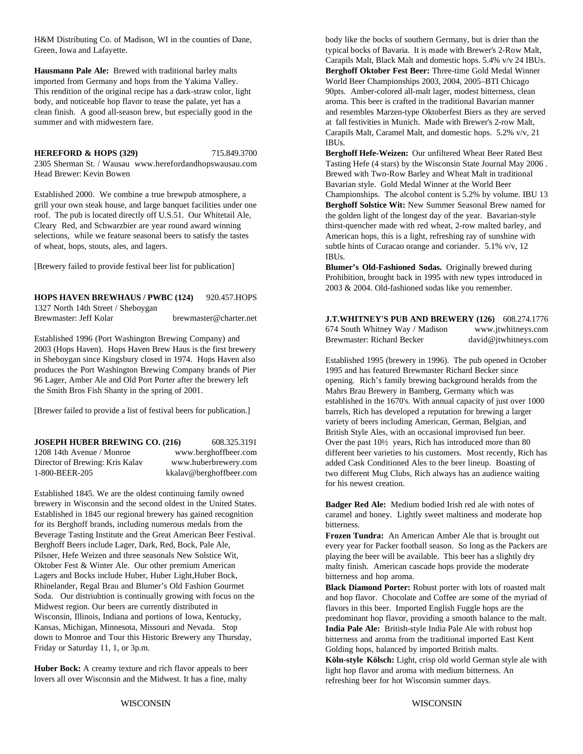H&M Distributing Co. of Madison, WI in the counties of Dane, body like the bocks of southern Germany, but is drier than the Green, Iowa and Lafayette. The same of Bavaria. It is made with Brewer's 2-Row Malt,

imported from Germany and hops from the Yakima Valley. World Beer Championships 2003, 2004, 2005–BTI Chicago This rendition of the original recipe has a dark-straw color, light 90pts. Amber-colored all-malt lager, modest bitterness, clean body, and noticeable hop flavor to tease the palate, yet has a a aroma. This beer is crafted in the traditional Bavarian manner

**HEREFORD & HOPS (329)** 715.849.3700 **Berghoff Hefe-Weizen:** Our unfiltered Wheat Beer Rated Best

grill your own steak house, and large banquet facilities under one roof. The pub is located directly off U.S.51. Our Whitetail Ale, Cleary Red, and Schwarzbier are year round award winning selections, while we feature seasonal beers to satisfy the tastes of wheat, hops, stouts, ales, and lagers.

[Brewery failed to provide festival beer list for publication]

**HOPS HAVEN BREWHAUS / PWBC (124)** 920.457.HOPS

1327 North 14th Street / Sheboygan Brewmaster: Jeff Kolar brewmaster@charter.net

Established 1996 (Port Washington Brewing Company) and 2003 (Hops Haven). Hops Haven Brew Haus is the first brewery in Sheboygan since Kingsbury closed in 1974. Hops Haven also produces the Port Washington Brewing Company brands of Pier 96 Lager, Amber Ale and Old Port Porter after the brewery left the Smith Bros Fish Shanty in the spring of 2001.

[Brewer failed to provide a list of festival beers for publication.]

| <b>JOSEPH HUBER BREWING CO. (216)</b> | 608.325.3191            |
|---------------------------------------|-------------------------|
| 1208 14th Avenue / Monroe             | www.berghoffbeer.com    |
| Director of Brewing: Kris Kalav       | www.huberbrewery.com    |
| 1-800-BEER-205                        | kkalav@berghoffbeer.com |

Established 1845. We are the oldest continuing family owned brewery in Wisconsin and the second oldest in the United States. Established in 1845 our regional brewery has gained recognition for its Berghoff brands, including numerous medals from the Beverage Tasting Institute and the Great American Beer Festival. Berghoff Beers include Lager, Dark, Red, Bock, Pale Ale, Pilsner, Hefe Weizen and three seasonals New Solstice Wit, Oktober Fest & Winter Ale. Our other premium American Lagers and Bocks include Huber, Huber Light,Huber Bock, Rhinelander, Regal Brau and Blumer's Old Fashion Gourmet Soda. Our distriubtion is continually growing with focus on the Midwest region. Our beers are currently distributed in Wisconsin, Illinois, Indiana and portions of Iowa, Kentucky, Kansas, Michigan, Minnesota, Missouri and Nevada. Stop down to Monroe and Tour this Historic Brewery any Thursday, Friday or Saturday 11, 1, or 3p.m.

**Huber Bock:** A creamy texture and rich flavor appeals to beer lovers all over Wisconsin and the Midwest. It has a fine, malty

**Hausmann Pale Ale:** Brewed with traditional barley malts **Berghoff Oktober Fest Beer:** Three-time Gold Medal Winner clean finish. A good all-season brew, but especially good in the and resembles Marzen-type Oktoberfest Biers as they are served<br>at fall festivities in Munich. Made with Brewer's 2-row Malt, at fall festivities in Munich. Made with Brewer's 2-row Malt, Carapils Malt, Black Malt and domestic hops. 5.4% v/v 24 IBUs. Carapils Malt, Caramel Malt, and domestic hops. 5.2% v/v, 21 IBUs.

2305 Sherman St. / Wausau www.herefordandhopswausau.com Tasting Hefe (4 stars) by the Wisconsin State Journal May 2006 . Head Brewer: Kevin Bowen Brewed with Two-Row Barley and Wheat Malt in traditional Established 2000. We combine a true brewpub atmosphere, a Championships. The alcohol content is 5.2% by volume. IBU 13 Bavarian style. Gold Medal Winner at the World Beer **Berghoff Solstice Wit:** New Summer Seasonal Brew named for the golden light of the longest day of the year. Bavarian-style thirst-quencher made with red wheat, 2-row malted barley, and American hops, this is a light, refreshing ray of sunshine with subtle hints of Curacao orange and coriander. 5.1% v/v, 12 IBUs.

> **Blumer's Old-Fashioned Sodas.** Originally brewed during Prohibition, brought back in 1995 with new types introduced in 2003 & 2004. Old-fashioned sodas like you remember.

**J.T.WHITNEY'S PUB AND BREWERY (126)** 608.274.1776 674 South Whitney Way / Madison www.jtwhitneys.com Brewmaster: Richard Becker david@jtwhitneys.com

Established 1995 (brewery in 1996). The pub opened in October 1995 and has featured Brewmaster Richard Becker since opening. Rich's family brewing background heralds from the Mahrs Brau Brewery in Bamberg, Germany which was established in the 1670's. With annual capacity of just over 1000 barrels, Rich has developed a reputation for brewing a larger variety of beers including American, German, Belgian, and British Style Ales, with an occasional improvised fun beer. Over the past 10½ years, Rich has introduced more than 80 different beer varieties to his customers. Most recently, Rich has added Cask Conditioned Ales to the beer lineup. Boasting of two different Mug Clubs, Rich always has an audience waiting for his newest creation.

**Badger Red Ale:** Medium bodied Irish red ale with notes of caramel and honey. Lightly sweet maltiness and moderate hop bitterness.

**Frozen Tundra:** An American Amber Ale that is brought out every year for Packer football season. So long as the Packers are playing the beer will be available. This beer has a slightly dry malty finish. American cascade hops provide the moderate bitterness and hop aroma.

**Black Diamond Porter:** Robust porter with lots of roasted malt and hop flavor. Chocolate and Coffee are some of the myriad of flavors in this beer. Imported English Fuggle hops are the predominant hop flavor, providing a smooth balance to the malt. **India Pale Ale:** British-style India Pale Ale with robust hop bitterness and aroma from the traditional imported East Kent Golding hops, balanced by imported British malts.

**Köln-style Kölsch:** Light, crisp old world German style ale with light hop flavor and aroma with medium bitterness. An refreshing beer for hot Wisconsin summer days.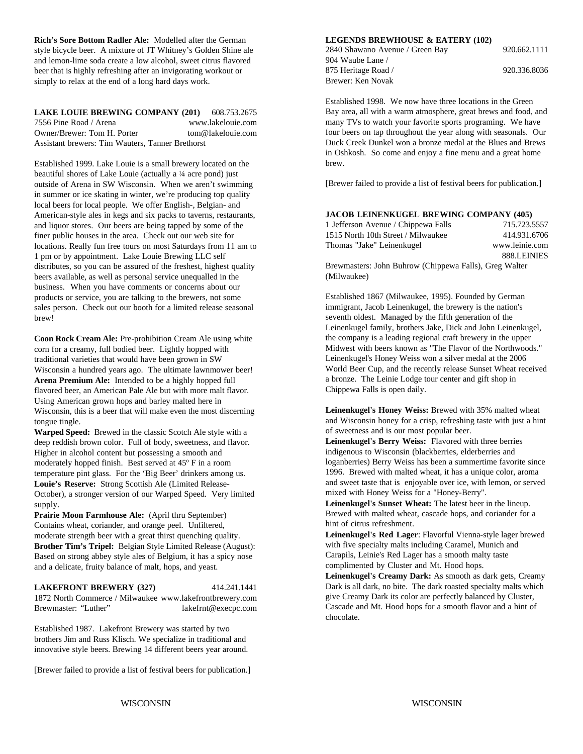**Rich's Sore Bottom Radler Ale:** Modelled after the German **LEGENDS BREWHOUSE & EATERY (102)** style bicycle beer. A mixture of JT Whitney's Golden Shine ale and lemon-lime soda create a low alcohol, sweet citrus flavored beer that is highly refreshing after an invigorating workout or simply to relax at the end of a long hard days work.

#### **LAKE LOUIE BREWING COMPANY (201)** 608.753.2675 7556 Pine Road / Arena www.lakelouie.com Owner/Brewer: Tom H. Porter tom@lakelouie.com Assistant brewers: Tim Wauters, Tanner Brethorst

Established 1999. Lake Louie is a small brewery located on the beautiful shores of Lake Louie (actually a ¼ acre pond) just outside of Arena in SW Wisconsin. When we aren't swimming in summer or ice skating in winter, we're producing top quality local beers for local people. We offer English-, Belgian- and American-style ales in kegs and six packs to taverns, restaurants, and liquor stores. Our beers are being tapped by some of the finer public houses in the area. Check out our web site for locations. Really fun free tours on most Saturdays from 11 am to 1 pm or by appointment. Lake Louie Brewing LLC self distributes, so you can be assured of the freshest, highest quality beers available, as well as personal service unequalled in the business. When you have comments or concerns about our products or service, you are talking to the brewers, not some sales person. Check out our booth for a limited release seasonal brew!

**Coon Rock Cream Ale:** Pre-prohibition Cream Ale using white corn for a creamy, full bodied beer. Lightly hopped with traditional varieties that would have been grown in SW Wisconsin a hundred years ago. The ultimate lawnmower beer! **Arena Premium Ale:** Intended to be a highly hopped full flavored beer, an American Pale Ale but with more malt flavor. Using American grown hops and barley malted here in Wisconsin, this is a beer that will make even the most discerning tongue tingle.

**Warped Speed:** Brewed in the classic Scotch Ale style with a deep reddish brown color. Full of body, sweetness, and flavor. Higher in alcohol content but possessing a smooth and moderately hopped finish. Best served at 45º F in a room temperature pint glass. For the 'Big Beer' drinkers among us. **Louie's Reserve:** Strong Scottish Ale (Limited Release-October), a stronger version of our Warped Speed. Very limited supply.

**Prairie Moon Farmhouse Ale:** (April thru September) Contains wheat, coriander, and orange peel. Unfiltered, moderate strength beer with a great thirst quenching quality. **Brother Tim's Tripel:** Belgian Style Limited Release (August): Based on strong abbey style ales of Belgium, it has a spicy nose and a delicate, fruity balance of malt, hops, and yeast.

#### **LAKEFRONT BREWERY (327)** 414.241.1441 1872 North Commerce / Milwaukee www.lakefrontbrewery.com Brewmaster: "Luther" lakefrnt@execpc.com

Established 1987. Lakefront Brewery was started by two brothers Jim and Russ Klisch. We specialize in traditional and innovative style beers. Brewing 14 different beers year around.

[Brewer failed to provide a list of festival beers for publication.]

2840 Shawano Avenue / Green Bay 920.662.1111 904 Waube Lane / 875 Heritage Road / 920.336.8036 Brewer: Ken Novak

Established 1998. We now have three locations in the Green Bay area, all with a warm atmosphere, great brews and food, and many TVs to watch your favorite sports programing. We have four beers on tap throughout the year along with seasonals. Our Duck Creek Dunkel won a bronze medal at the Blues and Brews in Oshkosh. So come and enjoy a fine menu and a great home brew.

[Brewer failed to provide a list of festival beers for publication.]

#### **JACOB LEINENKUGEL BREWING COMPANY (405)**

| 1 Jefferson Avenue / Chippewa Falls                    | 715.723.5557   |
|--------------------------------------------------------|----------------|
| 1515 North 10th Street / Milwaukee                     | 414.931.6706   |
| Thomas "Jake" Leinenkugel                              | www.leinie.com |
|                                                        | 888.LEINIES    |
| Brewmasters: John Buhrow (Chippewa Falls), Greg Walter |                |
| (Milwaukee)                                            |                |

Established 1867 (Milwaukee, 1995). Founded by German immigrant, Jacob Leinenkugel, the brewery is the nation's seventh oldest. Managed by the fifth generation of the Leinenkugel family, brothers Jake, Dick and John Leinenkugel, the company is a leading regional craft brewery in the upper Midwest with beers known as "The Flavor of the Northwoods." Leinenkugel's Honey Weiss won a silver medal at the 2006 World Beer Cup, and the recently release Sunset Wheat received a bronze. The Leinie Lodge tour center and gift shop in Chippewa Falls is open daily.

**Leinenkugel's Honey Weiss:** Brewed with 35% malted wheat and Wisconsin honey for a crisp, refreshing taste with just a hint of sweetness and is our most popular beer.

**Leinenkugel's Berry Weiss:** Flavored with three berries indigenous to Wisconsin (blackberries, elderberries and loganberries) Berry Weiss has been a summertime favorite since 1996. Brewed with malted wheat, it has a unique color, aroma and sweet taste that is enjoyable over ice, with lemon, or served mixed with Honey Weiss for a "Honey-Berry".

**Leinenkugel's Sunset Wheat:** The latest beer in the lineup. Brewed with malted wheat, cascade hops, and coriander for a hint of citrus refreshment.

**Leinenkugel's Red Lager**: Flavorful Vienna-style lager brewed with five specialty malts including Caramel, Munich and Carapils, Leinie's Red Lager has a smooth malty taste complimented by Cluster and Mt. Hood hops.

**Leinenkugel's Creamy Dark:** As smooth as dark gets, Creamy Dark is all dark, no bite. The dark roasted specialty malts which give Creamy Dark its color are perfectly balanced by Cluster, Cascade and Mt. Hood hops for a smooth flavor and a hint of chocolate.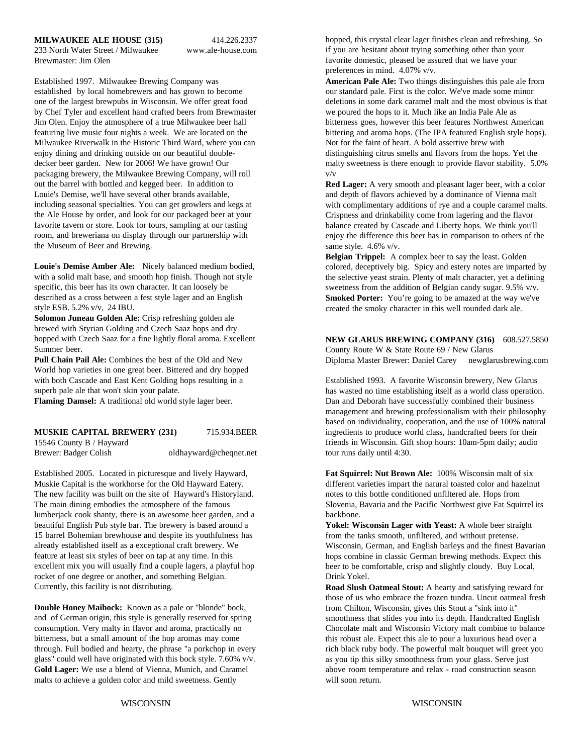#### **MILWAUKEE ALE HOUSE (315)** 414.226.2337

233 North Water Street / Milwaukee www.ale-house.com Brewmaster: Jim Olen

established by local homebrewers and has grown to become our standard pale. First is the color. We've made some minor one of the largest brewpubs in Wisconsin. We offer great food deletions in some dark caramel malt and the most obvious is that by Chef Tyler and excellent hand crafted beers from Brewmaster we poured the hops to it. Much like an India Pale Ale as<br>Jim Olen. Enjoy the atmosphere of a true Milwaukee beer hall bitterness goes, however this beer featur featuring live music four nights a week. We are located on the bittering and aroma hops. (The IPA featured English style hops). Milwaukee Riverwalk in the Historic Third Ward, where you can Not for the faint of heart. A bold assertive brew with enjoy dining and drinking outside on our beautiful double- distinguishing citrus smells and flavors from the hops. Yet the packaging brewery, the Milwaukee Brewing Company, will roll v/v out the barrel with bottled and kegged beer. In addition to Louie's Demise, we'll have several other brands available, including seasonal specialties. You can get growlers and kegs at the Ale House by order, and look for our packaged beer at your favorite tavern or store. Look for tours, sampling at our tasting room, and breweriana on display through our partnership with the Museum of Beer and Brewing.

**Louie's Demise Amber Ale:** Nicely balanced medium bodied, with a solid malt base, and smooth hop finish. Though not style specific, this beer has its own character. It can loosely be described as a cross between a fest style lager and an English style ESB. 5.2% v/v, 24 IBU.

**Solomon Juneau Golden Ale:** Crisp refreshing golden ale brewed with Styrian Golding and Czech Saaz hops and dry hopped with Czech Saaz for a fine lightly floral aroma. Excellent Summer beer.

**Pull Chain Pail Ale:** Combines the best of the Old and New World hop varieties in one great beer. Bittered and dry hopped with both Cascade and East Kent Golding hops resulting in a superb pale ale that won't skin your palate.

**MUSKIE CAPITAL BREWERY (231)** 715.934.BEER 15546 County B / Hayward Brewer: Badger Colish oldhayward@cheqnet.net

Established 2005. Located in picturesque and lively Hayward, **Fat Squirrel: Nut Brown Ale:** 100% Wisconsin malt of six Muskie Capital is the workhorse for the Old Hayward Eatery. different varieties impart the natural toasted color and hazelnut The new facility was built on the site of Hayward's Historyland. notes to this bottle conditioned unfiltered ale. Hops from The main dining embodies the atmosphere of the famous Slovenia, Bavaria and the Pacific Northwest give Fat Squirrel its lumberjack cook shanty, there is an awesome beer garden, and a backbone. beautiful English Pub style bar. The brewery is based around a 15 barrel Bohemian brewhouse and despite its youthfulness has already established itself as a exceptional craft brewery. We feature at least six styles of beer on tap at any time. In this excellent mix you will usually find a couple lagers, a playful hop rocket of one degree or another, and something Belgian. Currently, this facility is not distributing.

**Double Honey Maibock:** Known as a pale or "blonde" bock, and of German origin, this style is generally reserved for spring consumption. Very malty in flavor and aroma, practically no bitterness, but a small amount of the hop aromas may come through. Full bodied and hearty, the phrase "a porkchop in every glass" could well have originated with this bock style. 7.60% v/v. Gold Lager: We use a blend of Vienna, Munich, and Caramel **above room temperature and relax** - road construction season malts to achieve a golden color and mild sweetness. Gently will soon return.

hopped, this crystal clear lager finishes clean and refreshing. So if you are hesitant about trying something other than your favorite domestic, pleased be assured that we have your preferences in mind. 4.07% v/v.

Established 1997. Milwaukee Brewing Company was **American Pale Ale:** Two things distinguishes this pale ale from bitterness goes, however this beer features Northwest American decker beer garden. New for 2006! We have grown! Our malty sweetness is there enough to provide flavor stability. 5.0%

> **Red Lager:** A very smooth and pleasant lager beer, with a color and depth of flavors achieved by a dominance of Vienna malt with complimentary additions of rye and a couple caramel malts. Crispness and drinkability come from lagering and the flavor balance created by Cascade and Liberty hops. We think you'll enjoy the difference this beer has in comparison to others of the same style. 4.6% v/v.

> **Belgian Trippel:** A complex beer to say the least. Golden colored, deceptively big. Spicy and estery notes are imparted by the selective yeast strain. Plenty of malt character, yet a defining sweetness from the addition of Belgian candy sugar. 9.5% v/v. **Smoked Porter:** You're going to be amazed at the way we've created the smoky character in this well rounded dark ale.

> **NEW GLARUS BREWING COMPANY (316)** 608.527.5850 County Route W & State Route 69 / New Glarus Diploma Master Brewer: Daniel Carey newglarusbrewing.com

**Flaming Damsel:** A traditional old world style lager beer. Dan and Deborah have successfully combined their business Established 1993. A favorite Wisconsin brewery, New Glarus has wasted no time establishing itself as a world class operation. management and brewing professionalism with their philosophy based on individuality, cooperation, and the use of 100% natural ingredients to produce world class, handcrafted beers for their friends in Wisconsin. Gift shop hours: 10am-5pm daily; audio tour runs daily until 4:30.

**Yokel: Wisconsin Lager with Yeast:** A whole beer straight from the tanks smooth, unfiltered, and without pretense. Wisconsin, German, and English barleys and the finest Bavarian hops combine in classic German brewing methods. Expect this beer to be comfortable, crisp and slightly cloudy. Buy Local, Drink Yokel.

**Road Slush Oatmeal Stout:** A hearty and satisfying reward for those of us who embrace the frozen tundra. Uncut oatmeal fresh from Chilton, Wisconsin, gives this Stout a "sink into it" smoothness that slides you into its depth. Handcrafted English Chocolate malt and Wisconsin Victory malt combine to balance this robust ale. Expect this ale to pour a luxurious head over a rich black ruby body. The powerful malt bouquet will greet you as you tip this silky smoothness from your glass. Serve just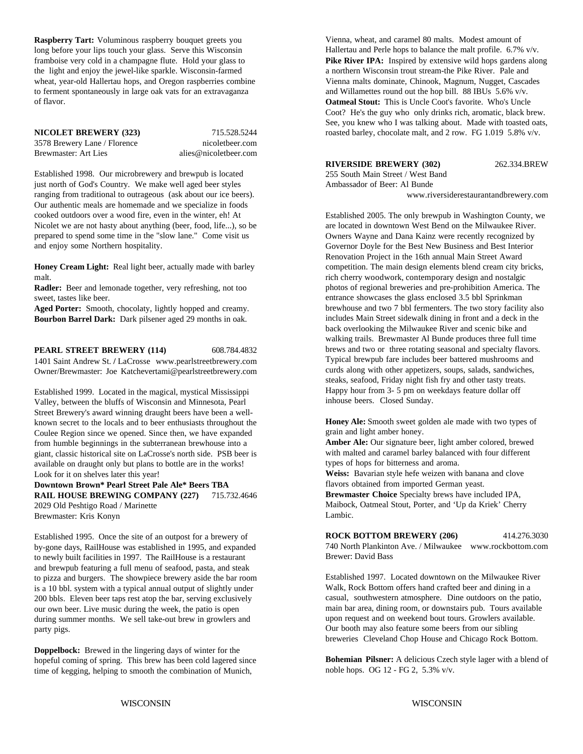**Raspberry Tart:** Voluminous raspberry bouquet greets you long before your lips touch your glass. Serve this Wisconsin the light and enjoy the jewel-like sparkle. Wisconsin-farmed a northern Wisconsin trout stream-the Pike River. Pale and wheat, year-old Hallertau hops, and Oregon raspberries combine Vienna malts dominate, Chinook, Magnum, Nugget, Cascades to ferment spontaneously in large oak vats for an extravaganza and Willamettes round out the hop bill. 88 IBUs 5.6% v/v. of flavor.

3578 Brewery Lane / Florence nicoletbeer.com Brewmaster: Art Lies alies@nicoletbeer.com

Established 1998. Our microbrewery and brewpub is located just north of God's Country. We make well aged beer styles ranging from traditional to outrageous (ask about our ice beers). Our authentic meals are homemade and we specialize in foods cooked outdoors over a wood fire, even in the winter, eh! At Nicolet we are not hasty about anything (beer, food, life...), so be prepared to spend some time in the "slow lane." Come visit us and enjoy some Northern hospitality.

malt. The cherry woodwork, contemporary design and nostalgic

**Radler:** Beer and lemonade together, very refreshing, not too sweet, tastes like beer.

**Aged Porter:** Smooth, chocolaty, lightly hopped and creamy. **Bourbon Barrel Dark:** Dark pilsener aged 29 months in oak.

**PEARL STREET BREWERY (114)** 608.784.4832 1401 Saint Andrew St. **/** LaCrosse www.pearlstreetbrewery.com Owner/Brewmaster: Joe Katchevertami@pearlstreetbrewery.com

Established 1999. Located in the magical, mystical Mississippi Valley, between the bluffs of Wisconsin and Minnesota, Pearl Street Brewery's award winning draught beers have been a wellknown secret to the locals and to beer enthusiasts throughout the Coulee Region since we opened. Since then, we have expanded from humble beginnings in the subterranean brewhouse into a giant, classic historical site on LaCrosse's north side. PSB beer is available on draught only but plans to bottle are in the works! Look for it on shelves later this year!

**Downtown Brown\* Pearl Street Pale Ale\* Beers TBA RAIL HOUSE BREWING COMPANY (227)** 715.732.4646 2029 Old Peshtigo Road / Marinette Brewmaster: Kris Konyn

Established 1995. Once the site of an outpost for a brewery of by-gone days, RailHouse was established in 1995, and expanded to newly built facilities in 1997. The RailHouse is a restaurant and brewpub featuring a full menu of seafood, pasta, and steak to pizza and burgers. The showpiece brewery aside the bar room is a 10 bbl. system with a typical annual output of slightly under 200 bbls. Eleven beer taps rest atop the bar, serving exclusively our own beer. Live music during the week, the patio is open during summer months. We sell take-out brew in growlers and party pigs.

**Doppelbock:** Brewed in the lingering days of winter for the hopeful coming of spring. This brew has been cold lagered since time of kegging, helping to smooth the combination of Munich,

framboise very cold in a champagne flute. Hold your glass to **Pike River IPA:** Inspired by extensive wild hops gardens along **NICOLET BREWERY (323)** 715.528.5244 roasted barley, chocolate malt, and 2 row. FG 1.019 5.8% v/v. Vienna, wheat, and caramel 80 malts. Modest amount of Hallertau and Perle hops to balance the malt profile. 6.7% v/v. **Oatmeal Stout:** This is Uncle Coot's favorite. Who's Uncle Coot? He's the guy who only drinks rich, aromatic, black brew. See, you knew who I was talking about. Made with toasted oats,

**RIVERSIDE BREWERY (302)** 262.334.BREW

255 South Main Street / West Band Ambassador of Beer: Al Bunde

www.riversiderestaurantandbrewery.com

Honey Cream Light: Real light beer, actually made with barley competition. The main design elements blend cream city bricks, Established 2005. The only brewpub in Washington County, we are located in downtown West Bend on the Milwaukee River. Owners Wayne and Dana Kainz were recently recognized by Governor Doyle for the Best New Business and Best Interior Renovation Project in the 16th annual Main Street Award photos of regional breweries and pre-prohibition America. The entrance showcases the glass enclosed 3.5 bbl Sprinkman brewhouse and two 7 bbl fermenters. The two story facility also includes Main Street sidewalk dining in front and a deck in the back overlooking the Milwaukee River and scenic bike and walking trails. Brewmaster Al Bunde produces three full time brews and two or three rotating seasonal and specialty flavors. Typical brewpub fare includes beer battered mushrooms and curds along with other appetizers, soups, salads, sandwiches, steaks, seafood, Friday night fish fry and other tasty treats. Happy hour from 3- 5 pm on weekdays feature dollar off inhouse beers. Closed Sunday.

> **Honey Ale:** Smooth sweet golden ale made with two types of grain and light amber honey.

Amber Ale: Our signature beer, light amber colored, brewed with malted and caramel barley balanced with four different types of hops for bitterness and aroma.

**Weiss:** Bavarian style hefe weizen with banana and clove flavors obtained from imported German yeast.

**Brewmaster Choice** Specialty brews have included IPA, Maibock, Oatmeal Stout, Porter, and 'Up da Kriek' Cherry Lambic.

**ROCK BOTTOM BREWERY (206)** 414.276.3030 740 North Plankinton Ave. / Milwaukee www.rockbottom.com Brewer: David Bass

Established 1997. Located downtown on the Milwaukee River Walk, Rock Bottom offers hand crafted beer and dining in a casual, southwestern atmosphere. Dine outdoors on the patio, main bar area, dining room, or downstairs pub. Tours available upon request and on weekend bout tours. Growlers available. Our booth may also feature some beers from our sibling breweries Cleveland Chop House and Chicago Rock Bottom.

**Bohemian Pilsner:** A delicious Czech style lager with a blend of noble hops. OG 12 - FG 2, 5.3% v/v.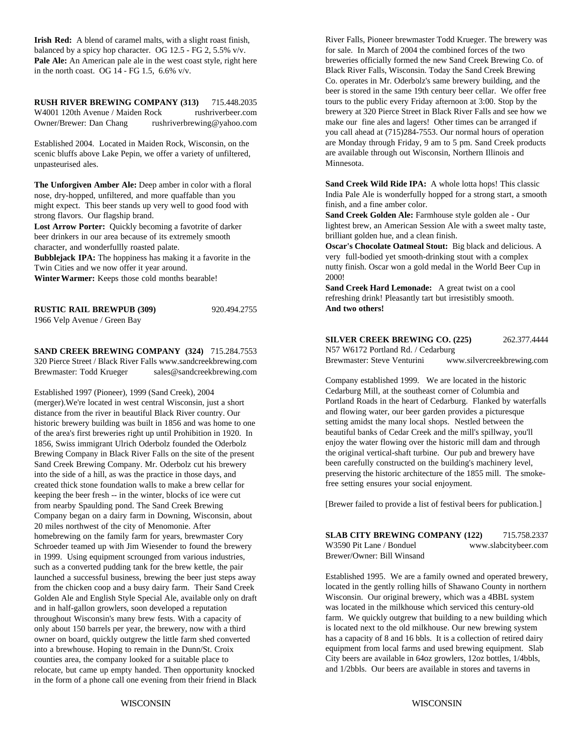**Irish Red:** A blend of caramel malts, with a slight roast finish, balanced by a spicy hop character. OG 12.5 - FG 2, 5.5% v/v. for sale. In March of 2004 the combined forces of the two **Pale Ale:** An American pale ale in the west coast style, right here in the north coast. OG  $14$  - FG 1.5, 6.6% v/v.

**RUSH RIVER BREWING COMPANY (313)** 715.448.2035 W4001 120th Avenue / Maiden Rock rushriverbeer.com Owner/Brewer: Dan Chang rushriverbrewing@yahoo.com

Established 2004. Located in Maiden Rock, Wisconsin, on the scenic bluffs above Lake Pepin, we offer a variety of unfiltered, unpasteurised ales.

**The Unforgiven Amber Ale:** Deep amber in color with a floral nose, dry-hopped, unfiltered, and more quaffable than you might expect. This beer stands up very well to good food with strong flavors. Our flagship brand.

**Lost Arrow Porter:** Quickly becoming a favotrite of darker beer drinkers in our area because of its extremely smooth character, and wonderfullly roasted palate.

**Bubblejack IPA:** The hoppiness has making it a favorite in the Twin Cities and we now offer it year around.

**Winter Warmer:** Keeps those cold months bearable!

| <b>RUSTIC RAIL BREWPUB (309)</b> | 920.494.2755 |
|----------------------------------|--------------|
| 1966 Velp Avenue / Green Bay     |              |

**SAND CREEK BREWING COMPANY (324)** 715.284.7553 320 Pierce Street / Black River Falls www.sandcreekbrewing.com Brewmaster: Todd Krueger sales@sandcreekbrewing.com

Established 1997 (Pioneer), 1999 (Sand Creek), 2004 (merger).We're located in west central Wisconsin, just a short distance from the river in beautiful Black River country. Our historic brewery building was built in 1856 and was home to one of the area's first breweries right up until Prohibition in 1920. In 1856, Swiss immigrant Ulrich Oderbolz founded the Oderbolz Brewing Company in Black River Falls on the site of the present Sand Creek Brewing Company. Mr. Oderbolz cut his brewery into the side of a hill, as was the practice in those days, and created thick stone foundation walls to make a brew cellar for keeping the beer fresh -- in the winter, blocks of ice were cut from nearby Spaulding pond. The Sand Creek Brewing Company began on a dairy farm in Downing, Wisconsin, about 20 miles northwest of the city of Menomonie. After homebrewing on the family farm for years, brewmaster Cory Schroeder teamed up with Jim Wiesender to found the brewery in 1999. Using equipment scrounged from various industries, such as a converted pudding tank for the brew kettle, the pair launched a successful business, brewing the beer just steps away from the chicken coop and a busy dairy farm. Their Sand Creek Golden Ale and English Style Special Ale, available only on draft and in half-gallon growlers, soon developed a reputation throughout Wisconsin's many brew fests. With a capacity of only about 150 barrels per year, the brewery, now with a third owner on board, quickly outgrew the little farm shed converted into a brewhouse. Hoping to remain in the Dunn/St. Croix counties area, the company looked for a suitable place to relocate, but came up empty handed. Then opportunity knocked in the form of a phone call one evening from their friend in Black

River Falls, Pioneer brewmaster Todd Krueger. The brewery was breweries officially formed the new Sand Creek Brewing Co. of Black River Falls, Wisconsin. Today the Sand Creek Brewing Co. operates in Mr. Oderbolz's same brewery building, and the beer is stored in the same 19th century beer cellar. We offer free tours to the public every Friday afternoon at 3:00. Stop by the brewery at 320 Pierce Street in Black River Falls and see how we make our fine ales and lagers! Other times can be arranged if you call ahead at (715)284-7553. Our normal hours of operation are Monday through Friday, 9 am to 5 pm. Sand Creek products are available through out Wisconsin, Northern Illinois and Minnesota.

**Sand Creek Wild Ride IPA:** A whole lotta hops! This classic India Pale Ale is wonderfully hopped for a strong start, a smooth finish, and a fine amber color.

**Sand Creek Golden Ale:** Farmhouse style golden ale - Our lightest brew, an American Session Ale with a sweet malty taste, brilliant golden hue, and a clean finish.

**Oscar's Chocolate Oatmeal Stout:** Big black and delicious. A very full-bodied yet smooth-drinking stout with a complex nutty finish. Oscar won a gold medal in the World Beer Cup in 2000!

**Sand Creek Hard Lemonade:** A great twist on a cool refreshing drink! Pleasantly tart but irresistibly smooth. **And two others!**

#### **SILVER CREEK BREWING CO. (225)** 262.377.4444

N57 W6172 Portland Rd. / Cedarburg Brewmaster: Steve Venturini www.silvercreekbrewing.com

Company established 1999. We are located in the historic Cedarburg Mill, at the southeast corner of Columbia and Portland Roads in the heart of Cedarburg. Flanked by waterfalls and flowing water, our beer garden provides a picturesque setting amidst the many local shops. Nestled between the beautiful banks of Cedar Creek and the mill's spillway, you'll enjoy the water flowing over the historic mill dam and through the original vertical-shaft turbine. Our pub and brewery have been carefully constructed on the building's machinery level, preserving the historic architecture of the 1855 mill. The smokefree setting ensures your social enjoyment.

[Brewer failed to provide a list of festival beers for publication.]

**SLAB CITY BREWING COMPANY (122)** 715.758.2337 W3590 Pit Lane / Bonduel www.slabcitybeer.com Brewer/Owner: Bill Winsand

Established 1995. We are a family owned and operated brewery, located in the gently rolling hills of Shawano County in northern Wisconsin. Our original brewery, which was a 4BBL system was located in the milkhouse which serviced this century-old farm. We quickly outgrew that building to a new building which is located next to the old milkhouse. Our new brewing system has a capacity of 8 and 16 bbls. It is a collection of retired dairy equipment from local farms and used brewing equipment. Slab City beers are available in 64oz growlers, 12oz bottles, 1/4bbls, and 1/2bbls. Our beers are available in stores and taverns in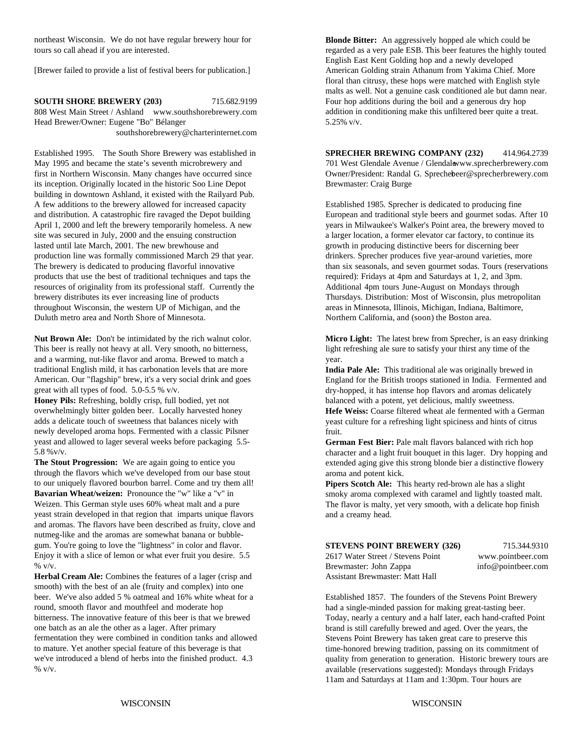northeast Wisconsin. We do not have regular brewery hour for

**SOUTH SHORE BREWERY (203)** 715.682.9199 808 West Main Street / Ashland www.southshorebrewery.com Head Brewer/Owner: Eugene "Bo" Bélanger southshorebrewery@charterinternet.com

its inception. Originally located in the historic Soo Line Depot Brewmaster: Craig Burge building in downtown Ashland, it existed with the Railyard Pub. A few additions to the brewery allowed for increased capacity Established 1985. Sprecher is dedicated to producing fine and distribution. A catastrophic fire ravaged the Depot building European and traditional style beers and gourmet sodas. After 10 April 1, 2000 and left the brewery temporarily homeless. A new years in Milwaukee's Walker's Point area, the brewery moved to site was secured in July, 2000 and the ensuing construction a larger location, a former elevator car factory, to continue its lasted until late March, 2001. The new brewhouse and growth in producing distinctive beers for discerning beer production line was formally commissioned March 29 that year. drinkers. Sprecher produces five year-around varieties, more The brewery is dedicated to producing flavorful innovative than six seasonals, and seven gourmet sodas. Tours (reservations products that use the best of traditional techniques and taps the required): Fridays at 4pm and Saturdays at 1, 2, and 3pm. resources of originality from its professional staff. Currently the Additional 4pm tours June-August on Mondays through brewery distributes its ever increasing line of products Thursdays. Distribution: Most of Wisconsin, plus metropolitan throughout Wisconsin, the western UP of Michigan, and the areas in Minnesota, Illinois, Michigan, Indiana, Baltimore, Duluth metro area and North Shore of Minnesota. Northern California, and (soon) the Boston area.

This beer is really not heavy at all. Very smooth, no bitterness, light refreshing ale sure to satisfy your thirst any time of the and a warming, nut-like flavor and aroma. Brewed to match a year. traditional English mild, it has carbonation levels that are more American. Our "flagship" brew, it's a very social drink and goes great with all types of food. 5.0-5.5 % v/v.

overwhelmingly bitter golden beer. Locally harvested honey adds a delicate touch of sweetness that balances nicely with newly developed aroma hops. Fermented with a classic Pilsner yeast and allowed to lager several weeks before packaging 5.5- 5.8 %v/v.

**The Stout Progression:** We are again going to entice you through the flavors which we've developed from our base stout to our uniquely flavored bourbon barrel. Come and try them all! **Bavarian Wheat/weizen:** Pronounce the "w" like a "v" in Weizen. This German style uses 60% wheat malt and a pure yeast strain developed in that region that imparts unique flavors and aromas. The flavors have been described as fruity, clove and nutmeg-like and the aromas are somewhat banana or bubblegum. You're going to love the "lightness" in color and flavor. Enjoy it with a slice of lemon or what ever fruit you desire. 5.5 % v/v.

**Herbal Cream Ale:** Combines the features of a lager (crisp and smooth) with the best of an ale (fruity and complex) into one beer. We've also added 5 % oatmeal and 16% white wheat for a round, smooth flavor and mouthfeel and moderate hop bitterness. The innovative feature of this beer is that we brewed one batch as an ale the other as a lager. After primary fermentation they were combined in condition tanks and allowed to mature. Yet another special feature of this beverage is that we've introduced a blend of herbs into the finished product. 4.3 % v/v.

tours so call ahead if you are interested. This beer features the highly touted regarded as a very pale ESB. This beer features the highly touted [Brewer failed to provide a list of festival beers for publication.] American Golding strain Athanum from Yakima Chief. More **Blonde Bitter:** An aggressively hopped ale which could be English East Kent Golding hop and a newly developed floral than citrusy, these hops were matched with English style malts as well. Not a genuine cask conditioned ale but damn near. Four hop additions during the boil and a generous dry hop addition in conditioning make this unfiltered beer quite a treat. 5.25% v/v.

Established 1995. The South Shore Brewery was established in **SPRECHER BREWING COMPANY (232)** 414.964.2739 May 1995 and became the state's seventh microbrewery and 701 West Glendale Avenue / Glendalewww.sprecherbrewery.com first in Northern Wisconsin. Many changes have occurred since Owner/President: Randal G. Sprecherbeer@sprecherbrewery.com

**Nut Brown Ale:** Don't be intimidated by the rich walnut color. **Micro Light:** The latest brew from Sprecher, is an easy drinking

**Honey Pils:** Refreshing, boldly crisp, full bodied, yet not balanced with a potent, yet delicious, maltly sweetness. **India Pale Ale:** This traditional ale was originally brewed in England for the British troops stationed in India. Fermented and dry-hopped, it has intense hop flavors and aromas delicately

**Hefe Weiss:** Coarse filtered wheat ale fermented with a German yeast culture for a refreshing light spiciness and hints of citrus fruit.

**German Fest Bier:** Pale malt flavors balanced with rich hop character and a light fruit bouquet in this lager. Dry hopping and extended aging give this strong blonde bier a distinctive flowery aroma and potent kick.

**Pipers Scotch Ale:** This hearty red-brown ale has a slight smoky aroma complexed with caramel and lightly toasted malt. The flavor is malty, yet very smooth, with a delicate hop finish and a creamy head.

| <b>STEVENS POINT BREWERY (32)</b> |
|-----------------------------------|
| 2617 Water Street / Stevens Point |
| Brewmaster: John Zappa            |
| Assistant Brewmaster: Matt Hall   |

**6**) 715.344.9310 www.pointbeer.com info@pointbeer.com

Established 1857. The founders of the Stevens Point Brewery had a single-minded passion for making great-tasting beer. Today, nearly a century and a half later, each hand-crafted Point brand is still carefully brewed and aged. Over the years, the Stevens Point Brewery has taken great care to preserve this time-honored brewing tradition, passing on its commitment of quality from generation to generation. Historic brewery tours are available (reservations suggested): Mondays through Fridays 11am and Saturdays at 11am and 1:30pm. Tour hours are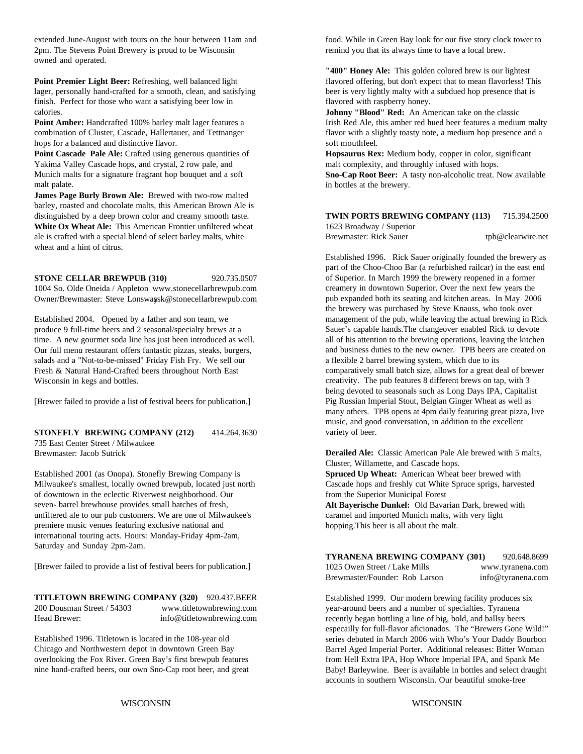2pm. The Stevens Point Brewery is proud to be Wisconsin remind you that its always time to have a local brew. owned and operated.

lager, personally hand-crafted for a smooth, clean, and satisfying beer is very lightly malty with a subdued hop presence that is finish. Perfect for those who want a satisfying beer low in flavored with raspberry honey. calories.

hops for a balanced and distinctive flavor. Soft mouthfeel.

Yakima Valley Cascade hops, and crystal, 2 row pale, and malt complexity, and throughly infused with hops. Munich malts for a signature fragrant hop bouquet and a soft malt palate.

**James Page Burly Brown Ale:** Brewed with two-row malted barley, roasted and chocolate malts, this American Brown Ale is distinguished by a deep brown color and creamy smooth taste. **White Ox Wheat Ale:** This American Frontier unfiltered wheat 1623 Broadway / Superior ale is crafted with a special blend of select barley malts, white Brewmaster: Rick Sauer tpb@clearwire.net wheat and a hint of citrus.

**STONE CELLAR BREWPUB (310)** 920.735.0507 1004 So. Olde Oneida / Appleton www.stonecellarbrewpub.com Owner/Brewmaster: Steve Lonswayask@stonecellarbrewpub.com

Established 2004. Opened by a father and son team, we produce 9 full-time beers and 2 seasonal/specialty brews at a time. A new gourmet soda line has just been introduced as well. Our full menu restaurant offers fantastic pizzas, steaks, burgers, salads and a "Not-to-be-missed" Friday Fish Fry. We sell our Fresh & Natural Hand-Crafted beers throughout North East Wisconsin in kegs and bottles.

[Brewer failed to provide a list of festival beers for publication.]

**STONEFLY BREWING COMPANY (212)** 414.264.3630 735 East Center Street / Milwaukee

Brewmaster: Jacob Sutrick

Established 2001 (as Onopa). Stonefly Brewing Company is **Spruced Up Wheat:** American Wheat beer brewed with Milwaukee's smallest, locally owned brewpub, located just north Cascade hops and freshly cut White Spruce sprigs, harvested of downtown in the eclectic Riverwest neighborhood. Our from the Superior Municipal Forest seven- barrel brewhouse provides small batches of fresh, unfiltered ale to our pub customers. We are one of Milwaukee's premiere music venues featuring exclusive national and international touring acts. Hours: Monday-Friday 4pm-2am, Saturday and Sunday 2pm-2am.

[Brewer failed to provide a list of festival beers for publication.]

**TITLETOWN BREWING COMPANY (320)** 920.437.BEER 200 Dousman Street / 54303 www.titletownbrewing.com Head Brewer: info@titletownbrewing.com

Established 1996. Titletown is located in the 108-year old Chicago and Northwestern depot in downtown Green Bay overlooking the Fox River. Green Bay's first brewpub features nine hand-crafted beers, our own Sno-Cap root beer, and great

extended June-August with tours on the hour between 11am and food. While in Green Bay look for our five story clock tower to

**Point Premier Light Beer:** Refreshing, well balanced light flavored offering, but don't expect that to mean flavorless! This **"400" Honey Ale:** This golden colored brew is our lightest

**Point Amber:** Handcrafted 100% barley malt lager features a Irish Red Ale, this amber red hued beer features a medium malty combination of Cluster, Cascade, Hallertauer, and Tettnanger flavor with a slightly toasty note, a medium hop presence and a **Johnny "Blood" Red:** An American take on the classic

**Point Cascade Pale Ale:** Crafted using generous quantities of **Hopsaurus Rex:** Medium body, copper in color, significant

**Sno-Cap Root Beer:** A tasty non-alcoholic treat. Now available in bottles at the brewery.

**TWIN PORTS BREWING COMPANY (113)** 715.394.2500

Established 1996. Rick Sauer originally founded the brewery as part of the Choo-Choo Bar (a refurbished railcar) in the east end of Superior. In March 1999 the brewery reopened in a former creamery in downtown Superior. Over the next few years the pub expanded both its seating and kitchen areas. In May 2006 the brewery was purchased by Steve Knauss, who took over management of the pub, while leaving the actual brewing in Rick Sauer's capable hands.The changeover enabled Rick to devote all of his attention to the brewing operations, leaving the kitchen and business duties to the new owner. TPB beers are created on a flexible 2 barrel brewing system, which due to its comparatively small batch size, allows for a great deal of brewer creativity. The pub features 8 different brews on tap, with 3 being devoted to seasonals such as Long Days IPA, Capitalist Pig Russian Imperial Stout, Belgian Ginger Wheat as well as many others. TPB opens at 4pm daily featuring great pizza, live music, and good conversation, in addition to the excellent variety of beer.

**Derailed Ale:** Classic American Pale Ale brewed with 5 malts, Cluster, Willamette, and Cascade hops.

**Alt Bayerische Dunkel:** Old Bavarian Dark, brewed with caramel and imported Munich malts, with very light hopping.This beer is all about the malt.

**TYRANENA BREWING COMPANY (301)** 920.648.8699 1025 Owen Street / Lake Mills www.tyranena.com Brewmaster/Founder: Rob Larson info@tyranena.com

Established 1999. Our modern brewing facility produces six year-around beers and a number of specialties. Tyranena recently began bottling a line of big, bold, and ballsy beers especailly for full-flavor aficionados. The "Brewers Gone Wild!" series debuted in March 2006 with Who's Your Daddy Bourbon Barrel Aged Imperial Porter. Additional releases: Bitter Woman from Hell Extra IPA, Hop Whore Imperial IPA, and Spank Me Baby! Barleywine. Beer is available in bottles and select draught accounts in southern Wisconsin. Our beautiful smoke-free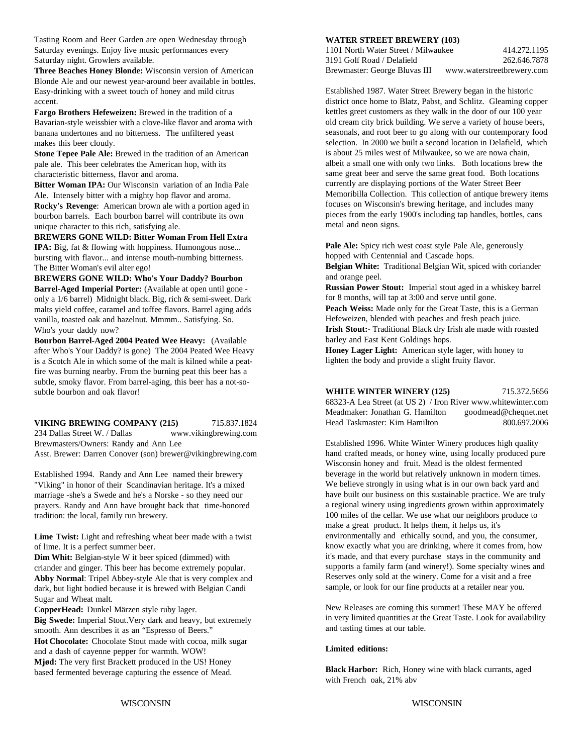Tasting Room and Beer Garden are open Wednesday through

**Three Beaches Honey Blonde:** Wisconsin version of American Blonde Ale and our newest year-around beer available in bottles. Easy-drinking with a sweet touch of honey and mild citrus accent.

**Fargo Brothers Hefeweizen:** Brewed in the tradition of a Bavarian-style weissbier with a clove-like flavor and aroma with banana undertones and no bitterness. The unfiltered yeast makes this beer cloudy.

**Stone Tepee Pale Ale:** Brewed in the tradition of an American pale ale. This beer celebrates the American hop, with its characteristic bitterness, flavor and aroma.

**Bitter Woman IPA:** Our Wisconsin variation of an India Pale Ale. Intensely bitter with a mighty hop flavor and aroma. **Rocky's Revenge**: American brown ale with a portion aged in bourbon barrels. Each bourbon barrel will contribute its own unique character to this rich, satisfying ale.

#### **BREWERS GONE WILD: Bitter Woman From Hell Extra IPA:** Big, fat & flowing with hoppiness. Humongous nose... bursting with flavor... and intense mouth-numbing bitterness. The Bitter Woman's evil alter ego!

**BREWERS GONE WILD: Who's Your Daddy? Bourbon Barrel-Aged Imperial Porter:** (Available at open until gone only a 1/6 barrel) Midnight black. Big, rich & semi-sweet. Dark malts yield coffee, caramel and toffee flavors. Barrel aging adds vanilla, toasted oak and hazelnut. Mmmm.. Satisfying. So. Who's your daddy now?

**Bourbon Barrel-Aged 2004 Peated Wee Heavy:** (Available after Who's Your Daddy? is gone) The 2004 Peated Wee Heavy is a Scotch Ale in which some of the malt is kilned while a peatfire was burning nearby. From the burning peat this beer has a subtle, smoky flavor. From barrel-aging, this beer has a not-sosubtle bourbon and oak flavor!

#### **VIKING BREWING COMPANY (215)** 715.837.1824 234 Dallas Street W. / Dallas www.vikingbrewing.com Brewmasters/Owners: Randy and Ann Lee Asst. Brewer: Darren Conover (son) brewer@vikingbrewing.com

Established 1994. Randy and Ann Lee named their brewery "Viking" in honor of their Scandinavian heritage. It's a mixed marriage -she's a Swede and he's a Norske - so they need our prayers. Randy and Ann have brought back that time-honored tradition: the local, family run brewery.

**Lime Twist:** Light and refreshing wheat beer made with a twist of lime. It is a perfect summer beer.

**Dim Whit:** Belgian-style W it beer spiced (dimmed) with criander and ginger. This beer has become extremely popular. **Abby Normal**: Tripel Abbey-style Ale that is very complex and dark, but light bodied because it is brewed with Belgian Candi Sugar and Wheat malt.

**CopperHead:** Dunkel Märzen style ruby lager.

**Big Swede:** Imperial Stout.Very dark and heavy, but extremely smooth. Ann describes it as an "Espresso of Beers." **Hot Chocolate:** Chocolate Stout made with cocoa, milk sugar and a dash of cayenne pepper for warmth. WOW! **Mjød:** The very first Brackett produced in the US! Honey based fermented beverage capturing the essence of Mead.

#### **WATER STREET BREWERY (103)**

Saturday evenings. Enjoy live music performances every 1101 North Water Street / Milwaukee 414.272.1195 Saturday night. Growlers available. 3191 Golf Road / Delafield 262.646.7878 Brewmaster: George Bluvas III www.waterstreetbrewery.com

> Established 1987. Water Street Brewery began in the historic district once home to Blatz, Pabst, and Schlitz. Gleaming copper kettles greet customers as they walk in the door of our 100 year old cream city brick building. We serve a variety of house beers, seasonals, and root beer to go along with our contemporary food selection. In 2000 we built a second location in Delafield, which is about 25 miles west of Milwaukee, so we are nowa chain, albeit a small one with only two links. Both locations brew the same great beer and serve the same great food. Both locations currently are displaying portions of the Water Street Beer Memoribilla Collection. This collection of antique brewery items focuses on Wisconsin's brewing heritage, and includes many pieces from the early 1900's including tap handles, bottles, cans metal and neon signs.

Pale Ale: Spicy rich west coast style Pale Ale, generously hopped with Centennial and Cascade hops.

**Belgian White:** Traditional Belgian Wit, spiced with coriander and orange peel.

**Russian Power Stout:** Imperial stout aged in a whiskey barrel for 8 months, will tap at 3:00 and serve until gone.

**Peach Weiss:** Made only for the Great Taste, this is a German Hefeweizen, blended with peaches and fresh peach juice. **Irish Stout:**- Traditional Black dry Irish ale made with roasted barley and East Kent Goldings hops.

**Honey Lager Light:** American style lager, with honey to lighten the body and provide a slight fruity flavor.

| <b>WHITE WINTER WINERY (125)</b>                              | 715.372.5656         |
|---------------------------------------------------------------|----------------------|
| 68323-A Lea Street (at US 2) / Iron River www.whitewinter.com |                      |
| Meadmaker: Jonathan G. Hamilton                               | goodmead@cheqnet.net |
| Head Taskmaster: Kim Hamilton                                 | 800.697.2006         |

Established 1996. White Winter Winery produces high quality hand crafted meads, or honey wine, using locally produced pure Wisconsin honey and fruit. Mead is the oldest fermented beverage in the world but relatively unknown in modern times. We believe strongly in using what is in our own back yard and have built our business on this sustainable practice. We are truly a regional winery using ingredients grown within approximately 100 miles of the cellar. We use what our neighbors produce to make a great product. It helps them, it helps us, it's environmentally and ethically sound, and you, the consumer, know exactly what you are drinking, where it comes from, how it's made, and that every purchase stays in the community and supports a family farm (and winery!). Some specialty wines and Reserves only sold at the winery. Come for a visit and a free sample, or look for our fine products at a retailer near you.

New Releases are coming this summer! These MAY be offered in very limited quantities at the Great Taste. Look for availability and tasting times at our table.

#### **Limited editions:**

**Black Harbor:** Rich, Honey wine with black currants, aged with French oak, 21% abv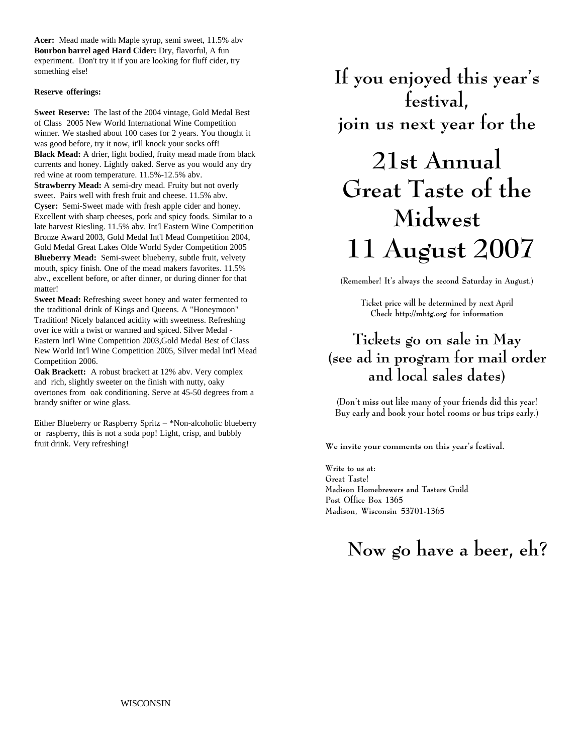**Acer:** Mead made with Maple syrup, semi sweet, 11.5% abv **Bourbon barrel aged Hard Cider:** Dry, flavorful, A fun experiment. Don't try it if you are looking for fluff cider, try something else!

#### **Reserve offerings:**

**Sweet Reserve:** The last of the 2004 vintage, Gold Medal Best of Class 2005 New World International Wine Competition winner. We stashed about 100 cases for 2 years. You thought it was good before, try it now, it'll knock your socks off! **Black Mead:** A drier, light bodied, fruity mead made from black currents and honey. Lightly oaked. Serve as you would any dry red wine at room temperature. 11.5%-12.5% abv.

**Strawberry Mead:** A semi-dry mead. Fruity but not overly sweet. Pairs well with fresh fruit and cheese. 11.5% abv. **Cyser:** Semi-Sweet made with fresh apple cider and honey. Excellent with sharp cheeses, pork and spicy foods. Similar to a late harvest Riesling. 11.5% abv. Int'l Eastern Wine Competition Bronze Award 2003, Gold Medal Int'l Mead Competition 2004, Gold Medal Great Lakes Olde World Syder Competition 2005 **Blueberry Mead:** Semi-sweet blueberry, subtle fruit, velvety mouth, spicy finish. One of the mead makers favorites. 11.5% abv., excellent before, or after dinner, or during dinner for that matter!

**Sweet Mead:** Refreshing sweet honey and water fermented to the traditional drink of Kings and Queens. A "Honeymoon" Tradition! Nicely balanced acidity with sweetness. Refreshing over ice with a twist or warmed and spiced. Silver Medal - Eastern Int'l Wine Competition 2003,Gold Medal Best of Class New World Int'l Wine Competition 2005, Silver medal Int'l Mead Competition 2006.

**Oak Brackett:** A robust brackett at 12% abv. Very complex and rich, slightly sweeter on the finish with nutty, oaky overtones from oak conditioning. Serve at 45-50 degrees from a brandy snifter or wine glass.

Either Blueberry or Raspberry Spritz – \*Non-alcoholic blueberry or raspberry, this is not a soda pop! Light, crisp, and bubbly fruit drink. Very refreshing!

**If you enjoyed this year's festival, join us next year for the**

# **21st Annual Great Taste of the Midwest 11 August 2007**

**(Remember! It's always the second Saturday in August.)**

**Ticket price will be determined by next April Check http://mhtg.org for information**

# **Tickets go on sale in May (see ad in program for mail order and local sales dates)**

**(Don't miss out like many of your friends did this year! Buy early and book your hotel rooms or bus trips early.)**

**We invite your comments on this year's festival.**

**Write to us at: Great Taste! Madison Homebrewers and Tasters Guild Post Office Box 1365 Madison, Wisconsin 53701-1365**

# **Now go have a beer, eh?**